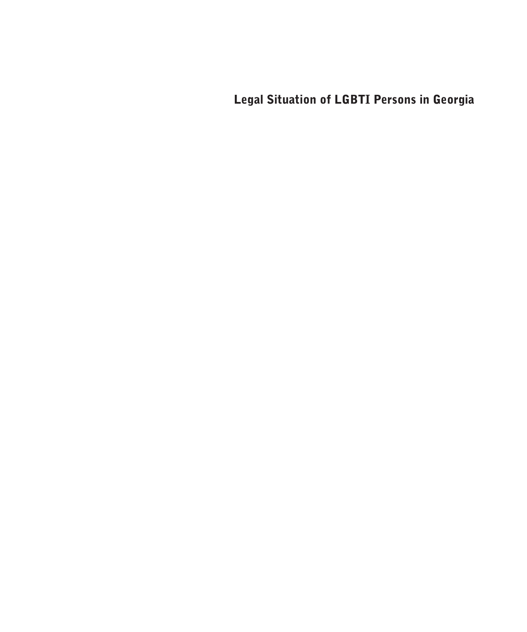Legal Situation of LGBTI Persons in Georgia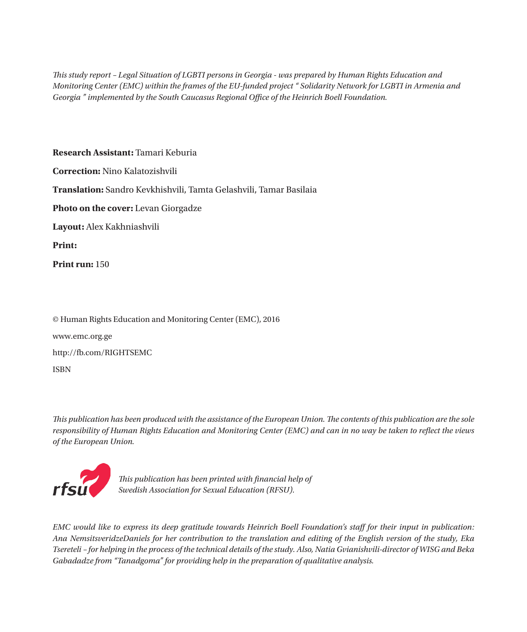*This study report – Legal Situation of LGBTI persons in Georgia - was prepared by Human Rights Education and Monitoring Center (EMC) within the frames of the EU-funded project " Solidarity Network for LGBTI in Armenia and Georgia " implemented by the South Caucasus Regional Office of the Heinrich Boell Foundation.*

**Research Assistant:** Tamari Keburia **Correction:** Nino Kalatozishvili **Translation:** Sandro Kevkhishvili, Tamta Gelashvili, Tamar Basilaia **Photo on the cover:** Levan Giorgadze **Layout:** Alex Kakhniashvili **Print: Print run:** 150

© Human Rights Education and Monitoring Center (EMC), 2016 www.emc.org.ge http://fb.com/RIGHTSEMC ISBN

*This publication has been produced with the assistance of the European Union. The contents of this publication are the sole responsibility of Human Rights Education and Monitoring Center (EMC) and can in no way be taken to reflect the views of the European Union.*



*This publication has been printed with financial help of Swedish Association for Sexual Education (RFSU).*

*EMC would like to express its deep gratitude towards Heinrich Boell Foundation's staff for their input in publication: Ana NemsitsveridzeDaniels for her contribution to the translation and editing of the English version of the study, Eka Tsereteli – for helping in the process of the technical details of the study. Also, Natia Gvianishvili-director of WISG and Beka Gabadadze from "Tanadgoma" for providing help in the preparation of qualitative analysis.*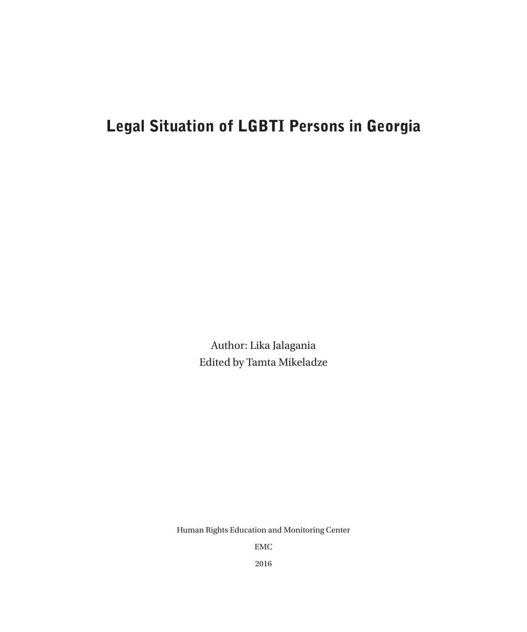# Legal Situation of LGBTI Persons in Georgia

Author: Lika Jalagania Edited by Tamta Mikeladze

Human Rights Education and Monitoring Center

EMC

2016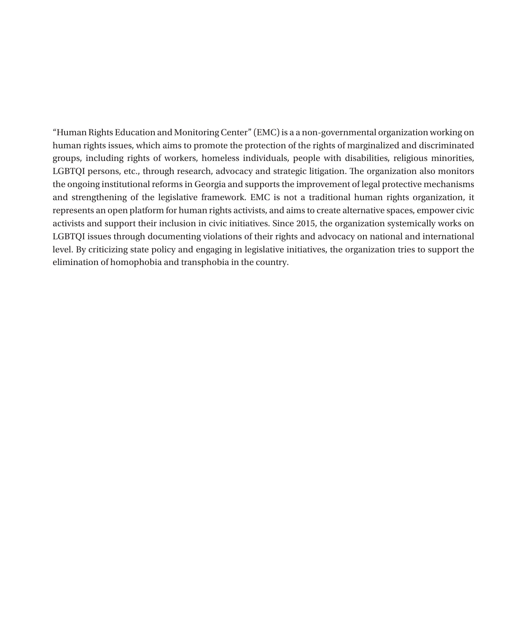"Human Rights Education and Monitoring Center" (EMC) is a a non-governmental organization working on human rights issues, which aims to promote the protection of the rights of marginalized and discriminated groups, including rights of workers, homeless individuals, people with disabilities, religious minorities, LGBTQI persons, etc., through research, advocacy and strategic litigation. The organization also monitors the ongoing institutional reforms in Georgia and supports the improvement of legal protective mechanisms and strengthening of the legislative framework. EMC is not a traditional human rights organization, it represents an open platform for human rights activists, and aims to create alternative spaces, empower civic activists and support their inclusion in civic initiatives. Since 2015, the organization systemically works on LGBTQI issues through documenting violations of their rights and advocacy on national and international level. By criticizing state policy and engaging in legislative initiatives, the organization tries to support the elimination of homophobia and transphobia in the country.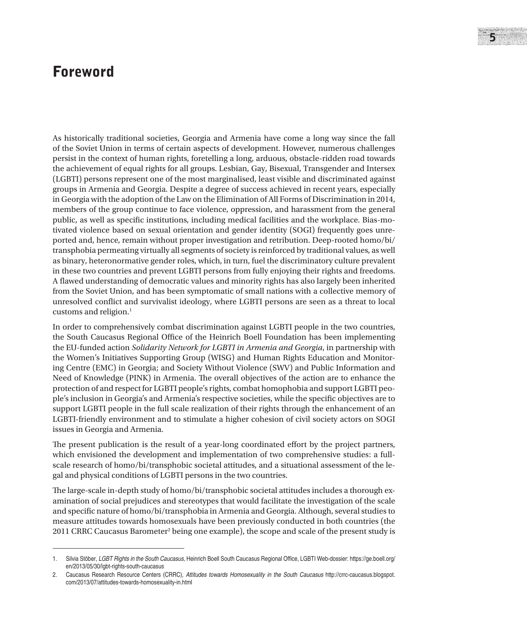## Foreword

As historically traditional societies, Georgia and Armenia have come a long way since the fall of the Soviet Union in terms of certain aspects of development. However, numerous challenges persist in the context of human rights, foretelling a long, arduous, obstacle-ridden road towards the achievement of equal rights for all groups. Lesbian, Gay, Bisexual, Transgender and Intersex (LGBTI) persons represent one of the most marginalised, least visible and discriminated against groups in Armenia and Georgia. Despite a degree of success achieved in recent years, especially in Georgia with the adoption of the Law on the Elimination of All Forms of Discrimination in 2014, members of the group continue to face violence, oppression, and harassment from the general public, as well as specific institutions, including medical facilities and the workplace. Bias-motivated violence based on sexual orientation and gender identity (SOGI) frequently goes unreported and, hence, remain without proper investigation and retribution. Deep-rooted homo/bi/ transphobia permeating virtually all segments of society is reinforced by traditional values, as well as binary, heteronormative gender roles, which, in turn, fuel the discriminatory culture prevalent in these two countries and prevent LGBTI persons from fully enjoying their rights and freedoms. A flawed understanding of democratic values and minority rights has also largely been inherited from the Soviet Union, and has been symptomatic of small nations with a collective memory of unresolved conflict and survivalist ideology, where LGBTI persons are seen as a threat to local customs and religion.<sup>1</sup>

In order to comprehensively combat discrimination against LGBTI people in the two countries, the South Caucasus Regional Office of the Heinrich Boell Foundation has been implementing the EU-funded action *Solidarity Network for LGBTI in Armenia and Georgia*, in partnership with the Women's Initiatives Supporting Group (WISG) and Human Rights Education and Monitoring Centre (EMC) in Georgia; and Society Without Violence (SWV) and Public Information and Need of Knowledge (PINK) in Armenia. The overall objectives of the action are to enhance the protection of and respect for LGBTI people's rights, combat homophobia and support LGBTI people's inclusion in Georgia's and Armenia's respective societies, while the specific objectives are to support LGBTI people in the full scale realization of their rights through the enhancement of an LGBTI-friendly environment and to stimulate a higher cohesion of civil society actors on SOGI issues in Georgia and Armenia.

The present publication is the result of a year-long coordinated effort by the project partners, which envisioned the development and implementation of two comprehensive studies: a fullscale research of homo/bi/transphobic societal attitudes, and a situational assessment of the legal and physical conditions of LGBTI persons in the two countries.

The large-scale in-depth study of homo/bi/transphobic societal attitudes includes a thorough examination of social prejudices and stereotypes that would facilitate the investigation of the scale and specific nature of homo/bi/transphobia in Armenia and Georgia. Although, several studies to measure attitudes towards homosexuals have been previously conducted in both countries (the 2011 CRRC Caucasus Barometer<sup>2</sup> being one example), the scope and scale of the present study is

<sup>1.</sup> Silvia Stöber, *LGBT Rights in the South Caucasus*, Heinrich Boell South Caucasus Regional Office, LGBTI Web-dossier: https://ge.boell.org/ en/2013/05/30/lgbt-rights-south-caucasus

<sup>2.</sup> Caucasus Research Resource Centers (CRRC), *Attitudes towards Homosexuality in the South Caucasus* http://crrc-caucasus.blogspot. com/2013/07/attitudes-towards-homosexuality-in.html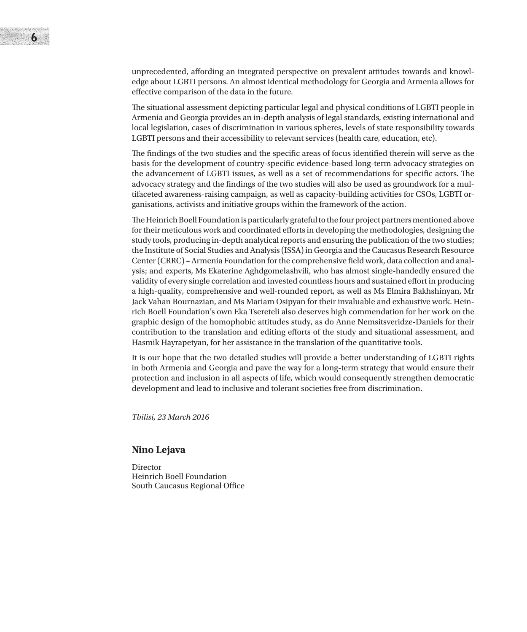

unprecedented, affording an integrated perspective on prevalent attitudes towards and knowledge about LGBTI persons. An almost identical methodology for Georgia and Armenia allows for effective comparison of the data in the future.

The situational assessment depicting particular legal and physical conditions of LGBTI people in Armenia and Georgia provides an in-depth analysis of legal standards, existing international and local legislation, cases of discrimination in various spheres, levels of state responsibility towards LGBTI persons and their accessibility to relevant services (health care, education, etc).

The findings of the two studies and the specific areas of focus identified therein will serve as the basis for the development of country-specific evidence-based long-term advocacy strategies on the advancement of LGBTI issues, as well as a set of recommendations for specific actors. The advocacy strategy and the findings of the two studies will also be used as groundwork for a multifaceted awareness-raising campaign, as well as capacity-building activities for CSOs, LGBTI organisations, activists and initiative groups within the framework of the action.

The Heinrich Boell Foundation is particularly grateful to the four project partners mentioned above for their meticulous work and coordinated efforts in developing the methodologies, designing the study tools, producing in-depth analytical reports and ensuring the publication of the two studies; the Institute of Social Studies and Analysis (ISSA) in Georgia and the Caucasus Research Resource Center (CRRC) – Armenia Foundation for the comprehensive field work, data collection and analysis; and experts, Ms Ekaterine Aghdgomelashvili, who has almost single-handedly ensured the validity of every single correlation and invested countless hours and sustained effort in producing a high-quality, comprehensive and well-rounded report, as well as Ms Elmira Bakhshinyan, Mr Jack Vahan Bournazian, and Ms Mariam Osipyan for their invaluable and exhaustive work. Heinrich Boell Foundation's own Eka Tsereteli also deserves high commendation for her work on the graphic design of the homophobic attitudes study, as do Anne Nemsitsveridze-Daniels for their contribution to the translation and editing efforts of the study and situational assessment, and Hasmik Hayrapetyan, for her assistance in the translation of the quantitative tools.

It is our hope that the two detailed studies will provide a better understanding of LGBTI rights in both Armenia and Georgia and pave the way for a long-term strategy that would ensure their protection and inclusion in all aspects of life, which would consequently strengthen democratic development and lead to inclusive and tolerant societies free from discrimination.

*Tbilisi, 23 March 2016*

#### **Nino Lejava**

Director Heinrich Boell Foundation South Caucasus Regional Office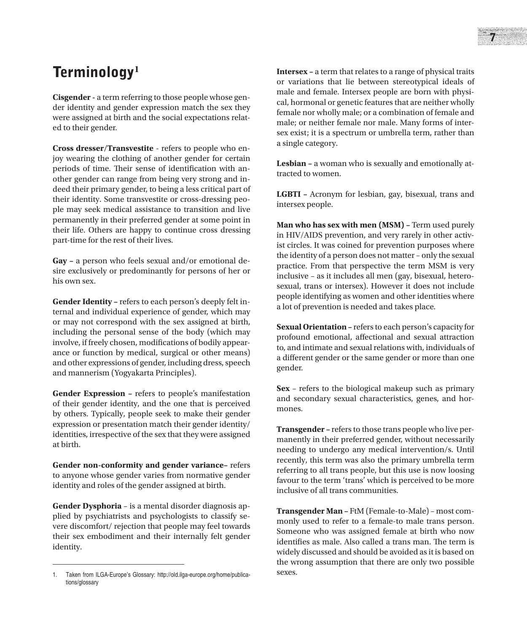**Cisgender -** a term referring to those people whose gender identity and gender expression match the sex they were assigned at birth and the social expectations related to their gender.

**Cross dresser/Transvestite** - refers to people who enjoy wearing the clothing of another gender for certain periods of time. Their sense of identification with another gender can range from being very strong and indeed their primary gender, to being a less critical part of their identity. Some transvestite or cross-dressing people may seek medical assistance to transition and live permanently in their preferred gender at some point in their life. Others are happy to continue cross dressing part-time for the rest of their lives.

**Gay –** a person who feels sexual and/or emotional desire exclusively or predominantly for persons of her or his own sex.

**Gender Identity –** refers to each person's deeply felt internal and individual experience of gender, which may or may not correspond with the sex assigned at birth, including the personal sense of the body (which may involve, if freely chosen, modifications of bodily appearance or function by medical, surgical or other means) and other expressions of gender, including dress, speech and mannerism (Yogyakarta Principles).

**Gender Expression –** refers to people's manifestation of their gender identity, and the one that is perceived by others. Typically, people seek to make their gender expression or presentation match their gender identity/ identities, irrespective of the sex that they were assigned at birth.

**Gender non-conformity and gender variance–** refers to anyone whose gender varies from normative gender identity and roles of the gender assigned at birth.

**Gender Dysphoria** – is a mental disorder diagnosis applied by psychiatrists and psychologists to classify severe discomfort/ rejection that people may feel towards their sex embodiment and their internally felt gender identity.

**Intersex –** a term that relates to a range of physical traits or variations that lie between stereotypical ideals of male and female. Intersex people are born with physical, hormonal or genetic features that are neither wholly female nor wholly male; or a combination of female and male; or neither female nor male. Many forms of intersex exist; it is a spectrum or umbrella term, rather than a single category.

**Lesbian –** a woman who is sexually and emotionally attracted to women.

**LGBTI –** Acronym for lesbian, gay, bisexual, trans and intersex people.

**Man who has sex with men (MSM) –** Term used purely in HIV/AIDS prevention, and very rarely in other activist circles. It was coined for prevention purposes where the identity of a person does not matter – only the sexual practice. From that perspective the term MSM is very inclusive – as it includes all men (gay, bisexual, heterosexual, trans or intersex). However it does not include people identifying as women and other identities where a lot of prevention is needed and takes place.

**Sexual Orientation –** refers to each person's capacity for profound emotional, affectional and sexual attraction to, and intimate and sexual relations with, individuals of a different gender or the same gender or more than one gender.

**Sex** – refers to the biological makeup such as primary and secondary sexual characteristics, genes, and hormones.

**Transgender –** refers to those trans people who live permanently in their preferred gender, without necessarily needing to undergo any medical intervention/s. Until recently, this term was also the primary umbrella term referring to all trans people, but this use is now loosing favour to the term 'trans' which is perceived to be more inclusive of all trans communities.

**Transgender Man –** FtM (Female-to-Male) – most commonly used to refer to a female-to male trans person. Someone who was assigned female at birth who now identifies as male. Also called a trans man. The term is widely discussed and should be avoided as it is based on the wrong assumption that there are only two possible sexes.

<sup>1.</sup> Taken from ILGA-Europe's Glossary: http://old.ilga-europe.org/home/publications/glossary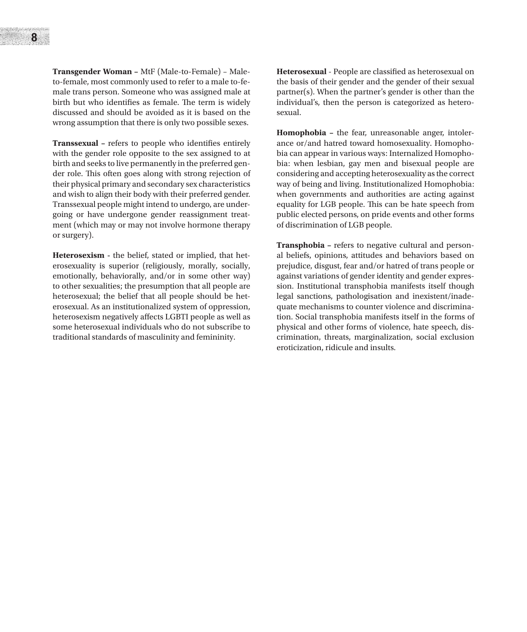**Transgender Woman –** MtF (Male-to-Female) – Maleto-female, most commonly used to refer to a male to-female trans person. Someone who was assigned male at birth but who identifies as female. The term is widely discussed and should be avoided as it is based on the wrong assumption that there is only two possible sexes.

**Transsexual –** refers to people who identifies entirely with the gender role opposite to the sex assigned to at birth and seeks to live permanently in the preferred gender role. This often goes along with strong rejection of their physical primary and secondary sex characteristics and wish to align their body with their preferred gender. Transsexual people might intend to undergo, are undergoing or have undergone gender reassignment treatment (which may or may not involve hormone therapy or surgery).

**Heterosexism -** the belief, stated or implied, that heterosexuality is superior (religiously, morally, socially, emotionally, behaviorally, and/or in some other way) to other sexualities; the presumption that all people are heterosexual; the belief that all people should be heterosexual. As an institutionalized system of oppression, heterosexism negatively affects LGBTI people as well as some heterosexual individuals who do not subscribe to traditional standards of masculinity and femininity.

**Heterosexual** - People are classified as heterosexual on the basis of their gender and the gender of their sexual partner(s). When the partner's gender is other than the individual's, then the person is categorized as heterosexual.

**Homophobia –** the fear, unreasonable anger, intolerance or/and hatred toward homosexuality. Homophobia can appear in various ways: Internalized Homophobia: when lesbian, gay men and bisexual people are considering and accepting heterosexuality as the correct way of being and living. Institutionalized Homophobia: when governments and authorities are acting against equality for LGB people. This can be hate speech from public elected persons, on pride events and other forms of discrimination of LGB people.

**Transphobia –** refers to negative cultural and personal beliefs, opinions, attitudes and behaviors based on prejudice, disgust, fear and/or hatred of trans people or against variations of gender identity and gender expression. Institutional transphobia manifests itself though legal sanctions, pathologisation and inexistent/inadequate mechanisms to counter violence and discrimination. Social transphobia manifests itself in the forms of physical and other forms of violence, hate speech, discrimination, threats, marginalization, social exclusion eroticization, ridicule and insults.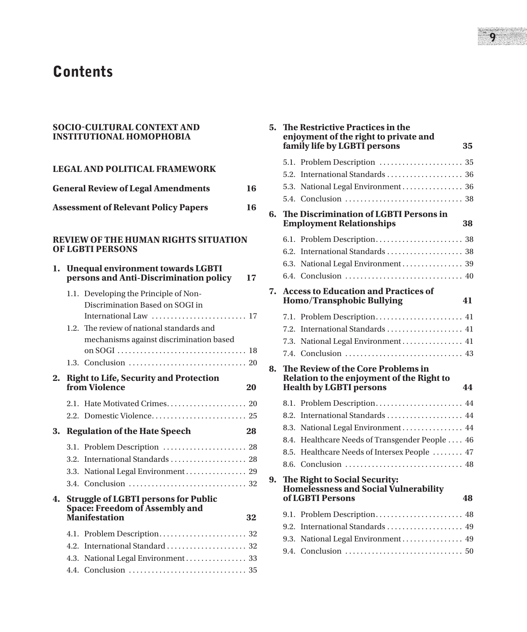# **Contents**

#### **SOCIO-CULTURAL CONTEXT AND INSTITUTIONAL HOMOPHOBIA**

|    |                                                   | <b>LEGAL AND POLITICAL FRAMEWORK</b>                                                                                                                                                 |    |
|----|---------------------------------------------------|--------------------------------------------------------------------------------------------------------------------------------------------------------------------------------------|----|
|    |                                                   | <b>General Review of Legal Amendments</b>                                                                                                                                            | 16 |
|    | <b>Assessment of Relevant Policy Papers</b><br>16 |                                                                                                                                                                                      |    |
|    |                                                   |                                                                                                                                                                                      |    |
|    |                                                   | <b>REVIEW OF THE HUMAN RIGHTS SITUATION</b><br><b>OF LGBTI PERSONS</b>                                                                                                               |    |
| 1. |                                                   | <b>Unequal environment towards LGBTI</b><br>persons and Anti-Discrimination policy                                                                                                   | 17 |
|    | 1.2.                                              | 1.1. Developing the Principle of Non-<br>Discrimination Based on SOGI in<br>International Law  17<br>The review of national standards and<br>mechanisms against discrimination based |    |
|    |                                                   |                                                                                                                                                                                      |    |
| 2. |                                                   | <b>Right to Life, Security and Protection</b><br>from Violence                                                                                                                       | 20 |
|    |                                                   |                                                                                                                                                                                      |    |
| 3. |                                                   | <b>Regulation of the Hate Speech</b>                                                                                                                                                 | 28 |
|    | 3.2.                                              | 3.1. Problem Description  28<br>International Standards  28<br>3.3. National Legal Environment 29                                                                                    |    |
| 4. |                                                   | <b>Struggle of LGBTI persons for Public</b><br>Space: Freedom of Assembly and<br><b>Manifestation</b>                                                                                | 32 |
|    |                                                   |                                                                                                                                                                                      |    |
|    |                                                   | 4.2. International Standard  32                                                                                                                                                      |    |
|    |                                                   | 4.3. National Legal Environment 33                                                                                                                                                   |    |

4.4. Conclusion. . . 35

| 5. | The Restrictive Practices in the<br>enjoyment of the right to private and<br>family life by LGBTI persons         | 35 |
|----|-------------------------------------------------------------------------------------------------------------------|----|
|    | 5.1. Problem Description  35                                                                                      |    |
|    |                                                                                                                   |    |
|    | 5.3. National Legal Environment  36                                                                               |    |
|    |                                                                                                                   |    |
| 6. | The Discrimination of LGBTI Persons in<br><b>Employment Relationships</b>                                         | 38 |
|    |                                                                                                                   |    |
|    |                                                                                                                   |    |
|    | 6.3. National Legal Environment 39                                                                                |    |
|    |                                                                                                                   |    |
| 7. | <b>Access to Education and Practices of</b><br>Homo/Transphobic Bullying                                          | 41 |
|    | 7.1. Problem Description 41                                                                                       |    |
|    | 7.2. International Standards  41                                                                                  |    |
|    | 7.3. National Legal Environment 41                                                                                |    |
|    | 7.4.                                                                                                              |    |
| 8. | The Review of the Core Problems in<br>Relation to the enjoyment of the Right to<br><b>Health by LGBTI persons</b> | 44 |
|    | 8.1. Problem Description 44                                                                                       |    |
|    | 8.2. International Standards  44                                                                                  |    |
|    | 8.3. National Legal Environment 44                                                                                |    |
|    | 8.4. Healthcare Needs of Transgender People  46                                                                   |    |
|    | 8.5. Healthcare Needs of Intersex People  47                                                                      |    |
|    | 8.6.                                                                                                              |    |
| 9. | The Right to Social Security:<br><b>Homelessness and Social Vulnerability</b><br>of LGBTI Persons                 | 48 |
|    | 9.1. Problem Description 48                                                                                       |    |
|    | 9.2. International Standards  49                                                                                  |    |
|    | 9.3. National Legal Environment  49                                                                               |    |
|    |                                                                                                                   |    |
|    |                                                                                                                   |    |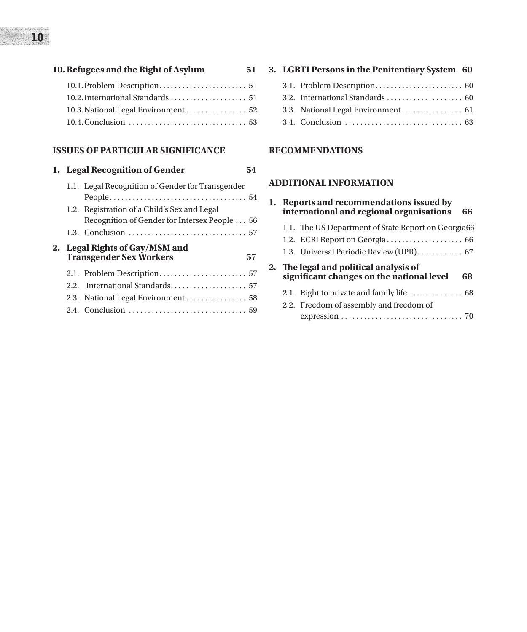| 10. Refugees and the Right of Asylum | 51 |
|--------------------------------------|----|
|                                      |    |
|                                      |    |

| 10.3. National Legal Environment 52 |  |
|-------------------------------------|--|
|                                     |  |

#### **ISSUES OF PARTICULAR SIGNIFICANCE**

# **1. Legal Recognition of Gender 54**

|  | 1.1. Legal Recognition of Gender for Transgender                 |    |
|--|------------------------------------------------------------------|----|
|  |                                                                  |    |
|  | 1.2. Registration of a Child's Sex and Legal                     |    |
|  | Recognition of Gender for Intersex People 56                     |    |
|  |                                                                  |    |
|  | 2. Legal Rights of Gay/MSM and<br><b>Transgender Sex Workers</b> | 57 |
|  |                                                                  |    |
|  |                                                                  |    |
|  | 2.2. International Standards 57                                  |    |
|  |                                                                  |    |
|  |                                                                  |    |
|  |                                                                  |    |

### **3. LGBTI Persons in the Penitentiary System 60**

- 3.1. Problem Description. . . 60
- 3.2. International Standards. . . 60
- 3.3. National Legal Environment. . . . . . . . . . . . . . . 61
- 3.4. Conclusion. . . 63

#### **RECOMMENDATIONS**

#### **ADDITIONAL INFORMATION**

|  | 1. Reports and recommendations issued by<br>international and regional organisations<br>66 |
|--|--------------------------------------------------------------------------------------------|
|  | 1.1. The US Department of State Report on Georgia66                                        |
|  | 1.2. ECRI Report on Georgia 66                                                             |
|  | 1.3. Universal Periodic Review (UPR) 67                                                    |
|  | 2. The legal and political analysis of<br>significant changes on the national level<br>68  |
|  | 2.1. Right to private and family life $\dots\dots\dots\dots \dots$ 68                      |
|  | 2.2. Freedom of assembly and freedom of                                                    |
|  |                                                                                            |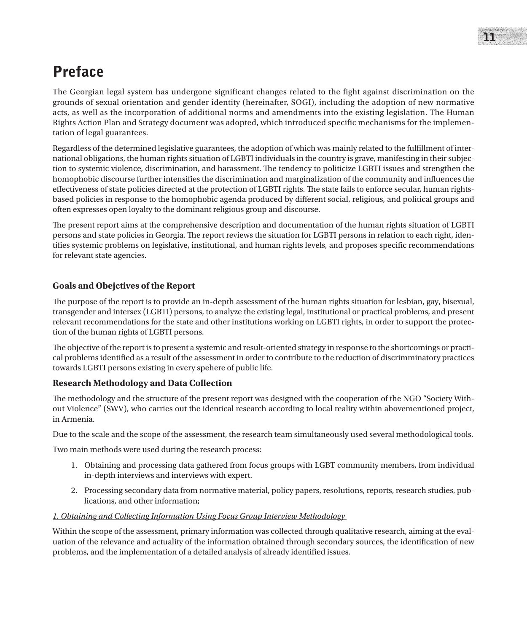# Preface

The Georgian legal system has undergone significant changes related to the fight against discrimination on the grounds of sexual orientation and gender identity (hereinafter, SOGI), including the adoption of new normative acts, as well as the incorporation of additional norms and amendments into the existing legislation. The Human Rights Action Plan and Strategy document was adopted, which introduced specific mechanisms for the implementation of legal guarantees.

Regardless of the determined legislative guarantees, the adoption of which was mainly related to the fulfillment of international obligations, the human rights situation of LGBTI individuals in the country is grave, manifesting in their subjection to systemic violence, discrimination, and harassment. The tendency to politicize LGBTI issues and strengthen the homophobic discourse further intensifies the discrimination and marginalization of the community and influences the effectiveness of state policies directed at the protection of LGBTI rights. The state fails to enforce secular, human rightsbased policies in response to the homophobic agenda produced by different social, religious, and political groups and often expresses open loyalty to the dominant religious group and discourse.

The present report aims at the comprehensive description and documentation of the human rights situation of LGBTI persons and state policies in Georgia. The report reviews the situation for LGBTI persons in relation to each right, identifies systemic problems on legislative, institutional, and human rights levels, and proposes specific recommendations for relevant state agencies.

### **Goals and Obejctives of the Report**

The purpose of the report is to provide an in-depth assessment of the human rights situation for lesbian, gay, bisexual, transgender and intersex (LGBTI) persons, to analyze the existing legal, institutional or practical problems, and present relevant recommendations for the state and other institutions working on LGBTI rights, in order to support the protection of the human rights of LGBTI persons.

The objective of the report is to present a systemic and result-oriented strategy in response to the shortcomings or practical problems identified as a result of the assessment in order to contribute to the reduction of discrimminatory practices towards LGBTI persons existing in every spehere of public life.

### **Research Methodology and Data Collection**

The methodology and the structure of the present report was designed with the cooperation of the NGO "Society Without Violence" (SWV), who carries out the identical research according to local reality within abovementioned project, in Armenia.

Due to the scale and the scope of the assessment, the research team simultaneously used several methodological tools.

Two main methods were used during the research process:

- 1. Obtaining and processing data gathered from focus groups with LGBT community members, from individual in-depth interviews and interviews with expert.
- 2. Processing secondary data from normative material, policy papers, resolutions, reports, research studies, publications, and other information;

### *1. Obtaining and Collecting Information Using Focus Group Interview Methodology*

Within the scope of the assessment, primary information was collected through qualitative research, aiming at the evaluation of the relevance and actuality of the information obtained through secondary sources, the identification of new problems, and the implementation of a detailed analysis of already identified issues.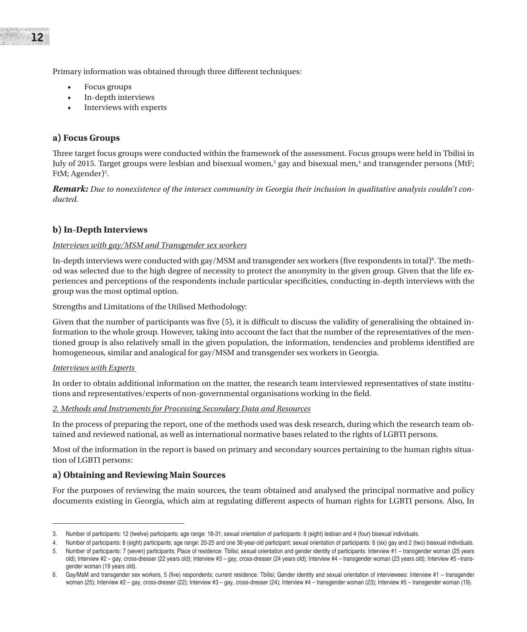Primary information was obtained through three different techniques:

- Focus groups
- In-depth interviews
- Interviews with experts

#### **a) Focus Groups**

Three target focus groups were conducted within the framework of the assessment. Focus groups were held in Tbilisi in July of 2015. Target groups were lesbian and bisexual women,<sup>3</sup> gay and bisexual men,<sup>4</sup> and transgender persons (MtF; FtM; Agender)<sup>5</sup>.

*Remark: Due to nonexistence of the intersex community in Georgia their inclusion in qualitative analysis couldn't conducted.* 

#### **b) In-Depth Interviews**

#### *Interviews with gay/MSM and Transgender sex workers*

In-depth interviews were conducted with gay/MSM and transgender sex workers (five respondents in total)<sup>6</sup>. The method was selected due to the high degree of necessity to protect the anonymity in the given group. Given that the life experiences and perceptions of the respondents include particular specificities, conducting in-depth interviews with the group was the most optimal option.

Strengths and Limitations of the Utilised Methodology:

Given that the number of participants was five (5), it is difficult to discuss the validity of generalising the obtained information to the whole group. However, taking into account the fact that the number of the representatives of the mentioned group is also relatively small in the given population, the information, tendencies and problems identified are homogeneous, similar and analogical for gay/MSM and transgender sex workers in Georgia.

#### *Interviews with Experts*

In order to obtain additional information on the matter, the research team interviewed representatives of state institutions and representatives/experts of non-governmental organisations working in the field.

#### *2. Methods and Instruments for Processing Secondary Data and Resources*

In the process of preparing the report, one of the methods used was desk research, during which the research team obtained and reviewed national, as well as international normative bases related to the rights of LGBTI persons.

Most of the information in the report is based on primary and secondary sources pertaining to the human rights situation of LGBTI persons:

#### **a) Obtaining and Reviewing Main Sources**

For the purposes of reviewing the main sources, the team obtained and analysed the principal normative and policy documents existing in Georgia, which aim at regulating different aspects of human rights for LGBTI persons. Also, In

<sup>3.</sup> Number of participants: 12 (twelve) participants; age range: 18-31; sexual orientation of participants: 8 (eight) lesbian and 4 (four) bisexual individuals.

<sup>4.</sup> Number of participants: 8 (eight) participants; age range: 20-25 and one 36-year-old participant; sexual orientation of participants: 6 (six) gay and 2 (two) bisexual individuals.

<sup>5.</sup> Number of participants: 7 (seven) participants; Place of residence: Tbilisi; sexual orientation and gender identity of participants: Interview #1 – transgender woman (25 years old); Interview #2 – gay, cross-dresser (22 years old); Interview #3 – gay, cross-dresser (24 years old); Interview #4 – transgender woman (23 years old); Interview #5 –transgender woman (19 years old).

<sup>6.</sup> Gay/MsM and transgender sex workers, 5 (five) respondents; current residence: Tbilisi; Gender identity and sexual orientation of interviewees: Interview #1 – transgender woman (25); Interview #2 - gay, cross-dresser (22); Interview #3 - gay, cross-dresser (24); Interview #4 - transgender woman (23); Interview #5 - transgender woman (19).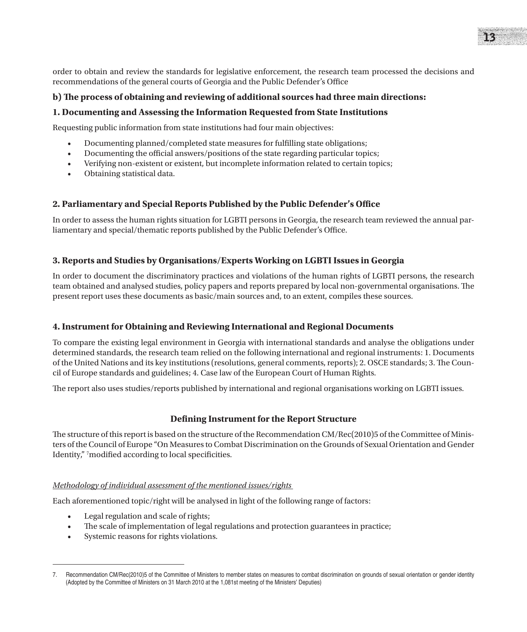order to obtain and review the standards for legislative enforcement, the research team processed the decisions and recommendations of the general courts of Georgia and the Public Defender's Office

#### **b) The process of obtaining and reviewing of additional sources had three main directions:**

#### **1. Documenting and Assessing the Information Requested from State Institutions**

Requesting public information from state institutions had four main objectives:

- Documenting planned/completed state measures for fulfilling state obligations;
- Documenting the official answers/positions of the state regarding particular topics;
- Verifying non-existent or existent, but incomplete information related to certain topics;
- Obtaining statistical data.

#### **2. Parliamentary and Special Reports Published by the Public Defender's Office**

In order to assess the human rights situation for LGBTI persons in Georgia, the research team reviewed the annual parliamentary and special/thematic reports published by the Public Defender's Office.

#### **3. Reports and Studies by Organisations/Experts Working on LGBTI Issues in Georgia**

In order to document the discriminatory practices and violations of the human rights of LGBTI persons, the research team obtained and analysed studies, policy papers and reports prepared by local non-governmental organisations. The present report uses these documents as basic/main sources and, to an extent, compiles these sources.

#### **4. Instrument for Obtaining and Reviewing International and Regional Documents**

To compare the existing legal environment in Georgia with international standards and analyse the obligations under determined standards, the research team relied on the following international and regional instruments: 1. Documents of the United Nations and its key institutions (resolutions, general comments, reports); 2. OSCE standards; 3. The Council of Europe standards and guidelines; 4. Case law of the European Court of Human Rights.

The report also uses studies/reports published by international and regional organisations working on LGBTI issues.

#### **Defining Instrument for the Report Structure**

The structure of this report is based on the structure of the Recommendation CM/Rec(2010)5 of the Committee of Ministers of the Council of Europe "On Measures to Combat Discrimination on the Grounds of Sexual Orientation and Gender Identity," <sup>7</sup> modified according to local specificities.

#### *Methodology of individual assessment of the mentioned issues/rights*

Each aforementioned topic/right will be analysed in light of the following range of factors:

- Legal regulation and scale of rights;
- The scale of implementation of legal regulations and protection guarantees in practice;
- Systemic reasons for rights violations.

<sup>7.</sup> Recommendation CM/Rec(2010)5 of the Committee of Ministers to member states on measures to combat discrimination on grounds of sexual orientation or gender identity (Adopted by the Committee of Ministers on 31 March 2010 at the 1,081st meeting of the Ministers' Deputies)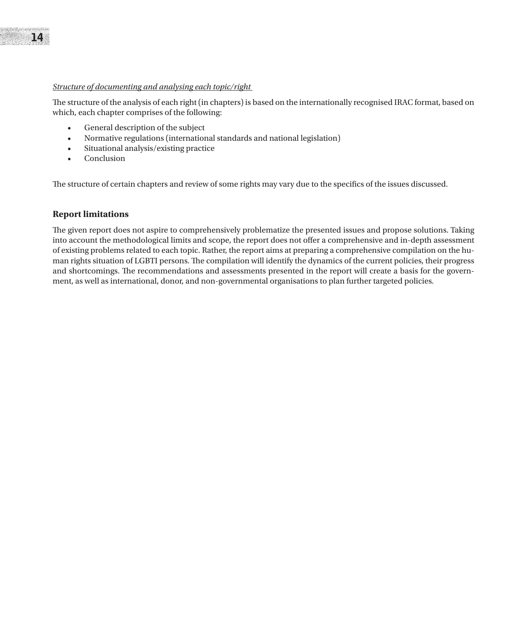#### *Structure of documenting and analysing each topic/right*

The structure of the analysis of each right (in chapters) is based on the internationally recognised IRAC format, based on which, each chapter comprises of the following:

- • General description of the subject
- • Normative regulations (international standards and national legislation)
- • Situational analysis/existing practice
- • Conclusion

The structure of certain chapters and review of some rights may vary due to the specifics of the issues discussed.

#### **Report limitations**

The given report does not aspire to comprehensively problematize the presented issues and propose solutions. Taking into account the methodological limits and scope, the report does not offer a comprehensive and in-depth assessment of existing problems related to each topic. Rather, the report aims at preparing a comprehensive compilation on the human rights situation of LGBTI persons. The compilation will identify the dynamics of the current policies, their progress and shortcomings. The recommendations and assessments presented in the report will create a basis for the government, as well as international, donor, and non-governmental organisations to plan further targeted policies.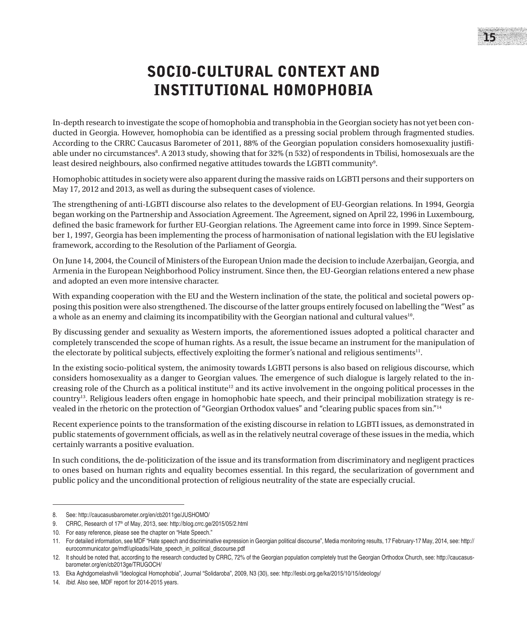# SOCIO-CULTURAL CONTEXT AND INSTITUTIONAL HOMOPHOBIA

In-depth research to investigate the scope of homophobia and transphobia in the Georgian society has not yet been conducted in Georgia. However, homophobia can be identified as a pressing social problem through fragmented studies. According to the CRRC Caucasus Barometer of 2011, 88% of the Georgian population considers homosexuality justifiable under no circumstances<sup>8</sup>. A 2013 study, showing that for 32% (n 532) of respondents in Tbilisi, homosexuals are the least desired neighbours, also confirmed negative attitudes towards the LGBTI community<sup>9</sup>.

Homophobic attitudes in society were also apparent during the massive raids on LGBTI persons and their supporters on May 17, 2012 and 2013, as well as during the subsequent cases of violence.

The strengthening of anti-LGBTI discourse also relates to the development of EU-Georgian relations. In 1994, Georgia began working on the Partnership and Association Agreement. The Agreement, signed on April 22, 1996 in Luxembourg, defined the basic framework for further EU-Georgian relations. The Agreement came into force in 1999. Since September 1, 1997, Georgia has been implementing the process of harmonisation of national legislation with the EU legislative framework, according to the Resolution of the Parliament of Georgia.

On June 14, 2004, the Council of Ministers of the European Union made the decision to include Azerbaijan, Georgia, and Armenia in the European Neighborhood Policy instrument. Since then, the EU-Georgian relations entered a new phase and adopted an even more intensive character.

With expanding cooperation with the EU and the Western inclination of the state, the political and societal powers opposing this position were also strengthened. The discourse of the latter groups entirely focused on labelling the "West" as a whole as an enemy and claiming its incompatibility with the Georgian national and cultural values<sup>10</sup>.

By discussing gender and sexuality as Western imports, the aforementioned issues adopted a political character and completely transcended the scope of human rights. As a result, the issue became an instrument for the manipulation of the electorate by political subjects, effectively exploiting the former's national and religious sentiments<sup>11</sup>.

In the existing socio-political system, the animosity towards LGBTI persons is also based on religious discourse, which considers homosexuality as a danger to Georgian values. The emergence of such dialogue is largely related to the increasing role of the Church as a political institute<sup>12</sup> and its active involvement in the ongoing political processes in the country13. Religious leaders often engage in homophobic hate speech, and their principal mobilization strategy is revealed in the rhetoric on the protection of "Georgian Orthodox values" and "clearing public spaces from sin."14

Recent experience points to the transformation of the existing discourse in relation to LGBTI issues, as demonstrated in public statements of government officials, as well as in the relatively neutral coverage of these issues in the media, which certainly warrants a positive evaluation.

In such conditions, the de-politicization of the issue and its transformation from discriminatory and negligent practices to ones based on human rights and equality becomes essential. In this regard, the secularization of government and public policy and the unconditional protection of religious neutrality of the state are especially crucial.

<sup>8.</sup> See: http://caucasusbarometer.org/en/cb2011ge/JUSHOMO/

<sup>9.</sup> CRRC, Research of 17<sup>th</sup> of May, 2013, see: http://blog.crrc.ge/2015/05/2.html

<sup>10.</sup> For easy reference, please see the chapter on "Hate Speech."

<sup>11.</sup> For detailed information, see MDF "Hate speech and discriminative expression in Georgian political discourse", Media monitoring results, 17 February-17 May, 2014, see: http:// eurocommunicator.ge/mdf/uploads//Hate\_speech\_in\_political\_discourse.pdf

<sup>12.</sup> It should be noted that, according to the research conducted by CRRC, 72% of the Georgian population completely trust the Georgian Orthodox Church, see: http://caucasusbarometer.org/en/cb2013ge/TRUGOCH/

<sup>13.</sup> Eka Aghdgomelashvili "Ideological Homophobia", Journal "Solidaroba", 2009, N3 (30), see: http://lesbi.org.ge/ka/2015/10/15/ideology/

<sup>14.</sup> *Ibid.* Also see, MDF report for 2014-2015 years.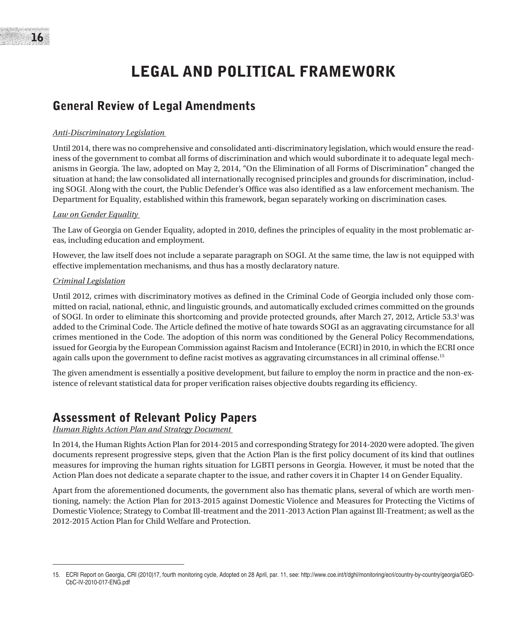# LEGAL AND POLITICAL FRAMEWORK

## General Review of Legal Amendments

#### *Anti-Discriminatory Legislation*

Until 2014, there was no comprehensive and consolidated anti-discriminatory legislation, which would ensure the readiness of the government to combat all forms of discrimination and which would subordinate it to adequate legal mechanisms in Georgia. The law, adopted on May 2, 2014, "On the Elimination of all Forms of Discrimination" changed the situation at hand; the law consolidated all internationally recognised principles and grounds for discrimination, including SOGI. Along with the court, the Public Defender's Office was also identified as a law enforcement mechanism. The Department for Equality, established within this framework, began separately working on discrimination cases.

#### *Law on Gender Equality*

The Law of Georgia on Gender Equality, adopted in 2010, defines the principles of equality in the most problematic areas, including education and employment.

However, the law itself does not include a separate paragraph on SOGI. At the same time, the law is not equipped with effective implementation mechanisms, and thus has a mostly declaratory nature.

#### *Criminal Legislation*

Until 2012, crimes with discriminatory motives as defined in the Criminal Code of Georgia included only those committed on racial, national, ethnic, and linguistic grounds, and automatically excluded crimes committed on the grounds of SOGI. In order to eliminate this shortcoming and provide protected grounds, after March 27, 2012, Article 53.31 was added to the Criminal Code. The Article defined the motive of hate towards SOGI as an aggravating circumstance for all crimes mentioned in the Code. The adoption of this norm was conditioned by the General Policy Recommendations, issued for Georgia by the European Commission against Racism and Intolerance (ECRI) in 2010, in which the ECRI once again calls upon the government to define racist motives as aggravating circumstances in all criminal offense.<sup>15</sup>

The given amendment is essentially a positive development, but failure to employ the norm in practice and the non-existence of relevant statistical data for proper verification raises objective doubts regarding its efficiency.

## Assessment of Relevant Policy Papers

*Human Rights Action Plan and Strategy Document* 

In 2014, the Human Rights Action Plan for 2014-2015 and corresponding Strategy for 2014-2020 were adopted. The given documents represent progressive steps, given that the Action Plan is the first policy document of its kind that outlines measures for improving the human rights situation for LGBTI persons in Georgia. However, it must be noted that the Action Plan does not dedicate a separate chapter to the issue, and rather covers it in Chapter 14 on Gender Equality.

Apart from the aforementioned documents, the government also has thematic plans, several of which are worth mentioning, namely: the Action Plan for 2013-2015 against Domestic Violence and Measures for Protecting the Victims of Domestic Violence; Strategy to Combat Ill-treatment and the 2011-2013 Action Plan against Ill-Treatment; as well as the 2012-2015 Action Plan for Child Welfare and Protection.

<sup>15.</sup> ECRI Report on Georgia, CRI (2010)17, fourth monitoring cycle, Adopted on 28 April, par. 11, see: http://www.coe.int/t/dghl/monitoring/ecri/country-by-country/georgia/GEO-CbC-IV-2010-017-ENG.pdf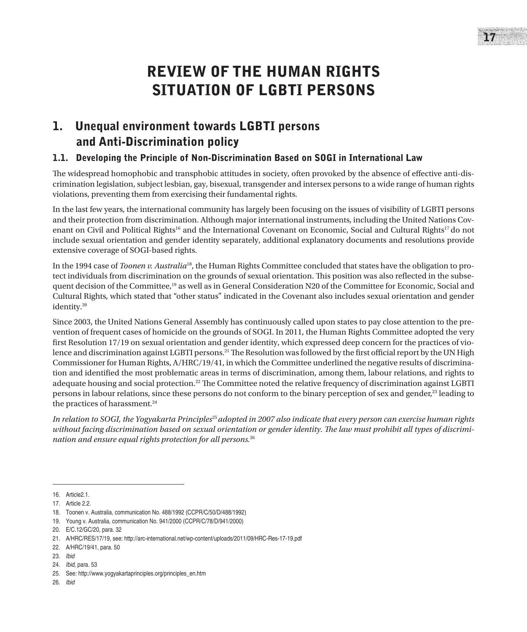# REVIEW OF THE HUMAN RIGHTS SITUATION OF LGBTI PERSONS

## 1. Unequal environment towards LGBTI persons and Anti-Discrimination policy

## 1.1. Developing the Principle of Non-Discrimination Based on SOGI in International Law

The widespread homophobic and transphobic attitudes in society, often provoked by the absence of effective anti-discrimination legislation, subject lesbian, gay, bisexual, transgender and intersex persons to a wide range of human rights violations, preventing them from exercising their fundamental rights.

In the last few years, the international community has largely been focusing on the issues of visibility of LGBTI persons and their protection from discrimination. Although major international instruments, including the United Nations Covenant on Civil and Political Rights<sup>16</sup> and the International Covenant on Economic, Social and Cultural Rights<sup>17</sup> do not include sexual orientation and gender identity separately, additional explanatory documents and resolutions provide extensive coverage of SOGI-based rights.

In the 1994 case of *Toonen v. Australia*18, the Human Rights Committee concluded that states have the obligation to protect individuals from discrimination on the grounds of sexual orientation. This position was also reflected in the subsequent decision of the Committee,<sup>19</sup> as well as in General Consideration N20 of the Committee for Economic, Social and Cultural Rights, which stated that "other status" indicated in the Covenant also includes sexual orientation and gender identity.20

Since 2003, the United Nations General Assembly has continuously called upon states to pay close attention to the prevention of frequent cases of homicide on the grounds of SOGI. In 2011, the Human Rights Committee adopted the very first Resolution 17/19 on sexual orientation and gender identity, which expressed deep concern for the practices of violence and discrimination against LGBTI persons.<sup>21</sup> The Resolution was followed by the first official report by the UN High Commissioner for Human Rights, A/HRC/19/41, in which the Committee underlined the negative results of discrimination and identified the most problematic areas in terms of discrimination, among them, labour relations, and rights to adequate housing and social protection.<sup>22</sup> The Committee noted the relative frequency of discrimination against LGBTI persons in labour relations, since these persons do not conform to the binary perception of sex and gender,<sup>23</sup> leading to the practices of harassment.<sup>24</sup>

*In relation to SOGI, the Yogyakarta Principles*<sup>25</sup>*adopted in 2007 also indicate that every person can exercise human rights without facing discrimination based on sexual orientation or gender identity. The law must prohibit all types of discrimination and ensure equal rights protection for all persons.*<sup>26</sup>

<sup>16.</sup> Article2.1.

<sup>17.</sup> Article 2.2.

<sup>18.</sup> Toonen v. Australia, communication No. 488/1992 (CCPR/C/50/D/488/1992)

<sup>19.</sup> Young v. Australia, communication No. 941/2000 (CCPR/C/78/D/941/2000)

<sup>20.</sup> E/C.12/GC/20, para. 32

<sup>21.</sup> A/HRC/RES/17/19, see: http://arc-international.net/wp-content/uploads/2011/09/HRC-Res-17-19.pdf

<sup>22.</sup> A/HRC/19/41, para. 50

<sup>23.</sup> *Ibid*

<sup>24.</sup> *Ibid*, para. 53

<sup>25.</sup> See: http://www.yogyakartaprinciples.org/principles\_en.htm

<sup>26.</sup> *Ibid*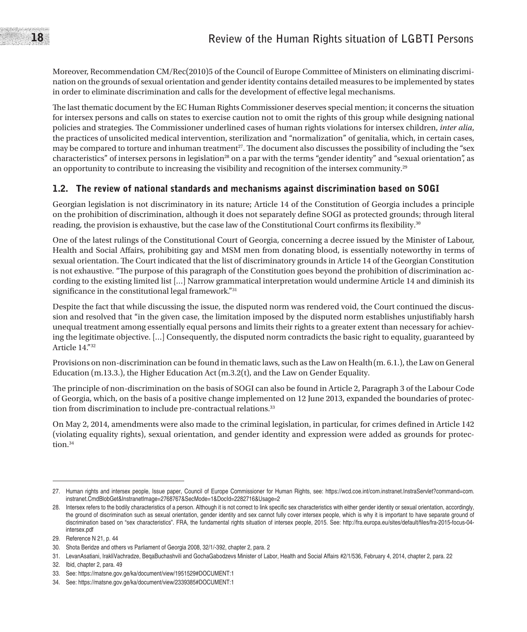Moreover, Recommendation CM/Rec(2010)5 of the Council of Europe Committee of Ministers on eliminating discrimination on the grounds of sexual orientation and gender identity contains detailed measures to be implemented by states in order to eliminate discrimination and calls for the development of effective legal mechanisms.

The last thematic document by the EC Human Rights Commissioner deserves special mention; it concerns the situation for intersex persons and calls on states to exercise caution not to omit the rights of this group while designing national policies and strategies. The Commissioner underlined cases of human rights violations for intersex children, *inter alia*, the practices of unsolicited medical intervention, sterilization and "normalization" of genitalia, which, in certain cases, may be compared to torture and inhuman treatment<sup>27</sup>. The document also discusses the possibility of including the "sex" characteristics" of intersex persons in legislation<sup>28</sup> on a par with the terms "gender identity" and "sexual orientation", as an opportunity to contribute to increasing the visibility and recognition of the intersex community.<sup>29</sup>

### 1.2. The review of national standards and mechanisms against discrimination based on SOGI

Georgian legislation is not discriminatory in its nature; Article 14 of the Constitution of Georgia includes a principle on the prohibition of discrimination, although it does not separately define SOGI as protected grounds; through literal reading, the provision is exhaustive, but the case law of the Constitutional Court confirms its flexibility.30

One of the latest rulings of the Constitutional Court of Georgia, concerning a decree issued by the Minister of Labour, Health and Social Affairs, prohibiting gay and MSM men from donating blood, is essentially noteworthy in terms of sexual orientation. The Court indicated that the list of discriminatory grounds in Article 14 of the Georgian Constitution is not exhaustive. "The purpose of this paragraph of the Constitution goes beyond the prohibition of discrimination according to the existing limited list […] Narrow grammatical interpretation would undermine Article 14 and diminish its significance in the constitutional legal framework."<sup>31</sup>

Despite the fact that while discussing the issue, the disputed norm was rendered void, the Court continued the discussion and resolved that "in the given case, the limitation imposed by the disputed norm establishes unjustifiably harsh unequal treatment among essentially equal persons and limits their rights to a greater extent than necessary for achieving the legitimate objective. […] Consequently, the disputed norm contradicts the basic right to equality, guaranteed by Article 14."32

Provisions on non-discrimination can be found in thematic laws, such as the Law on Health(m. 6.1.), the Law on General Education (m.13.3.), the Higher Education Act (m.3.2(t), and the Law on Gender Equality.

The principle of non-discrimination on the basis of SOGI can also be found in Article 2, Paragraph 3 of the Labour Code of Georgia, which, on the basis of a positive change implemented on 12 June 2013, expanded the boundaries of protection from discrimination to include pre-contractual relations.<sup>33</sup>

On May 2, 2014, amendments were also made to the criminal legislation, in particular, for crimes defined in Article 142 (violating equality rights), sexual orientation, and gender identity and expression were added as grounds for protection.<sup>34</sup>

<sup>27.</sup> Human rights and intersex people, Issue paper, Council of Europe Commissioner for Human Rights, see: https://wcd.coe.int/com.instranet.InstraServlet?command=com. instranet.CmdBlobGet&InstranetImage=2768767&SecMode=1&DocId=2282716&Usage=2

<sup>28.</sup> Intersex refers to the bodily characteristics of a person. Although it is not correct to link specific sex characteristics with either gender identity or sexual orientation, accordingly, the ground of discrimination such as sexual orientation, gender identity and sex cannot fully cover intersex people, which is why it is important to have separate ground of discrimination based on "sex characteristics". FRA, the fundamental rights situation of intersex people, 2015. See: http://fra.europa.eu/sites/default/files/fra-2015-focus-04 intersex.pdf

<sup>29.</sup> Reference N 21, p. 44

<sup>30.</sup> Shota Beridze and others vs Parliament of Georgia 2008, 32/1/-392, chapter 2, para. 2

<sup>31.</sup> LevanAsatiani, IrakliVachradze, BeqaBuchashvili and GochaGabodzevs Minister of Labor, Health and Social Affairs #2/1/536, February 4, 2014, chapter 2, para. 22

<sup>32.</sup> Ibid, chapter 2, para. 49

<sup>33.</sup> See: https://matsne.gov.ge/ka/document/view/1951529#DOCUMENT:1

<sup>34.</sup> See: https://matsne.gov.ge/ka/document/view/2339385#DOCUMENT:1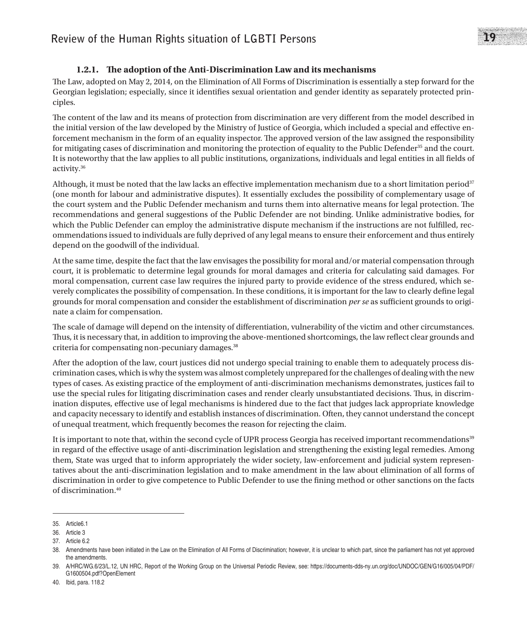### **1.2.1. The adoption of the Anti-Discrimination Law and its mechanisms**

The Law, adopted on May 2, 2014, on the Elimination of All Forms of Discrimination is essentially a step forward for the Georgian legislation; especially, since it identifies sexual orientation and gender identity as separately protected principles.

The content of the law and its means of protection from discrimination are very different from the model described in the initial version of the law developed by the Ministry of Justice of Georgia, which included a special and effective enforcement mechanism in the form of an equality inspector. The approved version of the law assigned the responsibility for mitigating cases of discrimination and monitoring the protection of equality to the Public Defender<sup>35</sup> and the court. It is noteworthy that the law applies to all public institutions, organizations, individuals and legal entities in all fields of activity.36

Although, it must be noted that the law lacks an effective implementation mechanism due to a short limitation period $37$ (one month for labour and administrative disputes). It essentially excludes the possibility of complementary usage of the court system and the Public Defender mechanism and turns them into alternative means for legal protection. The recommendations and general suggestions of the Public Defender are not binding. Unlike administrative bodies, for which the Public Defender can employ the administrative dispute mechanism if the instructions are not fulfilled, recommendations issued to individuals are fully deprived of any legal means to ensure their enforcement and thus entirely depend on the goodwill of the individual.

At the same time, despite the fact that the law envisages the possibility for moral and/or material compensation through court, it is problematic to determine legal grounds for moral damages and criteria for calculating said damages. For moral compensation, current case law requires the injured party to provide evidence of the stress endured, which severely complicates the possibility of compensation. In these conditions, it is important for the law to clearly define legal grounds for moral compensation and consider the establishment of discrimination *per se* as sufficient grounds to originate a claim for compensation.

The scale of damage will depend on the intensity of differentiation, vulnerability of the victim and other circumstances. Thus, it is necessary that, in addition to improving the above-mentioned shortcomings, the law reflect clear grounds and criteria for compensating non-pecuniary damages.<sup>38</sup>

After the adoption of the law, court justices did not undergo special training to enable them to adequately process discrimination cases, which is why the system was almost completely unprepared for the challenges of dealing with the new types of cases. As existing practice of the employment of anti-discrimination mechanisms demonstrates, justices fail to use the special rules for litigating discrimination cases and render clearly unsubstantiated decisions. Thus, in discrimination disputes, effective use of legal mechanisms is hindered due to the fact that judges lack appropriate knowledge and capacity necessary to identify and establish instances of discrimination. Often, they cannot understand the concept of unequal treatment, which frequently becomes the reason for rejecting the claim.

It is important to note that, within the second cycle of UPR process Georgia has received important recommendations<sup>39</sup> in regard of the effective usage of anti-discrimination legislation and strengthening the existing legal remedies. Among them, State was urged that to inform appropriately the wider society, law-enforcement and judicial system representatives about the anti-discrimination legislation and to make amendment in the law about elimination of all forms of discrimination in order to give competence to Public Defender to use the fining method or other sanctions on the facts of discrimination.40

<sup>35.</sup> Article6.1

<sup>36.</sup> Article 3

<sup>37.</sup> Article 6.2

<sup>38.</sup> Amendments have been initiated in the Law on the Elimination of All Forms of Discrimination; however, it is unclear to which part, since the parliament has not yet approved the amendments.

<sup>39.</sup> A/HRC/WG.6/23/L.12, UN HRC, Report of the Working Group on the Universal Periodic Review, see: https://documents-dds-ny.un.org/doc/UNDOC/GEN/G16/005/04/PDF/ G1600504.pdf?OpenElement

<sup>40.</sup> Ibid, para. 118.2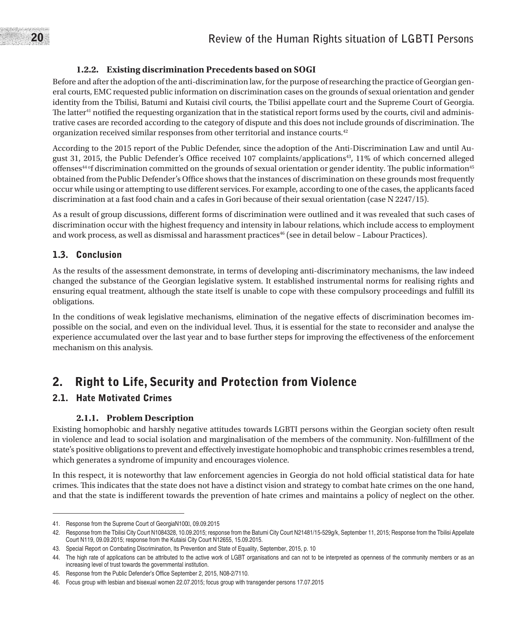#### **1.2.2. Existing discrimination Precedents based on SOGI**

Before and after the adoption of the anti-discrimination law, for the purpose of researching the practice of Georgian general courts, EMC requested public information on discrimination cases on the grounds of sexual orientation and gender identity from the Tbilisi, Batumi and Kutaisi civil courts, the Tbilisi appellate court and the Supreme Court of Georgia. The latter<sup>41</sup> notified the requesting organization that in the statistical report forms used by the courts, civil and administrative cases are recorded according to the category of dispute and this does not include grounds of discrimination. The organization received similar responses from other territorial and instance courts.42

According to the 2015 report of the Public Defender, since the adoption of the Anti-Discrimination Law and until August 31, 2015, the Public Defender's Office received 107 complaints/applications43, 11% of which concerned alleged offenses<sup>44 of</sup> discrimination committed on the grounds of sexual orientation or gender identity. The public information<sup>45</sup> obtained from thePublic Defender's Office shows that the instances of discrimination on these grounds most frequently occur while using or attempting to use different services. For example, according to one of the cases, the applicants faced discrimination at a fast food chain and a cafes in Gori because of their sexual orientation (case N 2247/15).

As a result of group discussions, different forms of discrimination were outlined and it was revealed that such cases of discrimination occur with the highest frequency and intensity in labour relations, which include access to employment and work process, as well as dismissal and harassment practices<sup>46</sup> (see in detail below - Labour Practices).

## 1.3. Conclusion

As the results of the assessment demonstrate, in terms of developing anti-discriminatory mechanisms, the law indeed changed the substance of the Georgian legislative system. It established instrumental norms for realising rights and ensuring equal treatment, although the state itself is unable to cope with these compulsory proceedings and fulfill its obligations.

In the conditions of weak legislative mechanisms, elimination of the negative effects of discrimination becomes impossible on the social, and even on the individual level. Thus, it is essential for the state to reconsider and analyse the experience accumulated over the last year and to base further steps for improving the effectiveness of the enforcement mechanism on this analysis.

## 2. Right to Life, Security and Protection from Violence

## 2.1. Hate Motivated Crimes

#### **2.1.1. Problem Description**

Existing homophobic and harshly negative attitudes towards LGBTI persons within the Georgian society often result in violence and lead to social isolation and marginalisation of the members of the community. Non-fulfillment of the state's positive obligations to prevent and effectively investigate homophobic and transphobic crimes resembles a trend, which generates a syndrome of impunity and encourages violence.

In this respect, it is noteworthy that law enforcement agencies in Georgia do not hold official statistical data for hate crimes. This indicates that the state does not have a distinct vision and strategy to combat hate crimes on the one hand, and that the state is indifferent towards the prevention of hate crimes and maintains a policy of neglect on the other.

<sup>41.</sup> Response from the Supreme Court of GeorgiaN100ვ, 09.09.2015

<sup>42.</sup> Response from the Tbilisi City Court N1084328, 10.09.2015; response from the Batumi City Court N21481/15-529g/k, September 11, 2015; Response from the Tbilisi Appellate Court N119, 09.09.2015; response from the Kutaisi City Court N12655, 15.09.2015.

<sup>43.</sup> Special Report on Combating Discrimination, Its Prevention and State of Equality, September, 2015, p. 10

<sup>44.</sup> The high rate of applications can be attributed to the active work of LGBT organisations and can not to be interpreted as openness of the community members or as an increasing level of trust towards the governmental institution.

<sup>45.</sup> Response from the Public Defender's Office September 2, 2015, N08-2/7110.

<sup>46.</sup> Focus group with lesbian and bisexual women 22.07.2015; focus group with transgender persons 17.07.2015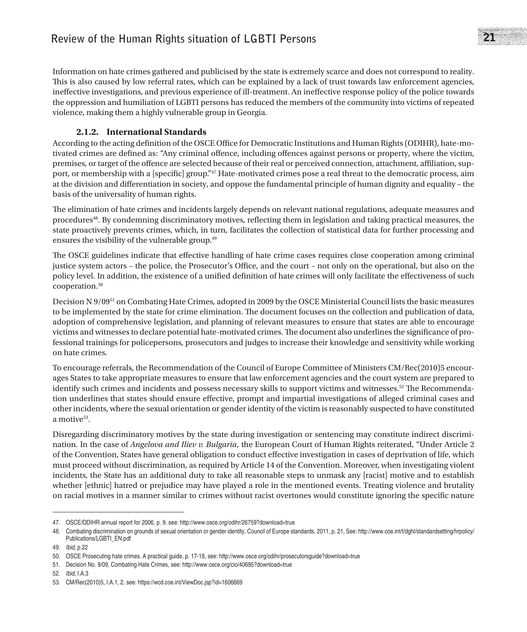Information on hate crimes gathered and publicised by the state is extremely scarce and does not correspond to reality. This is also caused by low referral rates, which can be explained by a lack of trust towards law enforcement agencies, ineffective investigations, and previous experience of ill-treatment. An ineffective response policy of the police towards the oppression and humiliation of LGBTI persons has reduced the members of the community into victims of repeated violence, making them a highly vulnerable group in Georgia.

### **2.1.2. International Standards**

According to the acting definition of the OSCE Office for Democratic Institutions and Human Rights (ODIHR), hate-motivated crimes are defined as: "Any criminal offence, including offences against persons or property, where the victim, premises, or target of the offence are selected because of their real or perceived connection, attachment, affiliation, support, or membership with a [specific] group."<sup>47</sup> Hate-motivated crimes pose a real threat to the democratic process, aim at the division and differentiation in society, and oppose the fundamental principle of human dignity and equality – the basis of the universality of human rights.

The elimination of hate crimes and incidents largely depends on relevant national regulations, adequate measures and procedures<sup>48</sup>. By condemning discriminatory motives, reflecting them in legislation and taking practical measures, the state proactively prevents crimes, which, in turn, facilitates the collection of statistical data for further processing and ensures the visibility of the vulnerable group.<sup>49</sup>

The OSCE guidelines indicate that effective handling of hate crime cases requires close cooperation among criminal justice system actors – the police, the Prosecutor's Office, and the court – not only on the operational, but also on the policy level. In addition, the existence of a unified definition of hate crimes will only facilitate the effectiveness of such cooperation.50

Decision N 9/0951 on Combating Hate Crimes, adopted in 2009 by the OSCE Ministerial Council lists the basic measures to be implemented by the state for crime elimination. The document focuses on the collection and publication of data, adoption of comprehensive legislation, and planning of relevant measures to ensure that states are able to encourage victims and witnesses to declare potential hate-motivated crimes. The document also underlines the significance of professional trainings for policepersons, prosecutors and judges to increase their knowledge and sensitivity while working on hate crimes.

To encourage referrals, the Recommendation of the Council of Europe Committee of Ministers CM/Rec(2010)5 encourages States to take appropriate measures to ensure that law enforcement agencies and the court system are prepared to identify such crimes and incidents and possess necessary skills to support victims and witnesses.<sup>52</sup> The Recommendation underlines that states should ensure effective, prompt and impartial investigations of alleged criminal cases and other incidents, where the sexual orientation or gender identity of the victim is reasonably suspected to have constituted a motive<sup>53</sup>.

Disregarding discriminatory motives by the state during investigation or sentencing may constitute indirect discrimination. In the case of *Angelova and Iliev v. Bulgaria,* the European Court of Human Rights reiterated, "Under Article 2 of the Convention, States have general obligation to conduct effective investigation in cases of deprivation of life, which must proceed without discrimination, as required by Article 14 of the Convention. Moreover, when investigating violent incidents, the State has an additional duty to take all reasonable steps to unmask any [racist] motive and to establish whether [ethnic] hatred or prejudice may have played a role in the mentioned events. Treating violence and brutality on racial motives in a manner similar to crimes without racist overtones would constitute ignoring the specific nature

<sup>47.</sup> OSCE/ODIHR annual report for 2006, p. 9. see: http://www.osce.org/odihr/26759?download=true

<sup>48.</sup> Combating discrimination on grounds of sexual orientation or gender identity, Council of Europe standards, 2011, p. 21, See: http://www.coe.int/t/dghl/standardsetting/hrpolicy/ Publications/LGBTI\_EN.pdf

<sup>49.</sup> *Ibid*, p.22

<sup>50.</sup> OSCE Prosecuting hate crimes. A practical guide, p. 17-18, see: http://www.osce.org/odihr/prosecutorsguide?download=true

<sup>51.</sup> Decision No. 9/09, Combating Hate Crimes, see: http://www.osce.org/cio/40695?download=true

<sup>52.</sup> *Ibid*, I.A.3

<sup>53.</sup> CM/Rec(2010)5, I.A.1, 2. see: https://wcd.coe.int/ViewDoc.jsp?id=1606669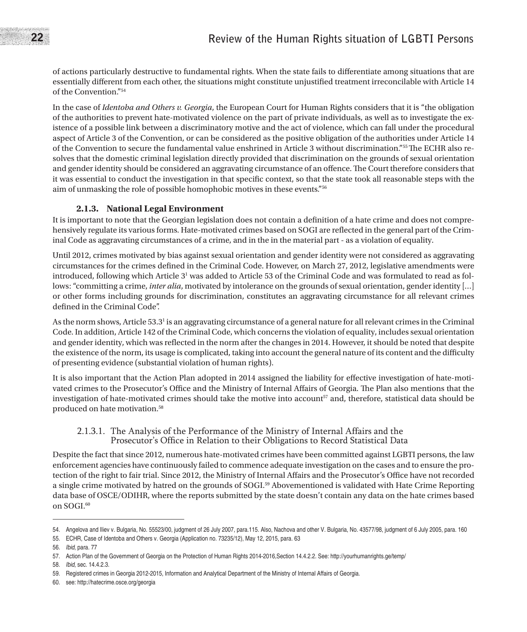of actions particularly destructive to fundamental rights. When the state fails to differentiate among situations that are essentially different from each other, the situations might constitute unjustified treatment irreconcilable with Article 14 of the Convention."54

In the case of *Identoba and Others v. Georgia*, the European Court for Human Rights considers that it is "the obligation of the authorities to prevent hate-motivated violence on the part of private individuals, as well as to investigate the existence of a possible link between a discriminatory motive and the act of violence, which can fall under the procedural aspect of Article 3 of the Convention, or can be considered as the positive obligation of the authorities under Article 14 of the Convention to secure the fundamental value enshrined in Article 3 without discrimination."55The ECHR also resolves that the domestic criminal legislation directly provided that discrimination on the grounds of sexual orientation and gender identity should be considered an aggravating circumstance of an offence. The Court therefore considers that it was essential to conduct the investigation in that specific context, so that the state took all reasonable steps with the aim of unmasking the role of possible homophobic motives in these events."56

#### **2.1.3. National Legal Environment**

It is important to note that the Georgian legislation does not contain a definition of a hate crime and does not comprehensively regulate its various forms. Hate-motivated crimes based on SOGI are reflected in the general part of the Criminal Code as aggravating circumstances of a crime, and in the in the material part - as a violation of equality.

Until 2012, crimes motivated by bias against sexual orientation and gender identity were not considered as aggravating circumstances for the crimes defined in the Criminal Code. However, on March 27, 2012, legislative amendments were introduced, following which Article 3<sup>1</sup> was added to Article 53 of the Criminal Code and was formulated to read as follows: "committing a crime, *inter alia*, motivated by intolerance on the grounds of sexual orientation, gender identity […] or other forms including grounds for discrimination, constitutes an aggravating circumstance for all relevant crimes defined in the Criminal Code".

As the norm shows, Article 53.3<sup>1</sup> is an aggravating circumstance of a general nature for all relevant crimes in the Criminal Code. In addition, Article 142 of the Criminal Code, which concerns the violation of equality, includes sexual orientation and gender identity, which was reflected in the norm after the changes in 2014. However, it should be noted that despite the existence of the norm, its usage is complicated, taking into account the general nature of its content and the difficulty of presenting evidence (substantial violation of human rights).

It is also important that the Action Plan adopted in 2014 assigned the liability for effective investigation of hate-motivated crimes to the Prosecutor's Office and the Ministry of Internal Affairs of Georgia. The Plan also mentions that the investigation of hate-motivated crimes should take the motive into account<sup>57</sup> and, therefore, statistical data should be produced on hate motivation.58

#### 2.1.3.1. The Analysis of the Performance of the Ministry of Internal Affairs and the Prosecutor's Office in Relation to their Obligations to Record Statistical Data

Despite the fact that since 2012, numerous hate-motivated crimes have been committed against LGBTI persons, the law enforcement agencies have continuously failed to commence adequate investigation on the cases and to ensure the protection of the right to fair trial. Since 2012, the Ministry of Internal Affairs and the Prosecutor's Office have not recorded a single crime motivated by hatred on the grounds of SOGI.59 Abovementioned is validated with Hate Crime Reporting data base of OSCE/ODIHR, where the reports submitted by the state doesn't contain any data on the hate crimes based on SOGI.60

<sup>54.</sup> Angelova and Iliev v. Bulgaria, No. 55523/00, judgment of 26 July 2007, para.115. Also, Nachova and other V. Bulgaria, No. 43577/98, judgment of 6 July 2005, para. 160

<sup>55.</sup> ECHR, Case of Identoba and Others v. Georgia (Application no. 73235/12), May 12, 2015, para. 63

<sup>56.</sup> *Ibid*, para. 77

<sup>57.</sup> Action Plan of the Government of Georgia on the Protection of Human Rights 2014-2016,Section 14.4.2.2. See: http://yourhumanrights.ge/temp/

<sup>58.</sup> *Ibid*, sec. 14.4.2.3.

<sup>59.</sup> Registered crimes in Georgia 2012-2015, Information and Analytical Department of the Ministry of Internal Affairs of Georgia.

<sup>60.</sup> see: http://hatecrime.osce.org/georgia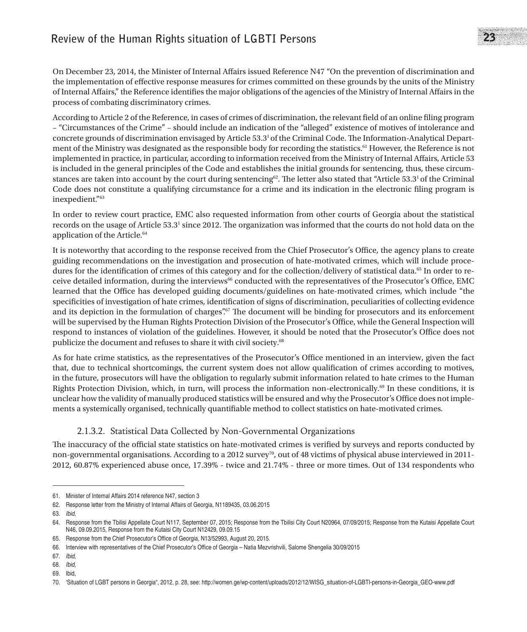On December 23, 2014, the Minister of Internal Affairs issued Reference N47 "On the prevention of discrimination and the implementation of effective response measures for crimes committed on these grounds by the units of the Ministry of Internal Affairs," the Reference identifies the major obligations of the agencies of the Ministry of Internal Affairs in the process of combating discriminatory crimes.

According to Article 2 of the Reference, in cases of crimes of discrimination, the relevant field of an online filing program – "Circumstances of the Crime" – should include an indication of the "alleged" existence of motives of intolerance and concrete grounds of discrimination envisaged by Article 53.3<sup>1</sup> of the Criminal Code. The Information-Analytical Department of the Ministry was designated as the responsible body for recording the statistics.<sup>61</sup> However, the Reference is not implemented in practice, in particular, according to information received from the Ministry of Internal Affairs, Article 53 is included in the general principles of the Code and establishes the initial grounds for sentencing, thus, these circumstances are taken into account by the court during sentencing<sup>62</sup>. The letter also stated that "Article 53.3<sup>1</sup> of the Criminal" Code does not constitute a qualifying circumstance for a crime and its indication in the electronic filing program is inexpedient."63

In order to review court practice, EMC also requested information from other courts of Georgia about the statistical records on the usage of Article 53.3<sup>1</sup> since 2012. The organization was informed that the courts do not hold data on the application of the Article.<sup>64</sup>

It is noteworthy that according to the response received from the Chief Prosecutor's Office, the agency plans to create guiding recommendations on the investigation and prosecution of hate-motivated crimes, which will include procedures for the identification of crimes of this category and for the collection/delivery of statistical data.<sup>65</sup> In order to receive detailed information, during the interviews<sup>66</sup> conducted with the representatives of the Prosecutor's Office, EMC learned that the Office has developed guiding documents/guidelines on hate-motivated crimes, which include "the specificities of investigation of hate crimes, identification of signs of discrimination, peculiarities of collecting evidence and its depiction in the formulation of charges".<sup>67</sup> The document will be binding for prosecutors and its enforcement will be supervised by the Human Rights Protection Division of the Prosecutor's Office, while the General Inspection will respond to instances of violation of the guidelines. However, it should be noted that the Prosecutor's Office does not publicize the document and refuses to share it with civil society.<sup>68</sup>

As for hate crime statistics, as the representatives of the Prosecutor's Office mentioned in an interview, given the fact that, due to technical shortcomings, the current system does not allow qualification of crimes according to motives, in the future, prosecutors will have the obligation to regularly submit information related to hate crimes to the Human Rights Protection Division, which, in turn, will process the information non-electronically.<sup>69</sup> In these conditions, it is unclear how the validity of manually produced statistics will be ensured and why the Prosecutor's Office does not implements a systemically organised, technically quantifiable method to collect statistics on hate-motivated crimes.

#### 2.1.3.2. Statistical Data Collected by Non-Governmental Organizations

The inaccuracy of the official state statistics on hate-motivated crimes is verified by surveys and reports conducted by non-governmental organisations. According to a 2012 survey<sup>70</sup>, out of 48 victims of physical abuse interviewed in 2011-2012, 60.87% experienced abuse once, 17.39% - twice and 21.74% - three or more times. Out of 134 respondents who

<sup>61.</sup> Minister of Internal Affairs 2014 reference N47, section 3

<sup>62.</sup> Response letter from the Ministry of Internal Affairs of Georgia, N1189435, 03.06.2015

<sup>63.</sup> *Ibid*,

<sup>64.</sup> Response from the Tbilisi Appellate Court N117, September 07, 2015; Response from the Tbilisi City Court N20964, 07/09/2015; Response from the Kutaisi Appellate Court N46, 09.09.2015, Response from the Kutaisi City Court N12429, 09.09.15

<sup>65.</sup> Response from the Chief Prosecutor's Office of Georgia, N13/52993, August 20, 2015.

<sup>66.</sup> Interview with representatives of the Chief Prosecutor's Office of Georgia – Natia Mezvrishvili, Salome Shengelia 30/09/2015

<sup>67.</sup> *Ibid*,

<sup>68.</sup> *Ibid*,

<sup>69.</sup> Ibid,

<sup>70.</sup> 'Situation of LGBT persons in Georgia", 2012, p. 28, see: http://women.ge/wp-content/uploads/2012/12/WISG\_situation-of-LGBTI-persons-in-Georgia\_GEO-www.pdf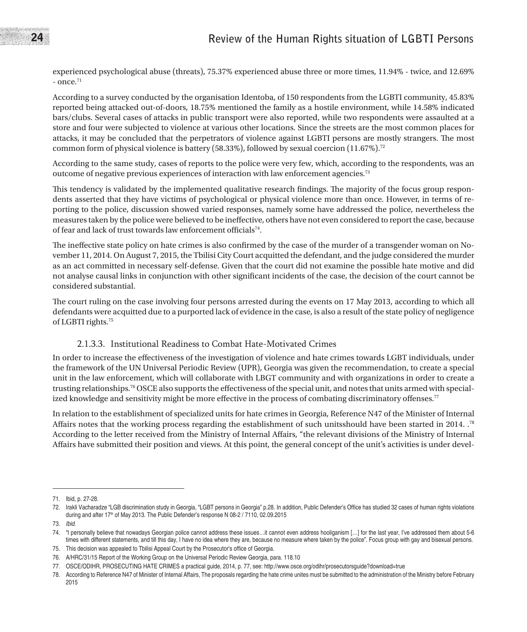experienced psychological abuse (threats), 75.37% experienced abuse three or more times, 11.94% - twice, and 12.69%  $-$  once.<sup>71</sup>

According to a survey conducted by the organisation Identoba, of 150 respondents from the LGBTI community, 45.83% reported being attacked out-of-doors, 18.75% mentioned the family as a hostile environment, while 14.58% indicated bars/clubs. Several cases of attacks in public transport were also reported, while two respondents were assaulted at a store and four were subjected to violence at various other locations. Since the streets are the most common places for attacks, it may be concluded that the perpetrators of violence against LGBTI persons are mostly strangers. The most common form of physical violence is battery (58.33%), followed by sexual coercion (11.67%).72

According to the same study, cases of reports to the police were very few, which, according to the respondents, was an outcome of negative previous experiences of interaction with law enforcement agencies.73

This tendency is validated by the implemented qualitative research findings. The majority of the focus group respondents asserted that they have victims of psychological or physical violence more than once. However, in terms of reporting to the police, discussion showed varied responses, namely some have addressed the police, nevertheless the measures taken by the police were believed to be ineffective, others have not even considered to report the case, because of fear and lack of trust towards law enforcement officials<sup>74</sup>.

The ineffective state policy on hate crimes is also confirmed by the case of the murder of a transgender woman on November 11, 2014. On August 7, 2015, the Tbilisi City Court acquitted the defendant, and the judge considered the murder as an act committed in necessary self-defense. Given that the court did not examine the possible hate motive and did not analyse causal links in conjunction with other significant incidents of the case, the decision of the court cannot be considered substantial.

The court ruling on the case involving four persons arrested during the events on 17 May 2013, according to which all defendants were acquitted due to a purported lack of evidence in the case, is also a result of the state policy of negligence of LGBTI rights.75

#### 2.1.3.3. Institutional Readiness to Combat Hate-Motivated Crimes

In order to increase the effectiveness of the investigation of violence and hate crimes towards LGBT individuals, under the framework of the UN Universal Periodic Review (UPR), Georgia was given the recommendation, to create a special unit in the law enforcement, which will collaborate with LBGT community and with organizations in order to create a trusting relationships.76 OSCE also supports the effectiveness of the special unit, and notes that units armed with specialized knowledge and sensitivity might be more effective in the process of combating discriminatory offenses.<sup>77</sup>

In relation to the establishment of specialized units for hate crimes in Georgia, Reference N47 of the Minister of Internal Affairs notes that the working process regarding the establishment of such unitsshould have been started in 2014. .78 According to the letter received from the Ministry of Internal Affairs, "the relevant divisions of the Ministry of Internal Affairs have submitted their position and views. At this point, the general concept of the unit's activities is under devel-

<sup>71.</sup> Ibid, p. 27-28.

<sup>72.</sup> Irakli Vacharadze "LGB discrimination study in Georgia, "LGBT persons in Georgia" p.28. In addition, Public Defender's Office has studied 32 cases of human rights violations during and after 17<sup>th</sup> of May 2013. The Public Defender's response N 08-2 / 7110, 02.09.2015

<sup>73.</sup> *Ibid*.

<sup>74.</sup> "I personally believe that nowadays Georgian police cannot address these issues…it cannot even address hooliganism […] for the last year, I've addressed them about 5-6 times with different statements, and till this day, I have no idea where they are, because no measure where taken by the police". Focus group with gay and bisexual persons.

<sup>75.</sup> This decision was appealed to Tbilisi Appeal Court by the Prosecutor's office of Georgia.

<sup>76.</sup> A/HRC/31/15 Report of the Working Group on the Universal Periodic Review Georgia, para. 118.10

<sup>77.</sup> OSCE/ODIHR, PROSECUTING HATE CRIMES a practical guide, 2014, p. 77, see: http://www.osce.org/odihr/prosecutorsguide?download=true

<sup>78.</sup> According to Reference N47 of Minister of Internal Affairs, The proposals regarding the hate crime unites must be submitted to the administration of the Ministry before February 2015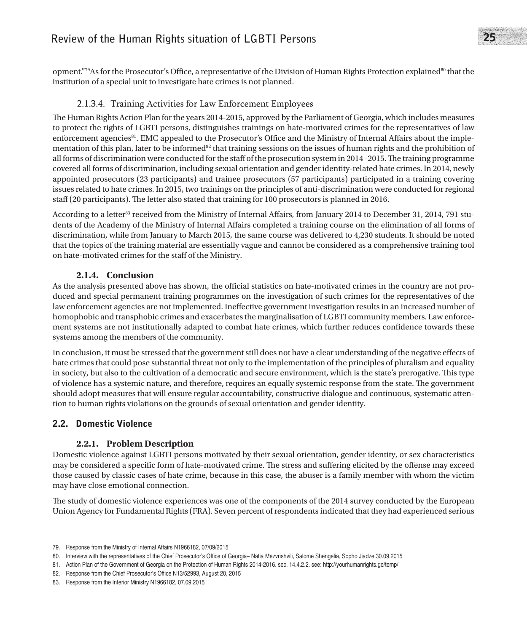## **Review of the Human Rights situation of LGBTI Persons** 25

opment."79As for the Prosecutor's Office, a representative of the Division of Human Rights Protection explained<sup>80</sup> that the institution of a special unit to investigate hate crimes is not planned.

#### 2.1.3.4. Training Activities for Law Enforcement Employees

The Human Rights Action Plan for the years 2014-2015, approved by the Parliament of Georgia, which includes measures to protect the rights of LGBTI persons, distinguishes trainings on hate-motivated crimes for the representatives of law enforcement agencies<sup>81</sup>. EMC appealed to the Prosecutor's Office and the Ministry of Internal Affairs about the implementation of this plan, later to be informed<sup>82</sup> that training sessions on the issues of human rights and the prohibition of all forms of discrimination were conducted for the staff of the prosecution system in 2014 -2015. The training programme covered all forms of discrimination, including sexual orientation and gender identity-related hate crimes. In 2014, newly appointed prosecutors (23 participants) and trainee prosecutors (57 participants) participated in a training covering issues related to hate crimes. In 2015, two trainings on the principles of anti-discrimination were conducted for regional staff (20 participants). The letter also stated that training for 100 prosecutors is planned in 2016.

According to a letter<sup>83</sup> received from the Ministry of Internal Affairs, from January 2014 to December 31, 2014, 791 students of the Academy of the Ministry of Internal Affairs completed a training course on the elimination of all forms of discrimination, while from January to March 2015, the same course was delivered to 4,230 students. It should be noted that the topics of the training material are essentially vague and cannot be considered as a comprehensive training tool on hate-motivated crimes for the staff of the Ministry.

#### **2.1.4. Conclusion**

As the analysis presented above has shown, the official statistics on hate-motivated crimes in the country are not produced and special permanent training programmes on the investigation of such crimes for the representatives of the law enforcement agencies are not implemented. Ineffective government investigation results in an increased number of homophobic and transphobic crimes and exacerbates the marginalisation of LGBTI community members. Law enforcement systems are not institutionally adapted to combat hate crimes, which further reduces confidence towards these systems among the members of the community.

In conclusion, it must be stressed that the government still does not have a clear understanding of the negative effects of hate crimes that could pose substantial threat not only to the implementation of the principles of pluralism and equality in society, but also to the cultivation of a democratic and secure environment, which is the state's prerogative. This type of violence has a systemic nature, and therefore, requires an equally systemic response from the state. The government should adopt measures that will ensure regular accountability, constructive dialogue and continuous, systematic attention to human rights violations on the grounds of sexual orientation and gender identity.

#### 2.2. Domestic Violence

#### **2.2.1. Problem Description**

Domestic violence against LGBTI persons motivated by their sexual orientation, gender identity, or sex characteristics may be considered a specific form of hate-motivated crime. The stress and suffering elicited by the offense may exceed those caused by classic cases of hate crime, because in this case, the abuser is a family member with whom the victim may have close emotional connection.

The study of domestic violence experiences was one of the components of the 2014 survey conducted by the European Union Agency for Fundamental Rights (FRA). Seven percent of respondents indicated that they had experienced serious

<sup>79.</sup> Response from the Ministry of Internal Affairs N1966182, 07/09/2015

<sup>80.</sup> Interview with the representatives of the Chief Prosecutor's Office of Georgia– Natia Mezvrishvili, Salome Shengelia, Sopho Jiadze.30.09.2015

<sup>81.</sup> Action Plan of the Government of Georgia on the Protection of Human Rights 2014-2016. sec. 14.4.2.2. see: http://yourhumanrights.ge/temp/

<sup>82.</sup> Response from the Chief Prosecutor's Office N13/52993, August 20, 2015

<sup>83.</sup> Response from the Interior Ministry N1966182, 07.09.2015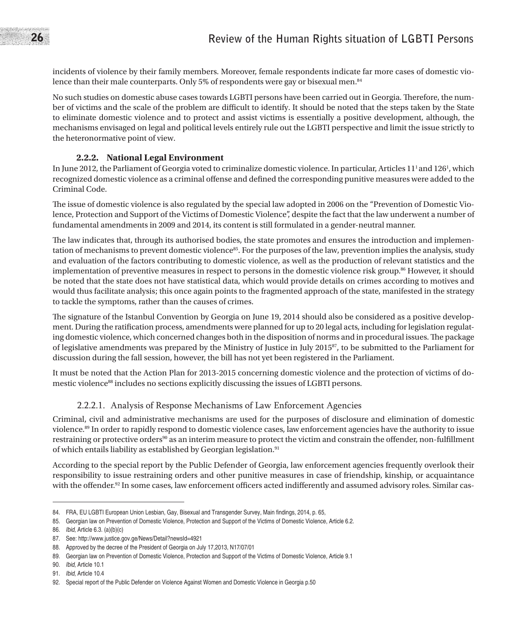incidents of violence by their family members. Moreover, female respondents indicate far more cases of domestic violence than their male counterparts. Only 5% of respondents were gay or bisexual men.<sup>84</sup>

No such studies on domestic abuse cases towards LGBTI persons have been carried out in Georgia. Therefore, the number of victims and the scale of the problem are difficult to identify. It should be noted that the steps taken by the State to eliminate domestic violence and to protect and assist victims is essentially a positive development, although, the mechanisms envisaged on legal and political levels entirely rule out the LGBTI perspective and limit the issue strictly to the heteronormative point of view.

#### **2.2.2. National Legal Environment**

In June 2012, the Parliament of Georgia voted to criminalize domestic violence. In particular, Articles 11<sup>1</sup> and 126<sup>1</sup>, which recognized domestic violence as a criminal offense and defined the corresponding punitive measures were added to the Criminal Code.

The issue of domestic violence is also regulated by the special law adopted in 2006 on the "Prevention of Domestic Violence, Protection and Support of the Victims of Domestic Violence", despite the fact that the law underwent a number of fundamental amendments in 2009 and 2014, its content is still formulated in a gender-neutral manner.

The law indicates that, through its authorised bodies, the state promotes and ensures the introduction and implementation of mechanisms to prevent domestic violence<sup>85</sup>. For the purposes of the law, prevention implies the analysis, study and evaluation of the factors contributing to domestic violence, as well as the production of relevant statistics and the implementation of preventive measures in respect to persons in the domestic violence risk group.<sup>86</sup> However, it should be noted that the state does not have statistical data, which would provide details on crimes according to motives and would thus facilitate analysis; this once again points to the fragmented approach of the state, manifested in the strategy to tackle the symptoms, rather than the causes of crimes.

The signature of the Istanbul Convention by Georgia on June 19, 2014 should also be considered as a positive development. During the ratification process, amendments were planned for up to 20 legal acts, including for legislation regulating domestic violence, which concerned changes both in the disposition of norms and in procedural issues. The package of legislative amendments was prepared by the Ministry of Justice in July  $2015^{87}$ , to be submitted to the Parliament for discussion during the fall session, however, the bill has not yet been registered in the Parliament.

It must be noted that the Action Plan for 2013-2015 concerning domestic violence and the protection of victims of domestic violence<sup>88</sup> includes no sections explicitly discussing the issues of LGBTI persons.

#### 2.2.2.1. Analysis of Response Mechanisms of Law Enforcement Agencies

Criminal, civil and administrative mechanisms are used for the purposes of disclosure and elimination of domestic violence.<sup>89</sup> In order to rapidly respond to domestic violence cases, law enforcement agencies have the authority to issue restraining or protective orders<sup>90</sup> as an interim measure to protect the victim and constrain the offender, non-fulfillment of which entails liability as established by Georgian legislation.<sup>91</sup>

According to the special report by the Public Defender of Georgia, law enforcement agencies frequently overlook their responsibility to issue restraining orders and other punitive measures in case of friendship, kinship, or acquaintance with the offender.<sup>92</sup> In some cases, law enforcement officers acted indifferently and assumed advisory roles. Similar cas-

<sup>84.</sup> FRA, EU LGBTI European Union Lesbian, Gay, Bisexual and Transgender Survey, Main findings, 2014, p. 65,

<sup>85.</sup> Georgian law on Prevention of Domestic Violence, Protection and Support of the Victims of Domestic Violence, Article 6.2.

<sup>86.</sup> *Ibid*, Article 6.3. (a)(b)(c)

<sup>87.</sup> See: http://www.justice.gov.ge/News/Detail?newsId=4921

<sup>88.</sup> Approved by the decree of the President of Georgia on July 17,2013, N17/07/01

<sup>89.</sup> Georgian law on Prevention of Domestic Violence, Protection and Support of the Victims of Domestic Violence, Article 9.1

<sup>90.</sup> *Ibid*, Article 10.1

<sup>91.</sup> *Ibid*, Article 10.4

<sup>92.</sup> Special report of the Public Defender on Violence Against Women and Domestic Violence in Georgia p.50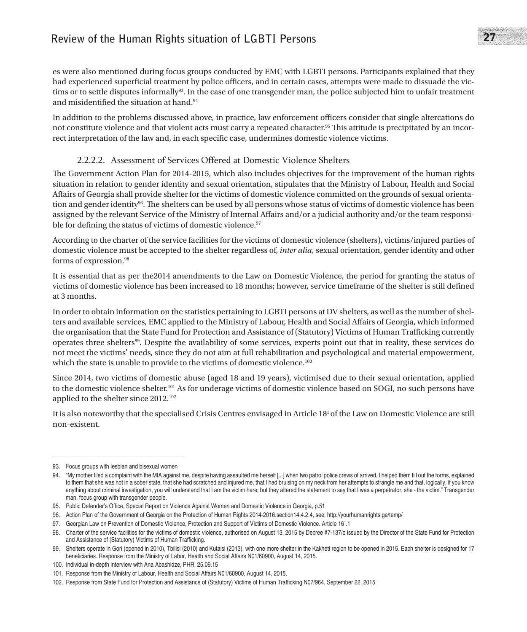es were also mentioned during focus groups conducted by EMC with LGBTI persons. Participants explained that they had experienced superficial treatment by police officers, and in certain cases, attempts were made to dissuade the victims or to settle disputes informally<sup>93</sup>. In the case of one transgender man, the police subjected him to unfair treatment and misidentified the situation at hand.94

In addition to the problems discussed above, in practice, law enforcement officers consider that single altercations do not constitute violence and that violent acts must carry a repeated character.<sup>95</sup> This attitude is precipitated by an incorrect interpretation of the law and, in each specific case, undermines domestic violence victims.

### 2.2.2.2.<br>2.2.2.2. Assessment of Services Offered at Domestic Violence Shelters

The Government Action Plan for 2014-2015, which also includes objectives for the improvement of the human rights situation in relation to gender identity and sexual orientation, stipulates that the Ministry of Labour, Health and Social Affairs of Georgia shall provide shelter for the victims of domestic violence committed on the grounds of sexual orientation and gender identity96. The shelters can be used by all persons whose status of victims of domestic violence has been assigned by the relevant Service of the Ministry of Internal Affairs and/or a judicial authority and/or the team responsible for defining the status of victims of domestic violence.<sup>97</sup>

According to the charter of the service facilities for the victims of domestic violence (shelters), victims/injured parties of domestic violence must be accepted to the shelter regardless of, *inter alia,* sexual orientation, gender identity and other forms of expression.<sup>98</sup>

It is essential that as per the2014 amendments to the Law on Domestic Violence, the period for granting the status of victims of domestic violence has been increased to 18 months; however, service timeframe of the shelter is still defined at 3 months.

In order to obtain information on the statistics pertaining to LGBTI persons at DV shelters, as well as the number of shelters and available services, EMC applied to the Ministry of Labour, Health and Social Affairs of Georgia, which informed the organisation that the State Fund for Protection and Assistance of (Statutory) Victims of Human Trafficking currently operates three shelters99. Despite the availability of some services, experts point out that in reality, these services do not meet the victims' needs, since they do not aim at full rehabilitation and psychological and material empowerment, which the state is unable to provide to the victims of domestic violence.<sup>100</sup>

Since 2014, two victims of domestic abuse (aged 18 and 19 years), victimised due to their sexual orientation, applied to the domestic violence shelter.101 As for underage victims of domestic violence based on SOGI, no such persons have applied to the shelter since 2012.102

It is also noteworthy that the specialised Crisis Centres envisaged in Article  $18<sup>1</sup>$  of the Law on Domestic Violence are still non-existent.

<sup>93.</sup> Focus groups with lesbian and bisexual women

<sup>94. &</sup>quot;My mother filed a complaint with the MIA against me, despite having assaulted me herself [...] when two patrol police crews of arrived, I helped them fill out the forms, explained to them that she was not in a sober state, that she had scratched and injured me, that I had bruising on my neck from her attempts to strangle me and that, logically, if you know anything about criminal investigation, you will understand that I am the victim here; but they altered the statement to say that I was a perpetrator, she - the victim." Transgender man, focus group with transgender people.

<sup>95.</sup> Public Defender's Office, Special Report on Violence Against Women and Domestic Violence in Georgia, p.51

<sup>96.</sup> Action Plan of the Government of Georgia on the Protection of Human Rights 2014-2016.section14.4.2.4, see: http://yourhumanrights.ge/temp/

<sup>97.</sup> Georgian Law on Prevention of Domestic Violence, Protection and Support of Victims of Domestic Violence. Article 16<sup>1</sup>.1

<sup>98.</sup> Charter of the service facilities for the victims of domestic violence, authorised on August 13, 2015 by Decree #7-137/o issued by the Director of the State Fund for Protection and Assistance of (Statutory) Victims of Human Trafficking.

<sup>99.</sup> Shelters operate in Gori (opened in 2010), Tbilisi (2010) and Kutaisi (2013), with one more shelter in the Kakheti region to be opened in 2015. Each shelter is designed for 17 beneficiaries. Response from the Ministry of Labor, Health and Social Affairs N01/60900, August 14, 2015.

<sup>100.</sup> Individual in-depth interview with Ana Abashidze, PHR, 25.09.15

<sup>101.</sup> Response from the Ministry of Labour, Health and Social Affairs N01/60900, August 14, 2015.

<sup>102.</sup> Response from State Fund for Protection and Assistance of (Statutory) Victims of Human Trafficking N07/964, September 22, 2015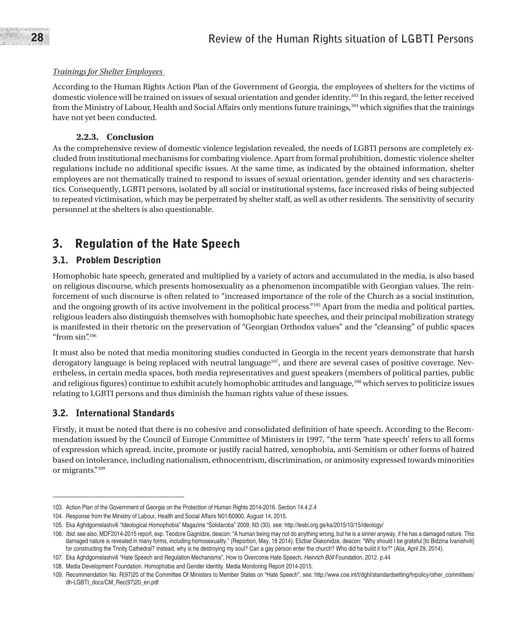#### *Trainings for Shelter Employees*

According to the Human Rights Action Plan of the Government of Georgia, the employees of shelters for the victims of domestic violence will be trained on issues of sexual orientation and gender identity.103 In this regard, the letter received from the Ministry of Labour, Health and Social Affairs only mentions future trainings,104 which signifies that the trainings have not yet been conducted.

#### **2.2.3. Conclusion**

As the comprehensive review of domestic violence legislation revealed, the needs of LGBTI persons are completely excluded from institutional mechanisms for combating violence. Apart from formal prohibition, domestic violence shelter regulations include no additional specific issues. At the same time, as indicated by the obtained information, shelter employees are not thematically trained to respond to issues of sexual orientation, gender identity and sex characteristics. Consequently, LGBTI persons, isolated by all social or institutional systems, face increased risks of being subjected to repeated victimisation, which may be perpetrated by shelter staff, as well as other residents. The sensitivity of security personnel at the shelters is also questionable.

## 3. Regulation of the Hate Speech

### 3.1. Problem Description

Homophobic hate speech, generated and multiplied by a variety of actors and accumulated in the media, is also based on religious discourse, which presents homosexuality as a phenomenon incompatible with Georgian values. The reinforcement of such discourse is often related to "increased importance of the role of the Church as a social institution, and the ongoing growth of its active involvement in the political process."105 Apart from the media and political parties, religious leaders also distinguish themselves with homophobic hate speeches, and their principal mobilization strategy is manifested in their rhetoric on the preservation of "Georgian Orthodox values" and the "cleansing" of public spaces "from  $\sin$ ".<sup>106</sup>

It must also be noted that media monitoring studies conducted in Georgia in the recent years demonstrate that harsh derogatory language is being replaced with neutral language<sup>107</sup>, and there are several cases of positive coverage. Nevertheless, in certain media spaces, both media representatives and guest speakers (members of political parties, public and religious figures) continue to exhibit acutely homophobic attitudes and language,108 which serves to politicize issues relating to LGBTI persons and thus diminish the human rights value of these issues.

### 3.2. International Standards

Firstly, it must be noted that there is no cohesive and consolidated definition of hate speech. According to the Recommendation issued by the Council of Europe Committee of Ministers in 1997, "the term 'hate speech' refers to all forms of expression which spread, incite, promote or justify racial hatred, xenophobia, anti-Semitism or other forms of hatred based on intolerance, including nationalism, ethnocentrism, discrimination, or animosity expressed towards minorities or migrants."109

<sup>103.</sup> Action Plan of the Government of Georgia on the Protection of Human Rights 2014-2016. Section 14.4.2.4

<sup>104.</sup> Response from the Ministry of Labour, Health and Social Affairs N01/60900, August 14, 2015.

<sup>105.</sup> Eka Aghdgomelashvili "Ideological Homophobia" Magazine "Solidaroba" 2009, N3 (30). see: http://lesbi.org.ge/ka/2015/10/15/ideology/

<sup>106.</sup> *Ibid*. see also, MDF2014-2015 report, exp. Teodore Gagnidze, deacon: "A human being may not do anything wrong, but he is a sinner anyway, if he has a damaged nature. This damaged nature is revealed in many forms, including homosexuality." (Reportiori, May, 18 2014); Elizbar Diakonidze, deacon: "Why should I be grateful [to Bidzina Ivanishvili] for constructing the Trinity Cathedral? Instead, why is he destroying my soul? Can a gay person enter the church? Who did he build it for?" (Alia, April 29, 2014).

<sup>107.</sup> Eka Aghdgomelashvili "Hate Speech and Regulation Mechanisms", How to Overcome Hate Speech, *Heinrich Böll* Foundation, 2012. p.44

<sup>108.</sup> Media Development Foundation. Homophobia and Gender Identity. Media Monitoring Report 2014-2015.

<sup>109.</sup> Recommendation No. R(97)20 of the Committee Of Ministers to Member States on "Hate Speech", see: http://www.coe.int/t/dghl/standardsetting/hrpolicy/other\_committees/ dh-LGBTI\_docs/CM\_Rec(97)20\_en.pdf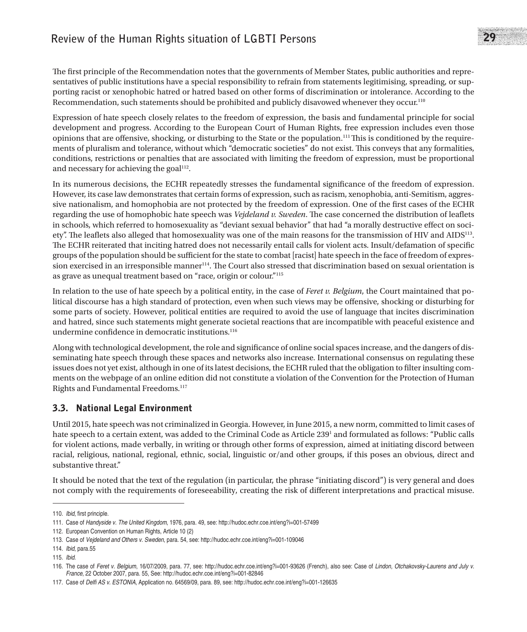The first principle of the Recommendation notes that the governments of Member States, public authorities and representatives of public institutions have a special responsibility to refrain from statements legitimising, spreading, or supporting racist or xenophobic hatred or hatred based on other forms of discrimination or intolerance. According to the Recommendation, such statements should be prohibited and publicly disavowed whenever they occur.110

Expression of hate speech closely relates to the freedom of expression, the basis and fundamental principle for social development and progress. According to the European Court of Human Rights, free expression includes even those opinions that are offensive, shocking, or disturbing to the State or the population.111This is conditioned by the requirements of pluralism and tolerance, without which "democratic societies" do not exist. This conveys that any formalities, conditions, restrictions or penalties that are associated with limiting the freedom of expression, must be proportional and necessary for achieving the goal $112$ .

In its numerous decisions, the ECHR repeatedly stresses the fundamental significance of the freedom of expression. However, its case law demonstrates that certain forms of expression, such as racism, xenophobia, anti-Semitism, aggressive nationalism, and homophobia are not protected by the freedom of expression. One of the first cases of the ECHR regarding the use of homophobic hate speech was *Vejdeland v. Sweden*. The case concerned the distribution of leaflets in schools, which referred to homosexuality as "deviant sexual behavior" that had "a morally destructive effect on society". The leaflets also alleged that homosexuality was one of the main reasons for the transmission of HIV and AIDS113. The ECHR reiterated that inciting hatred does not necessarily entail calls for violent acts. Insult/defamation of specific groups of the population should be sufficient for the state to combat [racist] hate speech in the face of freedom of expression exercised in an irresponsible manner<sup>114</sup>. The Court also stressed that discrimination based on sexual orientation is as grave as unequal treatment based on "race, origin or colour."115

In relation to the use of hate speech by a political entity, in the case of *Feret v. Belgium*, the Court maintained that political discourse has a high standard of protection, even when such views may be offensive, shocking or disturbing for some parts of society. However, political entities are required to avoid the use of language that incites discrimination and hatred, since such statements might generate societal reactions that are incompatible with peaceful existence and undermine confidence in democratic institutions.<sup>116</sup>

Along with technological development, the role and significance of online social spaces increase, and the dangers of disseminating hate speech through these spaces and networks also increase. International consensus on regulating these issues does not yet exist, although in one of its latest decisions, the ECHR ruled that the obligation to filter insulting comments on the webpage of an online edition did not constitute a violation of the Convention for the Protection of Human Rights and Fundamental Freedoms.117

## 3.3. National Legal Environment

Until 2015, hate speech was not criminalized in Georgia. However, in June 2015, a new norm, committed to limit cases of hate speech to a certain extent, was added to the Criminal Code as Article 239<sup>1</sup> and formulated as follows: "Public calls for violent actions, made verbally, in writing or through other forms of expression, aimed at initiating discord between racial, religious, national, regional, ethnic, social, linguistic or/and other groups, if this poses an obvious, direct and substantive threat."

It should be noted that the text of the regulation (in particular, the phrase "initiating discord") is very general and does not comply with the requirements of foreseeability, creating the risk of different interpretations and practical misuse.

<sup>110.</sup> *Ibid*, first principle.

<sup>111.</sup> Case of *Handyside v. The United Kingdom*, 1976, para. 49, see: http://hudoc.echr.coe.int/eng?i=001-57499

<sup>112.</sup> European Convention on Human Rights, Article 10 (2)

<sup>113.</sup> Case of *Vejdeland and Others v. Sweden*, para. 54, see: http://hudoc.echr.coe.int/eng?i=001-109046

<sup>114.</sup> *Ibid*, para.55

<sup>115.</sup> *Ibid*.

<sup>116.</sup> The case of *Feret v. Belgium*, 16/07/2009, para. 77, see: http://hudoc.echr.coe.int/eng?i=001-93626 (French), also see: Case of *Lindon, Otchakovsky-Laurens and July v. France*, 22 October 2007, para. 55, See: http://hudoc.echr.coe.int/eng?i=001-82846

<sup>117.</sup> Case of Delfi AS v. ESTONIA, Application no. 64569/09, para. 89, see: http://hudoc.echr.coe.int/eng?i=001-126635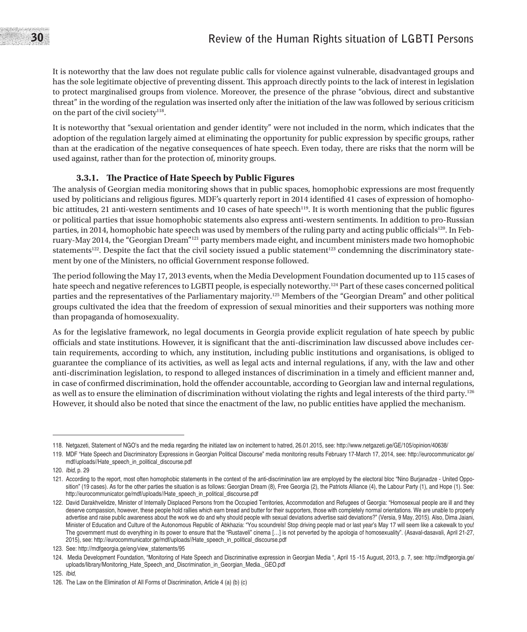## 30 **Review of the Human Rights situation of LGBTI Persons**

It is noteworthy that the law does not regulate public calls for violence against vulnerable, disadvantaged groups and has the sole legitimate objective of preventing dissent. This approach directly points to the lack of interest in legislation to protect marginalised groups from violence. Moreover, the presence of the phrase "obvious, direct and substantive threat" in the wording of the regulation was inserted only after the initiation of the law was followed by serious criticism on the part of the civil society<sup>118</sup>.

It is noteworthy that "sexual orientation and gender identity" were not included in the norm, which indicates that the adoption of the regulation largely aimed at eliminating the opportunity for public expression by specific groups, rather than at the eradication of the negative consequences of hate speech. Even today, there are risks that the norm will be used against, rather than for the protection of, minority groups.

#### **3.3.1. The Practice of Hate Speech by Public Figures**

The analysis of Georgian media monitoring shows that in public spaces, homophobic expressions are most frequently used by politicians and religious figures. MDF's quarterly report in 2014 identified 41 cases of expression of homophobic attitudes, 21 anti-western sentiments and 10 cases of hate speech<sup>119</sup>. It is worth mentioning that the public figures or political parties that issue homophobic statements also express anti-western sentiments. In addition to pro-Russian parties, in 2014, homophobic hate speech was used by members of the ruling party and acting public officials<sup>120</sup>. In February-May 2014, the "Georgian Dream"121 party members made eight, and incumbent ministers made two homophobic statements<sup>122</sup>. Despite the fact that the civil society issued a public statement<sup>123</sup> condemning the discriminatory statement by one of the Ministers, no official Government response followed.

The period following the May 17, 2013 events, when the Media Development Foundation documented up to 115 cases of hate speech and negative references to LGBTI people, is especially noteworthy.<sup>124</sup> Part of these cases concerned political parties and the representatives of the Parliamentary majority.125 Members of the "Georgian Dream" and other political groups cultivated the idea that the freedom of expression of sexual minorities and their supporters was nothing more than propaganda of homosexuality.

As for the legislative framework, no legal documents in Georgia provide explicit regulation of hate speech by public officials and state institutions. However, it is significant that the anti-discrimination law discussed above includes certain requirements, according to which, any institution, including public institutions and organisations, is obliged to guarantee the compliance of its activities, as well as legal acts and internal regulations, if any, with the law and other anti-discrimination legislation, to respond to alleged instances of discrimination in a timely and efficient manner and, in case of confirmed discrimination, hold the offender accountable, according to Georgian law and internal regulations, as well as to ensure the elimination of discrimination without violating the rights and legal interests of the third party.126 However, it should also be noted that since the enactment of the law, no public entities have applied the mechanism.

<sup>118.</sup> Netgazeti, Statement of NGO's and the media regarding the initiated law on incitement to hatred, 26.01.2015, see: http://www.netgazeti.ge/GE/105/opinion/40638/

<sup>119.</sup> MDF "Hate Speech and Discriminatory Expressions in Georgian Political Discourse" media monitoring results February 17-March 17, 2014, see: http://eurocommunicator.ge/ mdf/uploads//Hate\_speech\_in\_political\_discourse.pdf

<sup>120.</sup> *Ibid*, p. 29

<sup>121.</sup> According to the report, most often homophobic statements in the context of the anti-discrimination law are employed by the electoral bloc "Nino Burjanadze - United Opposition" (19 cases). As for the other parties the situation is as follows: Georgian Dream (8), Free Georgia (2), the Patriots Alliance (4), the Labour Party (1), and Hope (1). See: http://eurocommunicator.ge/mdf/uploads//Hate\_speech\_in\_political\_discourse.pdf

<sup>122.</sup> David Darakhvelidze, Minister of Internally Displaced Persons from the Occupied Territories, Accommodation and Refugees of Georgia: "Homosexual people are ill and they deserve compassion, however, these people hold rallies which earn bread and butter for their supporters, those with completely normal orientations. We are unable to properly advertise and raise public awareness about the work we do and why should people with sexual deviations advertise said deviations?" (Versia, 9 May, 2015). Also, Dima Jaiani, Minister of Education and Culture of the Autonomous Republic of Abkhazia: "You scoundrels! Stop driving people mad or last year's May 17 will seem like a cakewalk to you! The government must do everything in its power to ensure that the "Rustaveli" cinema […] is not perverted by the apologia of homosexuality". (Asaval-dasavali, April 21-27, 2015), see: http://eurocommunicator.ge/mdf/uploads//Hate\_speech\_in\_political\_discourse.pdf

<sup>123.</sup> See: http://mdfgeorgia.ge/eng/view\_statements/95

<sup>124.</sup> Media Development Foundation, "Monitoring of Hate Speech and Discriminative expression in Georgian Media ", April 15 -15 August, 2013, p. 7, see: http://mdfgeorgia.ge/ uploads/library/Monitoring\_Hate\_Speech\_and\_Discrimination\_in\_Georgian\_Media.\_GEO.pdf

<sup>125.</sup> *Ibid*,

<sup>126.</sup> The Law on the Elimination of All Forms of Discrimination, Article 4 (a) (b) (c)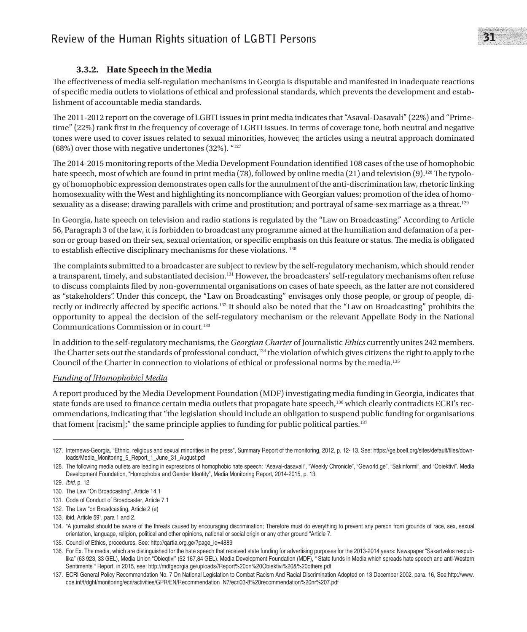#### **3.3.2. Hate Speech in the Media**

The effectiveness of media self-regulation mechanisms in Georgia is disputable and manifested in inadequate reactions of specific media outlets to violations of ethical and professional standards, which prevents the development and establishment of accountable media standards.

The 2011-2012 report on the coverage of LGBTI issues in print media indicates that "Asaval-Dasavali" (22%) and "Primetime" (22%) rank first in the frequency of coverage of LGBTI issues. In terms of coverage tone, both neutral and negative tones were used to cover issues related to sexual minorities, however, the articles using a neutral approach dominated (68%) over those with negative undertones (32%). "127

The 2014-2015 monitoring reports of the Media Development Foundation identified 108 cases of the use of homophobic hate speech, most of which are found in print media (78), followed by online media (21) and television (9).<sup>128</sup> The typology of homophobic expression demonstrates open calls for the annulment of the anti-discrimination law, rhetoric linking homosexuality with the West and highlighting its noncompliance with Georgian values; promotion of the idea of homosexuality as a disease; drawing parallels with crime and prostitution; and portrayal of same-sex marriage as a threat.<sup>129</sup>

In Georgia, hate speech on television and radio stations is regulated by the "Law on Broadcasting." According to Article 56, Paragraph 3 of the law, it is forbidden to broadcast any programme aimed at the humiliation and defamation of a person or group based on their sex, sexual orientation, or specific emphasis on this feature or status. The media is obligated to establish effective disciplinary mechanisms for these violations. 130

The complaints submitted to a broadcaster are subject to review by the self-regulatory mechanism, which should render a transparent, timely, and substantiated decision.<sup>131</sup> However, the broadcasters' self-regulatory mechanisms often refuse to discuss complaints filed by non-governmental organisations on cases of hate speech, as the latter are not considered as "stakeholders". Under this concept, the "Law on Broadcasting" envisages only those people, or group of people, directly or indirectly affected by specific actions.132 It should also be noted that the "Law on Broadcasting" prohibits the opportunity to appeal the decision of the self-regulatory mechanism or the relevant Appellate Body in the National Communications Commission or in court.<sup>133</sup>

In addition to the self-regulatory mechanisms, the *Georgian Charter* of Journalistic *Ethics* currently unites 242 members. The Charter sets out the standards of professional conduct, $134$  the violation of which gives citizens the right to apply to the Council of the Charter in connection to violations of ethical or professional norms by the media.135

#### *Funding of [Homophobic] Media*

A report produced by the Media Development Foundation (MDF) investigating media funding in Georgia, indicates that state funds are used to finance certain media outlets that propagate hate speech,<sup>136</sup> which clearly contradicts ECRI's recommendations, indicating that "the legislation should include an obligation to suspend public funding for organisations that foment [racism];" the same principle applies to funding for public political parties.<sup>137</sup>

<sup>127.</sup> Internews-Georgia, "Ethnic, religious and sexual minorities in the press", Summary Report of the monitoring, 2012, p. 12- 13. See: https://ge.boell.org/sites/default/files/downloads/Media\_Monitoring\_5\_Report\_1\_June\_31\_August.pdf

<sup>128.</sup> The following media outlets are leading in expressions of homophobic hate speech: "Asaval-dasavali", "Weekly Chronicle", "Geworld.ge", "Sakinformi", and "Obiektivi". Media Development Foundation, "Homophobia and Gender Identity", Media Monitoring Report, 2014-2015, p. 13.

<sup>129.</sup> *Ibid*, p. 12

<sup>130.</sup> The Law "On Broadcasting", Article 14.1

<sup>131.</sup> Code of Conduct of Broadcaster, Article 7.1

<sup>132.</sup> The Law "on Broadcasting, Article 2 (e)

<sup>133.</sup> ibid, Article 59<sup>1</sup> , para 1 and 2.

<sup>134.</sup> "A journalist should be aware of the threats caused by encouraging discrimination; Therefore must do everything to prevent any person from grounds of race, sex, sexual orientation, language, religion, political and other opinions, national or social origin or any other ground "Article 7.

<sup>135.</sup> Council of Ethics, procedures. See: http://qartia.org.ge/?page\_id=4889

<sup>136.</sup> For Ex. The media, which are distinguished for the hate speech that received state funding for advertising purposes for the 2013-2014 years: Newspaper "Sakartvelos respublika" (63 923, 33 GEL), Media Union "Obieqtivi" (52 167,84 GEL). Media Development Foundation (MDF), "State funds in Media which spreads hate speech and anti-Western Sentiments " Report, in 2015, see: http://mdfgeorgia.ge/uploads//Report%20on%20Obiektivi%20&%20others.pdf

<sup>137.</sup> ECRI General Policy Recommendation No. 7 On National Legislation to Combat Racism And Racial Discrimination Adopted on 13 December 2002, para. 16, See:http://www. coe.int/t/dghl/monitoring/ecri/activities/GPR/EN/Recommendation\_N7/ecri03-8%20recommendation%20nr%207.pdf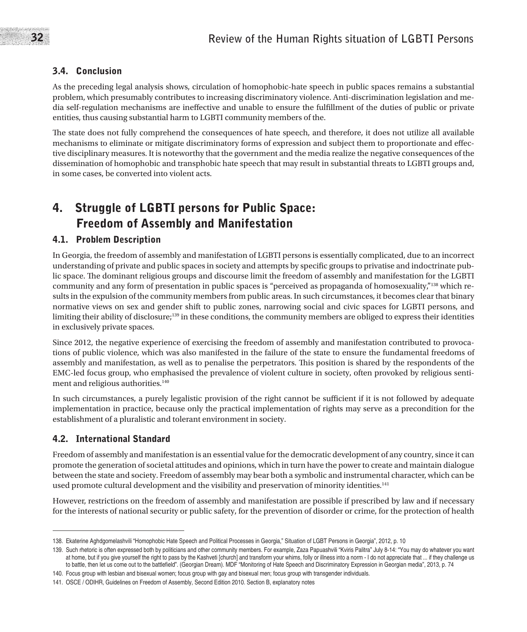## 3.4. Conclusion

As the preceding legal analysis shows, circulation of homophobic-hate speech in public spaces remains a substantial problem, which presumably contributes to increasing discriminatory violence. Anti-discrimination legislation and media self-regulation mechanisms are ineffective and unable to ensure the fulfillment of the duties of public or private entities, thus causing substantial harm to LGBTI community members of the.

The state does not fully comprehend the consequences of hate speech, and therefore, it does not utilize all available mechanisms to eliminate or mitigate discriminatory forms of expression and subject them to proportionate and effective disciplinary measures. It is noteworthy that the government and the media realize the negative consequences of the dissemination of homophobic and transphobic hate speech that may result in substantial threats to LGBTI groups and, in some cases, be converted into violent acts.

## 4. Struggle of LGBTI persons for Public Space: Freedom of Assembly and Manifestation

## 4.1. Problem Description

In Georgia, the freedom of assembly and manifestation of LGBTI persons is essentially complicated, due to an incorrect understanding of private and public spaces in society and attempts by specific groups to privatise and indoctrinate public space. The dominant religious groups and discourse limit the freedom of assembly and manifestation for the LGBTI community and any form of presentation in public spaces is "perceived as propaganda of homosexuality,"138 which results in the expulsion of the community members from public areas. In such circumstances, it becomes clear that binary normative views on sex and gender shift to public zones, narrowing social and civic spaces for LGBTI persons, and limiting their ability of disclosure;139 in these conditions, the community members are obliged to express their identities in exclusively private spaces.

Since 2012, the negative experience of exercising the freedom of assembly and manifestation contributed to provocations of public violence, which was also manifested in the failure of the state to ensure the fundamental freedoms of assembly and manifestation, as well as to penalise the perpetrators. This position is shared by the respondents of the EMC-led focus group, who emphasised the prevalence of violent culture in society, often provoked by religious sentiment and religious authorities.<sup>140</sup>

In such circumstances, a purely legalistic provision of the right cannot be sufficient if it is not followed by adequate implementation in practice, because only the practical implementation of rights may serve as a precondition for the establishment of a pluralistic and tolerant environment in society.

### 4.2. International Standard

Freedom of assembly and manifestation is an essential value for the democratic development of any country, since it can promote the generation of societal attitudes and opinions, which in turn have the power to create and maintain dialogue between the state and society. Freedom of assembly may bear both a symbolic and instrumental character, which can be used promote cultural development and the visibility and preservation of minority identities.<sup>141</sup>

However, restrictions on the freedom of assembly and manifestation are possible if prescribed by law and if necessary for the interests of national security or public safety, for the prevention of disorder or crime, for the protection of health

<sup>138.</sup> Ekaterine Aghdgomelashvili "Homophobic Hate Speech and Political Processes in Georgia," Situation of LGBT Persons in Georgia", 2012, p. 10

<sup>139.</sup> Such rhetoric is often expressed both by politicians and other community members. For example, Zaza Papuashvili "Kviris Palitra" July 8-14: "You may do whatever you want at home, but if you give yourself the right to pass by the Kashveti [church] and transform your whims, folly or illness into a norm - I do not appreciate that ... if they challenge us to battle, then let us come out to the battlefield". (Georgian Dream). MDF "Monitoring of Hate Speech and Discriminatory Expression in Georgian media", 2013, p. 74

<sup>140.</sup> Focus group with lesbian and bisexual women; focus group with gay and bisexual men; focus group with transgender individuals.

<sup>141.</sup> OSCE / ODIHR, Guidelines on Freedom of Assembly, Second Edition 2010. Section B, explanatory notes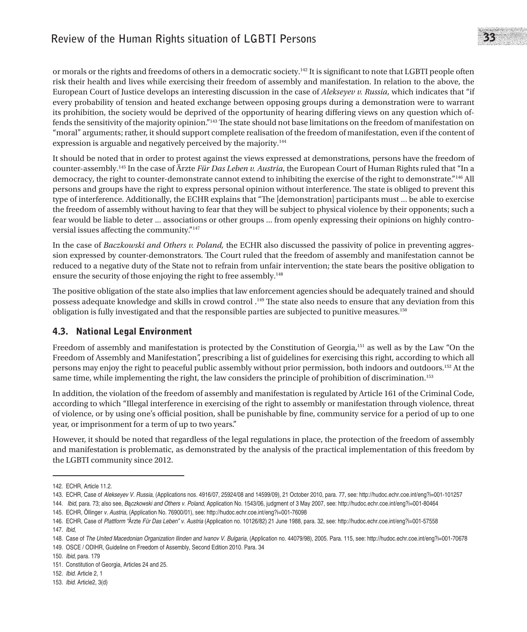## **Review of the Human Rights situation of LGBTI Persons** 33

or morals or the rights and freedoms of others in a democratic society.142 It is significant to note that LGBTI people often risk their health and lives while exercising their freedom of assembly and manifestation. In relation to the above, the European Court of Justice develops an interesting discussion in the case of *Alekseyev v. Russia,* which indicates that "if every probability of tension and heated exchange between opposing groups during a demonstration were to warrant its prohibition, the society would be deprived of the opportunity of hearing differing views on any question which offends the sensitivity of the majority opinion."143 The state should not base limitations on the freedom of manifestation on "moral" arguments; rather, it should support complete realisation of the freedom of manifestation, even if the content of expression is arguable and negatively perceived by the majority.<sup>144</sup>

It should be noted that in order to protest against the views expressed at demonstrations, persons have the freedom of counter-assembly.145 In the case of Ärzte *Für Das Leben v. Austria*, the European Court of Human Rights ruled that "In a democracy, the right to counter-demonstrate cannot extend to inhibiting the exercise of the right to demonstrate."146 All persons and groups have the right to express personal opinion without interference. The state is obliged to prevent this type of interference. Additionally, the ECHR explains that "The [demonstration] participants must ... be able to exercise the freedom of assembly without having to fear that they will be subject to physical violence by their opponents; such a fear would be liable to deter ... associations or other groups ... from openly expressing their opinions on highly controversial issues affecting the community."147

In the case of *Baczkowski and Others v. Poland,* the ECHR also discussed the passivity of police in preventing aggression expressed by counter-demonstrators. The Court ruled that the freedom of assembly and manifestation cannot be reduced to a negative duty of the State not to refrain from unfair intervention; the state bears the positive obligation to ensure the security of those enjoying the right to free assembly.<sup>148</sup>

The positive obligation of the state also implies that law enforcement agencies should be adequately trained and should possess adequate knowledge and skills in crowd control .149 The state also needs to ensure that any deviation from this obligation is fully investigated and that the responsible parties are subjected to punitive measures.150

## 4.3. National Legal Environment

Freedom of assembly and manifestation is protected by the Constitution of Georgia,151 as well as by the Law "On the Freedom of Assembly and Manifestation", prescribing a list of guidelines for exercising this right, according to which all persons may enjoy the right to peaceful public assembly without prior permission, both indoors and outdoors.152 At the same time, while implementing the right, the law considers the principle of prohibition of discrimination.<sup>153</sup>

In addition, the violation of the freedom of assembly and manifestation is regulated by Article 161 of the Criminal Code, according to which "Illegal interference in exercising of the right to assembly or manifestation through violence, threat of violence, or by using one's official position, shall be punishable by fine, community service for a period of up to one year, or imprisonment for a term of up to two years."

However, it should be noted that regardless of the legal regulations in place, the protection of the freedom of assembly and manifestation is problematic, as demonstrated by the analysis of the practical implementation of this freedom by the LGBTI community since 2012.

<sup>142.</sup> ECHR, Article 11.2.

<sup>143.</sup> ECHR, Case of *Alekseyev V. Russia*, (Applications nos. 4916/07, 25924/08 and 14599/09), 21 October 2010, para. 77, see: http://hudoc.echr.coe.int/eng?i=001-101257 144. *Ibid*, para. 73; also see, *B*ą*czkowski and Others v. Poland*, Application No. 1543/06, judgment of 3 May 2007, see: http://hudoc.echr.coe.int/eng?i=001-80464

<sup>145.</sup> ECHR, Öllinger *v. Austria*, (Application No. 76900/01), see: http://hudoc.echr.coe.int/eng?i=001-76098

<sup>146.</sup> ECHR, Case of *Plattform "*Ärzte *Für Das Leben" v. Austria* (Application no. 10126/82) 21 June 1988, para. 32, see: http://hudoc.echr.coe.int/eng?i=001-57558

<sup>147.</sup> *Ibid*,

<sup>148.</sup> Case of *The United Macedonian Organization Ilinden and Ivanov V. Bulgaria*, (Application no. 44079/98), 2005. Para. 115, see: http://hudoc.echr.coe.int/eng?i=001-70678

<sup>149.</sup> OSCE / ODIHR, Guideline on Freedom of Assembly, Second Edition 2010. Para. 34

<sup>150.</sup> *Ibid*, para. 179

<sup>151.</sup> Constitution of Georgia, Articles 24 and 25.

<sup>152.</sup> *Ibid*. Article 2, 1

<sup>153.</sup> *Ibid*. Article2, 3(d)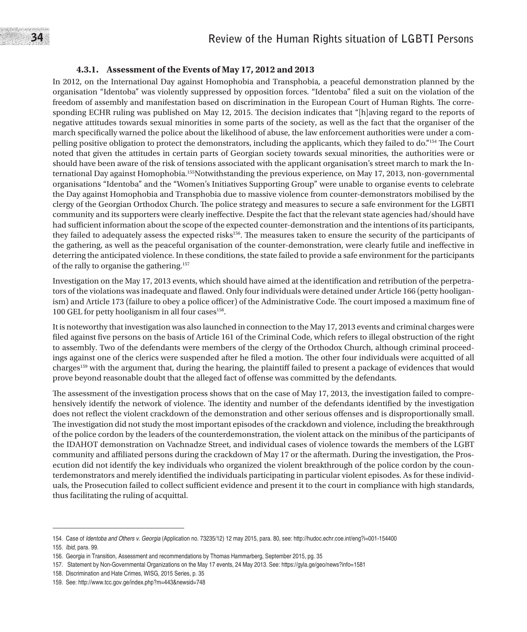## 34 **Review of the Human Rights situation of LGBTI Persons**

#### **4.3.1. Assessment of the Events of May 17, 2012 and 2013**

In 2012, on the International Day against Homophobia and Transphobia, a peaceful demonstration planned by the organisation "Identoba" was violently suppressed by opposition forces. "Identoba" filed a suit on the violation of the freedom of assembly and manifestation based on discrimination in the European Court of Human Rights. The corresponding ECHR ruling was published on May 12, 2015. The decision indicates that "[h]aving regard to the reports of negative attitudes towards sexual minorities in some parts of the society, as well as the fact that the organiser of the march specifically warned the police about the likelihood of abuse, the law enforcement authorities were under a compelling positive obligation to protect the demonstrators, including the applicants, which they failed to do."154 The Court noted that given the attitudes in certain parts of Georgian society towards sexual minorities, the authorities were or should have been aware of the risk of tensions associated with the applicant organisation's street march to mark the International Day against Homophobia.<sup>155</sup>Notwithstanding the previous experience, on May 17, 2013, non-governmental organisations "Identoba" and the "Women's Initiatives Supporting Group" were unable to organise events to celebrate the Day against Homophobia and Transphobia due to massive violence from counter-demonstrators mobilised by the clergy of the Georgian Orthodox Church. The police strategy and measures to secure a safe environment for the LGBTI community and its supporters were clearly ineffective. Despite the fact that the relevant state agencies had/should have had sufficient information about the scope of the expected counter-demonstration and the intentions of its participants, they failed to adequately assess the expected risks156. The measures taken to ensure the security of the participants of the gathering, as well as the peaceful organisation of the counter-demonstration, were clearly futile and ineffective in deterring the anticipated violence. In these conditions, the state failed to provide a safe environment for the participants of the rally to organise the gathering.<sup>157</sup>

Investigation on the May 17, 2013 events, which should have aimed at the identification and retribution of the perpetrators of the violations was inadequate and flawed. Only four individuals were detained under Article 166 (petty hooliganism) and Article 173 (failure to obey a police officer) of the Administrative Code. The court imposed a maximum fine of 100 GEL for petty hooliganism in all four cases<sup>158</sup>.

It is noteworthy that investigation was also launched in connection to the May 17, 2013 events and criminal charges were filed against five persons on the basis of Article 161 of the Criminal Code, which refers to illegal obstruction of the right to assembly. Two of the defendants were members of the clergy of the Orthodox Church, although criminal proceedings against one of the clerics were suspended after he filed a motion. The other four individuals were acquitted of all charges159 with the argument that, during the hearing, the plaintiff failed to present a package of evidences that would prove beyond reasonable doubt that the alleged fact of offense was committed by the defendants.

The assessment of the investigation process shows that on the case of May 17, 2013, the investigation failed to comprehensively identify the network of violence. The identity and number of the defendants identified by the investigation does not reflect the violent crackdown of the demonstration and other serious offenses and is disproportionally small. The investigation did not study the most important episodes of the crackdown and violence, including the breakthrough of the police cordon by the leaders of the counterdemonstration, the violent attack on the minibus of the participants of the IDAHOT demonstration on Vachnadze Street, and individual cases of violence towards the members of the LGBT community and affiliated persons during the crackdown of May 17 or the aftermath. During the investigation, the Prosecution did not identify the key individuals who organized the violent breakthrough of the police cordon by the counterdemonstrators and merely identified the individuals participating in particular violent episodes. As for these individuals, the Prosecution failed to collect sufficient evidence and present it to the court in compliance with high standards, thus facilitating the ruling of acquittal.

<sup>154.</sup> Case of *Identoba and Others v. Georgia* (Application no. 73235/12) 12 may 2015, para. 80, see: http://hudoc.echr.coe.int/eng?i=001-154400

<sup>155.</sup> *Ibid*, para. 99.

<sup>156.</sup> Georgia in Transition, Assessment and recommendations by Thomas Hammarberg, September 2015, pg. 35

<sup>157.</sup> Statement by Non-Governmental Organizations on the May 17 events, 24 May 2013. See: https://gyla.ge/geo/news?info=1581

<sup>158.</sup> Discrimination and Hate Crimes, WISG, 2015 Series, p. 35

<sup>159.</sup> See: http://www.tcc.gov.ge/index.php?m=443&newsid=748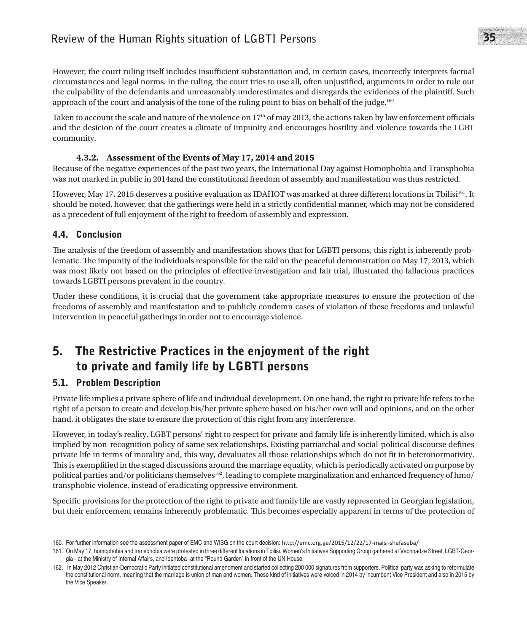However, the court ruling itself includes insufficient substantiation and, in certain cases, incorrectly interprets factual circumstances and legal norms. In the ruling, the court tries to use all, often unjustified, arguments in order to rule out the culpability of the defendants and unreasonably underestimates and disregards the evidences of the plaintiff. Such approach of the court and analysis of the tone of the ruling point to bias on behalf of the judge.160

Taken to account the scale and nature of the violence on  $17<sup>th</sup>$  of may 2013, the actions taken by law enforcement officials and the desicion of the court creates a climate of impunity and encourages hostility and violence towards the LGBT community.

### **4.3.2. Assessment of the Events of May 17, 2014 and 2015**

Because of the negative experiences of the past two years, the International Day against Homophobia and Transphobia was not marked in public in 2014and the constitutional freedom of assembly and manifestation was thus restricted.

However, May 17, 2015 deserves a positive evaluation as IDAHOT was marked at three different locations in Tbilisi<sup>161</sup>. It should be noted, however, that the gatherings were held in a strictly confidential manner, which may not be considered as a precedent of full enjoyment of the right to freedom of assembly and expression.

### 4.4. Conclusion

The analysis of the freedom of assembly and manifestation shows that for LGBTI persons, this right is inherently problematic. The impunity of the individuals responsible for the raid on the peaceful demonstration on May 17, 2013, which was most likely not based on the principles of effective investigation and fair trial, illustrated the fallacious practices towards LGBTI persons prevalent in the country.

Under these conditions, it is crucial that the government take appropriate measures to ensure the protection of the freedoms of assembly and manifestation and to publicly condemn cases of violation of these freedoms and unlawful intervention in peaceful gatherings in order not to encourage violence.

## 5. The Restrictive Practices in the enjoyment of the right to private and family life by LGBTI persons

## 5.1. Problem Description

Private life implies a private sphere of life and individual development. On one hand, the right to private life refers to the right of a person to create and develop his/her private sphere based on his/her own will and opinions, and on the other hand, it obligates the state to ensure the protection of this right from any interference.

However, in today's reality, LGBT persons' right to respect for private and family life is inherently limited, which is also implied by non-recognition policy of same sex relationships. Existing patriarchal and social-political discourse defines private life in terms of morality and, this way, devaluates all those relationships which do not fit in heteronormativity. This is exemplified in the staged discussions around the marriage equality, which is periodically activated on purpose by political parties and/or politicians themselves<sup>162</sup>, leading to complete marginalization and enhanced frequency of hmo/ transphobic violence, instead of eradicating oppressive environment.

Specific provisions for the protection of the right to private and family life are vastly represented in Georgian legislation, but their enforcement remains inherently problematic. This becomes especially apparent in terms of the protection of

<sup>160.</sup> For further information see the assessment paper of EMC and WISG on the court decision: http://emc.org.ge/2015/12/22/17-maisi-shefaseba/

<sup>161.</sup> On May 17, homophobia and transphobia were protested in three different locations in Tbilisi. Women's Initiatives Supporting Group gathered at Vachnadze Street, LGBT-Georgia - at the Ministry of Internal Affairs, and Identoba -at the "Round Garden" in front of the UN House.

<sup>162.</sup> In May 2012 Christian-Democratic Party initiated constitutional amendment and started collecting 200 000 signatures from supporters. Political party was asking to reformulate the constitutional norm, meaning that the marriage is union of man and women. These kind of initiatives were voiced in 2014 by incumbent Vice President and also in 2015 by the Vice Speaker.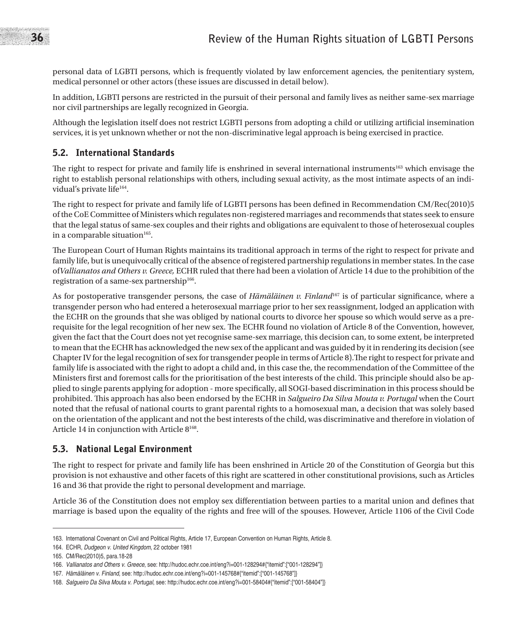personal data of LGBTI persons, which is frequently violated by law enforcement agencies, the penitentiary system, medical personnel or other actors (these issues are discussed in detail below).

In addition, LGBTI persons are restricted in the pursuit of their personal and family lives as neither same-sex marriage nor civil partnerships are legally recognized in Georgia.

Although the legislation itself does not restrict LGBTI persons from adopting a child or utilizing artificial insemination services, it is yet unknown whether or not the non-discriminative legal approach is being exercised in practice.

## 5.2. International Standards

The right to respect for private and family life is enshrined in several international instruments<sup>163</sup> which envisage the right to establish personal relationships with others, including sexual activity, as the most intimate aspects of an individual's private life<sup>164</sup>.

The right to respect for private and family life of LGBTI persons has been defined in Recommendation CM/Rec(2010)5 of the CoE Committee of Ministers which regulates non-registered marriages and recommends that states seek to ensure that the legal status of same-sex couples and their rights and obligations are equivalent to those of heterosexual couples in a comparable situation $165$ .

The European Court of Human Rights maintains its traditional approach in terms of the right to respect for private and family life, but is unequivocally critical of the absence of registered partnership regulations in member states. In the case of*Vallianatos and Others v. Greece,* ECHR ruled that there had been a violation of Article 14 due to the prohibition of the registration of a same-sex partnership<sup>166</sup>.

As for postoperative transgender persons, the case of *Hämäläinen v. Finland*167 is of particular significance, where a transgender person who had entered a heterosexual marriage prior to her sex reassignment, lodged an application with the ECHR on the grounds that she was obliged by national courts to divorce her spouse so which would serve as a prerequisite for the legal recognition of her new sex. The ECHR found no violation of Article 8 of the Convention, however, given the fact that the Court does not yet recognise same-sex marriage, this decision can, to some extent, be interpreted to mean that the ECHR has acknowledged the new sex of the applicant and was guided by it in rendering its decision (see Chapter IV for the legal recognition of sex for transgender people in terms of Article 8).The right to respect for private and family life is associated with the right to adopt a child and, in this case the, the recommendation of the Committee of the Ministers first and foremost calls for the prioritisation of the best interests of the child. This principle should also be applied to single parents applying for adoption - more specifically, all SOGI-based discrimination in this process should be prohibited. This approach has also been endorsed by the ECHR in *Salgueiro Da Silva Mouta v. Portugal* when the Court noted that the refusal of national courts to grant parental rights to a homosexual man, a decision that was solely based on the orientation of the applicant and not the best interests of the child, was discriminative and therefore in violation of Article 14 in conjunction with Article 8168.

### 5.3. National Legal Environment

The right to respect for private and family life has been enshrined in Article 20 of the Constitution of Georgia but this provision is not exhaustive and other facets of this right are scattered in other constitutional provisions, such as Articles 16 and 36 that provide the right to personal development and marriage.

Article 36 of the Constitution does not employ sex differentiation between parties to a marital union and defines that marriage is based upon the equality of the rights and free will of the spouses. However, Article 1106 of the Civil Code

<sup>163.</sup> International Covenant on Civil and Political Rights, Article 17, European Convention on Human Rights, Article 8.

<sup>164.</sup> ECHR, *Dudgeon v. United Kingdom*, 22 october 1981

<sup>165.</sup> CM/Rec(2010)5, para.18-28

<sup>166.</sup> *Vallianatos and Others v. Greece*, see: http://hudoc.echr.coe.int/eng?i=001-128294#{"itemid":["001-128294"]}

<sup>167.</sup> *Hämäläinen v. Finland*, see: http://hudoc.echr.coe.int/eng?i=001-145768#{"itemid":["001-145768"]}

<sup>168.</sup> *Salgueiro Da Silva Mouta v. Portugal*, see: http://hudoc.echr.coe.int/eng?i=001-58404#{"itemid":["001-58404"]}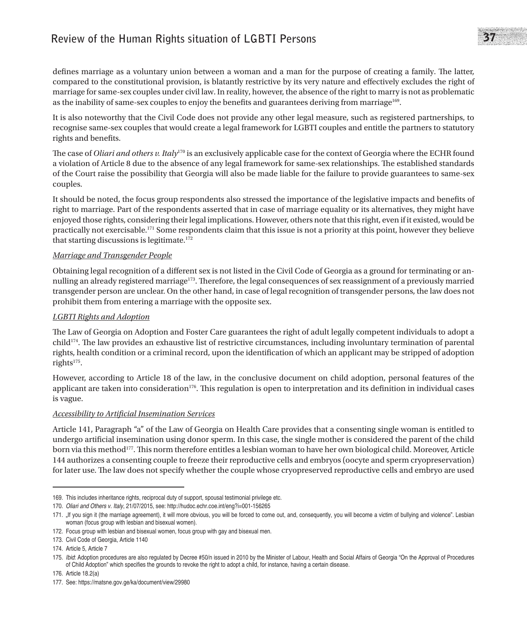## **Review of the Human Rights situation of LGBTI Persons** 27

defines marriage as a voluntary union between a woman and a man for the purpose of creating a family. The latter, compared to the constitutional provision, is blatantly restrictive by its very nature and effectively excludes the right of marriage for same-sex couples under civil law. In reality, however, the absence of the right to marry is not as problematic as the inability of same-sex couples to enjoy the benefits and guarantees deriving from marriage<sup>169</sup>.

It is also noteworthy that the Civil Code does not provide any other legal measure, such as registered partnerships, to recognise same-sex couples that would create a legal framework for LGBTI couples and entitle the partners to statutory rights and benefits.

The case of *Oliari and others v. Italy*<sup>170</sup> is an exclusively applicable case for the context of Georgia where the ECHR found a violation of Article 8 due to the absence of any legal framework for same-sex relationships. The established standards of the Court raise the possibility that Georgia will also be made liable for the failure to provide guarantees to same-sex couples.

It should be noted, the focus group respondents also stressed the importance of the legislative impacts and benefits of right to marriage. Part of the respondents asserted that in case of marriage equality or its alternatives, they might have enjoyed those rights, considering their legal implications. However, others note that this right, even if it existed, would be practically not exercisable.171 Some respondents claim that this issue is not a priority at this point, however they believe that starting discussions is legitimate. $172$ 

#### *Marriage and Transgender People*

Obtaining legal recognition of a different sex is not listed in the Civil Code of Georgia as a ground for terminating or annulling an already registered marriage<sup>173</sup>. Therefore, the legal consequences of sex reassignment of a previously married transgender person are unclear. On the other hand, in case of legal recognition of transgender persons, the law does not prohibit them from entering a marriage with the opposite sex.

#### *LGBTI Rights and Adoption*

The Law of Georgia on Adoption and Foster Care guarantees the right of adult legally competent individuals to adopt a child<sup>174</sup>. The law provides an exhaustive list of restrictive circumstances, including involuntary termination of parental rights, health condition or a criminal record, upon the identification of which an applicant may be stripped of adoption rights<sup>175</sup>.

However, according to Article 18 of the law, in the conclusive document on child adoption, personal features of the applicant are taken into consideration $176$ . This regulation is open to interpretation and its definition in individual cases is vague.

#### *Accessibility to Artificial Insemination Services*

Article 141, Paragraph "a" of the Law of Georgia on Health Care provides that a consenting single woman is entitled to undergo artificial insemination using donor sperm. In this case, the single mother is considered the parent of the child born via this method<sup>177</sup>. This norm therefore entitles a lesbian woman to have her own biological child. Moreover, Article 144 authorizes a consenting couple to freeze their reproductive cells and embryos (oocyte and sperm cryopreservation) for later use. The law does not specify whether the couple whose cryopreserved reproductive cells and embryo are used

<sup>169.</sup> This includes inheritance rights, reciprocal duty of support, spousal testimonial privilege etc.

<sup>170.</sup> *Oliari and Others v. Italy*, 21/07/2015, see: http://hudoc.echr.coe.int/eng?i=001-156265

<sup>171. &</sup>quot;If you sign it (the marriage agreement), it will more obvious, you will be forced to come out, and, consequently, you will become a victim of bullying and violence". Lesbian woman (focus group with lesbian and bisexual women).

<sup>172.</sup> Focus group with lesbian and bisexual women, focus group with gay and bisexual men.

<sup>173.</sup> Civil Code of Georgia, Article 1140

<sup>174.</sup> Article 5, Article 7

<sup>175.</sup> *Ibid*: Adoption procedures are also regulated by Decree #50/n issued in 2010 by the Minister of Labour, Health and Social Affairs of Georgia "On the Approval of Procedures of Child Adoption" which specifies the grounds to revoke the right to adopt a child, for instance, having a certain disease.

<sup>176.</sup> Article 18.2(a)

<sup>177.</sup> See: https://matsne.gov.ge/ka/document/view/29980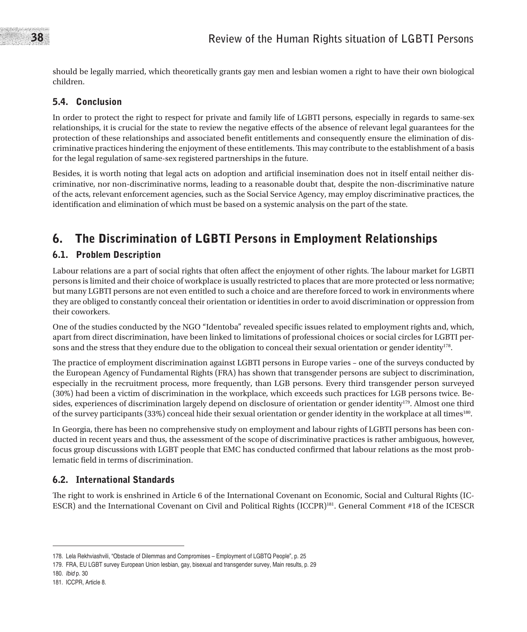should be legally married, which theoretically grants gay men and lesbian women a right to have their own biological children.

### 5.4. Conclusion

In order to protect the right to respect for private and family life of LGBTI persons, especially in regards to same-sex relationships, it is crucial for the state to review the negative effects of the absence of relevant legal guarantees for the protection of these relationships and associated benefit entitlements and consequently ensure the elimination of discriminative practices hindering the enjoyment of these entitlements. This may contribute to the establishment of a basis for the legal regulation of same-sex registered partnerships in the future.

Besides, it is worth noting that legal acts on adoption and artificial insemination does not in itself entail neither discriminative, nor non-discriminative norms, leading to a reasonable doubt that, despite the non-discriminative nature of the acts, relevant enforcement agencies, such as the Social Service Agency, may employ discriminative practices, the identification and elimination of which must be based on a systemic analysis on the part of the state.

## 6. The Discrimination of LGBTI Persons in Employment Relationships

### 6.1. Problem Description

Labour relations are a part of social rights that often affect the enjoyment of other rights. The labour market for LGBTI persons is limited and their choice of workplace is usually restricted to places that are more protected or less normative; but many LGBTI persons are not even entitled to such a choice and are therefore forced to work in environments where they are obliged to constantly conceal their orientation or identities in order to avoid discrimination or oppression from their coworkers.

One of the studies conducted by the NGO "Identoba" revealed specific issues related to employment rights and, which, apart from direct discrimination, have been linked to limitations of professional choices or social circles for LGBTI persons and the stress that they endure due to the obligation to conceal their sexual orientation or gender identity<sup>178</sup>.

The practice of employment discrimination against LGBTI persons in Europe varies – one of the surveys conducted by the European Agency of Fundamental Rights (FRA) has shown that transgender persons are subject to discrimination, especially in the recruitment process, more frequently, than LGB persons. Every third transgender person surveyed (30%) had been a victim of discrimination in the workplace, which exceeds such practices for LGB persons twice. Besides, experiences of discrimination largely depend on disclosure of orientation or gender identity<sup>179</sup>. Almost one third of the survey participants (33%) conceal hide their sexual orientation or gender identity in the workplace at all times180.

In Georgia, there has been no comprehensive study on employment and labour rights of LGBTI persons has been conducted in recent years and thus, the assessment of the scope of discriminative practices is rather ambiguous, however, focus group discussions with LGBT people that EMC has conducted confirmed that labour relations as the most problematic field in terms of discrimination.

### 6.2. International Standards

The right to work is enshrined in Article 6 of the International Covenant on Economic, Social and Cultural Rights (IC-ESCR) and the International Covenant on Civil and Political Rights (ICCPR)181. General Comment #18 of the ICESCR

180. *Ibid* p. 30

<sup>178.</sup> Lela Rekhviashvili, "Obstacle of Dilemmas and Compromises – Employment of LGBTQ People", p. 25

<sup>179.</sup> FRA, EU LGBT survey European Union lesbian, gay, bisexual and transgender survey, Main results, p. 29

<sup>181.</sup> ICCPR, Article 8.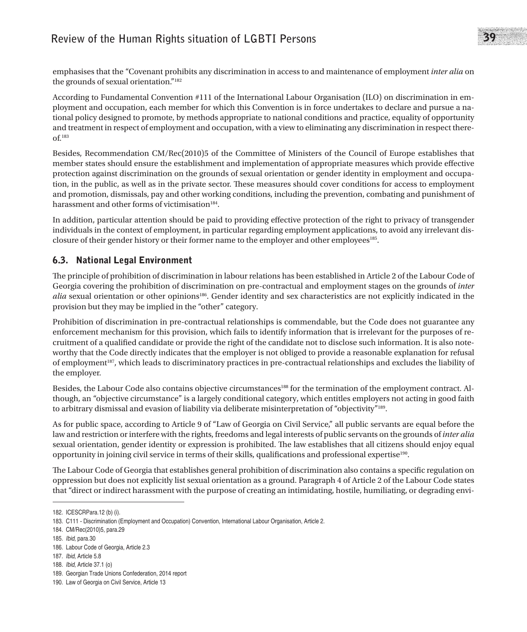emphasises that the "Covenant prohibits any discrimination in access to and maintenance of employment *inter alia* on the grounds of sexual orientation."182

According to Fundamental Convention #111 of the International Labour Organisation (ILO) on discrimination in employment and occupation, each member for which this Convention is in force undertakes to declare and pursue a national policy designed to promote, by methods appropriate to national conditions and practice, equality of opportunity and treatment in respect of employment and occupation, with a view to eliminating any discrimination in respect thereof.183

Besides, Recommendation CM/Rec(2010)5 of the Committee of Ministers of the Council of Europe establishes that member states should ensure the establishment and implementation of appropriate measures which provide effective protection against discrimination on the grounds of sexual orientation or gender identity in employment and occupation, in the public, as well as in the private sector. These measures should cover conditions for access to employment and promotion, dismissals, pay and other working conditions, including the prevention, combating and punishment of harassment and other forms of victimisation $184$ .

In addition, particular attention should be paid to providing effective protection of the right to privacy of transgender individuals in the context of employment, in particular regarding employment applications, to avoid any irrelevant disclosure of their gender history or their former name to the employer and other employees<sup>185</sup>.

## 6.3. National Legal Environment

The principle of prohibition of discrimination in labour relations has been established in Article 2 of the Labour Code of Georgia covering the prohibition of discrimination on pre-contractual and employment stages on the grounds of *inter alia* sexual orientation or other opinions<sup>186</sup>. Gender identity and sex characteristics are not explicitly indicated in the provision but they may be implied in the "other" category.

Prohibition of discrimination in pre-contractual relationships is commendable, but the Code does not guarantee any enforcement mechanism for this provision, which fails to identify information that is irrelevant for the purposes of recruitment of a qualified candidate or provide the right of the candidate not to disclose such information. It is also noteworthy that the Code directly indicates that the employer is not obliged to provide a reasonable explanation for refusal of employment<sup>187</sup>, which leads to discriminatory practices in pre-contractual relationships and excludes the liability of the employer.

Besides, the Labour Code also contains objective circumstances<sup>188</sup> for the termination of the employment contract. Although, an "objective circumstance" is a largely conditional category, which entitles employers not acting in good faith to arbitrary dismissal and evasion of liability via deliberate misinterpretation of "objectivity"189.

As for public space, according to Article 9 of "Law of Georgia on Civil Service," all public servants are equal before the law and restriction or interfere with the rights, freedoms and legal interests of public servants on the grounds of *inter alia* sexual orientation, gender identity or expression is prohibited. The law establishes that all citizens should enjoy equal opportunity in joining civil service in terms of their skills, qualifications and professional expertise190.

The Labour Code of Georgia that establishes general prohibition of discrimination also contains a specific regulation on oppression but does not explicitly list sexual orientation as a ground. Paragraph 4 of Article 2 of the Labour Code states that "direct or indirect harassment with the purpose of creating an intimidating, hostile, humiliating, or degrading envi-

<sup>182.</sup> ICESCRPara.12 (b) (i).

<sup>183.</sup> C111 - Discrimination (Employment and Occupation) Convention, International Labour Organisation, Article 2.

<sup>184.</sup> CM/Rec(2010)5, para.29

<sup>185.</sup> *Ibid*, para.30

<sup>186.</sup> Labour Code of Georgia, Article 2.3

<sup>187.</sup> *Ibid*, Article 5.8

<sup>188.</sup> *Ibid*, Article 37.1 (o)

<sup>189.</sup> Georgian Trade Unions Confederation, 2014 report

<sup>190.</sup> Law of Georgia on Civil Service, Article 13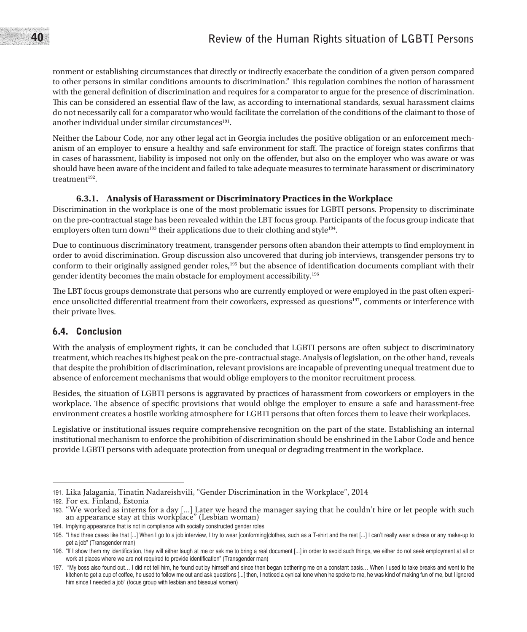## 40 **Review of the Human Rights situation of LGBTI Persons**

ronment or establishing circumstances that directly or indirectly exacerbate the condition of a given person compared to other persons in similar conditions amounts to discrimination." This regulation combines the notion of harassment with the general definition of discrimination and requires for a comparator to argue for the presence of discrimination. This can be considered an essential flaw of the law, as according to international standards, sexual harassment claims do not necessarily call for a comparator who would facilitate the correlation of the conditions of the claimant to those of another individual under similar circumstances $191$ .

Neither the Labour Code, nor any other legal act in Georgia includes the positive obligation or an enforcement mechanism of an employer to ensure a healthy and safe environment for staff. The practice of foreign states confirms that in cases of harassment, liability is imposed not only on the offender, but also on the employer who was aware or was should have been aware of the incident and failed to take adequate measures to terminate harassment or discriminatory treatment $192$ .

#### **6.3.1. Analysis of Harassment or Discriminatory Practices in the Workplace**

Discrimination in the workplace is one of the most problematic issues for LGBTI persons. Propensity to discriminate on the pre-contractual stage has been revealed within the LBT focus group. Participants of the focus group indicate that employers often turn down<sup>193</sup> their applications due to their clothing and style<sup>194</sup>.

Due to continuous discriminatory treatment, transgender persons often abandon their attempts to find employment in order to avoid discrimination. Group discussion also uncovered that during job interviews, transgender persons try to conform to their originally assigned gender roles,195 but the absence of identification documents compliant with their gender identity becomes the main obstacle for employment accessibility.196

The LBT focus groups demonstrate that persons who are currently employed or were employed in the past often experience unsolicited differential treatment from their coworkers, expressed as questions197, comments or interference with their private lives.

### 6.4. Conclusion

With the analysis of employment rights, it can be concluded that LGBTI persons are often subject to discriminatory treatment, which reaches its highest peak on the pre-contractual stage. Analysis of legislation, on the other hand, reveals that despite the prohibition of discrimination, relevant provisions are incapable of preventing unequal treatment due to absence of enforcement mechanisms that would oblige employers to the monitor recruitment process.

Besides, the situation of LGBTI persons is aggravated by practices of harassment from coworkers or employers in the workplace. The absence of specific provisions that would oblige the employer to ensure a safe and harassment-free environment creates a hostile working atmosphere for LGBTI persons that often forces them to leave their workplaces.

Legislative or institutional issues require comprehensive recognition on the part of the state. Establishing an internal institutional mechanism to enforce the prohibition of discrimination should be enshrined in the Labor Code and hence provide LGBTI persons with adequate protection from unequal or degrading treatment in the workplace.

<sup>191.</sup> Lika Jalagania, Tinatin Nadareishvili, "Gender Discrimination in the Workplace", 2014

<sup>192.</sup> For ex. Finland, Estonia

<sup>193.</sup> "We worked as interns for a day [...] Later we heard the manager saying that he couldn't hire or let people with such an appearance stay at this workplace" (Lesbian woman)

<sup>194.</sup> Implying appearance that is not in compliance with socially constructed gender roles

<sup>195.</sup> "I had three cases like that [...] When I go to a job interview, I try to wear [conforming]clothes, such as a T-shirt and the rest [...] I can't really wear a dress or any make-up to get a job" (Transgender man)

<sup>196.</sup> "If I show them my identification, they will either laugh at me or ask me to bring a real document [...] in order to avoid such things, we either do not seek employment at all or work at places where we are not required to provide identification" (Transgender man)

<sup>197. &</sup>quot;My boss also found out… I did not tell him, he found out by himself and since then began bothering me on a constant basis… When I used to take breaks and went to the kitchen to get a cup of coffee, he used to follow me out and ask questions [...] then, I noticed a cynical tone when he spoke to me, he was kind of making fun of me, but I ignored him since I needed a job" (focus group with lesbian and bisexual women)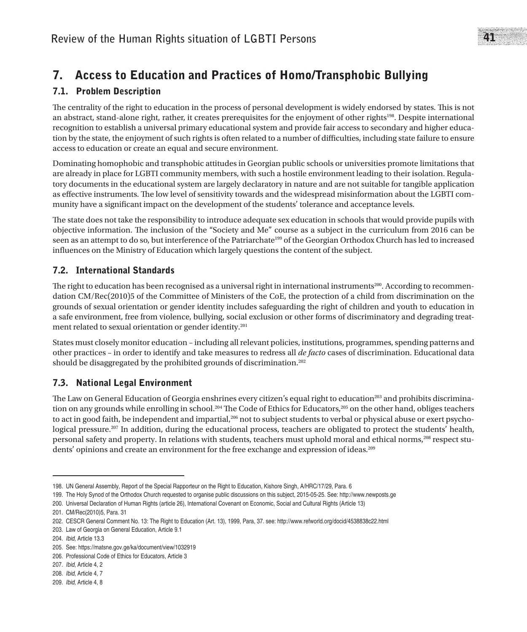## 7. Access to Education and Practices of Homo/Transphobic Bullying

## 7.1. Problem Description

The centrality of the right to education in the process of personal development is widely endorsed by states. This is not an abstract, stand-alone right, rather, it creates prerequisites for the enjoyment of other rights<sup>198</sup>. Despite international recognition to establish a universal primary educational system and provide fair access to secondary and higher education by the state, the enjoyment of such rights is often related to a number of difficulties, including state failure to ensure access to education or create an equal and secure environment.

Dominating homophobic and transphobic attitudes in Georgian public schools or universities promote limitations that are already in place for LGBTI community members, with such a hostile environment leading to their isolation. Regulatory documents in the educational system are largely declaratory in nature and are not suitable for tangible application as effective instruments. The low level of sensitivity towards and the widespread misinformation about the LGBTI community have a significant impact on the development of the students' tolerance and acceptance levels.

The state does not take the responsibility to introduce adequate sex education in schools that would provide pupils with objective information. The inclusion of the "Society and Me" course as a subject in the curriculum from 2016 can be seen as an attempt to do so, but interference of the Patriarchate<sup>199</sup> of the Georgian Orthodox Church has led to increased influences on the Ministry of Education which largely questions the content of the subject.

## 7.2. International Standards

The right to education has been recognised as a universal right in international instruments<sup>200</sup>. According to recommendation CM/Rec(2010)5 of the Committee of Ministers of the CoE, the protection of a child from discrimination on the grounds of sexual orientation or gender identity includes safeguarding the right of children and youth to education in a safe environment, free from violence, bullying, social exclusion or other forms of discriminatory and degrading treatment related to sexual orientation or gender identity.201

States must closely monitor education – including all relevant policies, institutions, programmes, spending patterns and other practices – in order to identify and take measures to redress all *de facto* cases of discrimination. Educational data should be disaggregated by the prohibited grounds of discrimination.<sup>202</sup>

## 7.3. National Legal Environment

The Law on General Education of Georgia enshrines every citizen's equal right to education<sup>203</sup> and prohibits discrimination on any grounds while enrolling in school.<sup>204</sup> The Code of Ethics for Educators,<sup>205</sup> on the other hand, obliges teachers to act in good faith, be independent and impartial,<sup>206</sup> not to subject students to verbal or physical abuse or exert psychological pressure.<sup>207</sup> In addition, during the educational process, teachers are obligated to protect the students' health, personal safety and property. In relations with students, teachers must uphold moral and ethical norms,208 respect students' opinions and create an environment for the free exchange and expression of ideas.209

<sup>198.</sup> UN General Assembly, Report of the Special Rapporteur on the Right to Education, Kishore Singh, A/HRC/17/29, Para. 6

<sup>199.</sup> The Holy Synod of the Orthodox Church requested to organise public discussions on this subject, 2015-05-25. See: http://www.newposts.ge

<sup>200.</sup> Universal Declaration of Human Rights (article 26), International Covenant on Economic, Social and Cultural Rights (Article 13)

<sup>201.</sup> CM/Rec(2010)5, Para. 31

<sup>202.</sup> CESCR General Comment No. 13: The Right to Education (Art. 13), 1999, Para, 37. see: http://www.refworld.org/docid/4538838c22.html

<sup>203.</sup> Law of Georgia on General Education, Article 9.1

<sup>204.</sup> *Ibid*, Article 13.3

<sup>205.</sup> See: https://matsne.gov.ge/ka/document/view/1032919

<sup>206.</sup> Professional Code of Ethics for Educators, Article 3

<sup>207.</sup> *Ibid*, Article 4, 2

<sup>208.</sup> *Ibid*, Article 4, 7

<sup>209.</sup> *Ibid*, Article 4, 8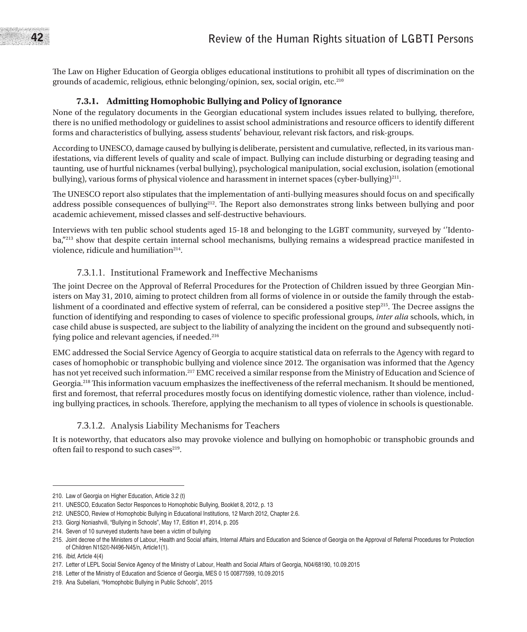The Law on Higher Education of Georgia obliges educational institutions to prohibit all types of discrimination on the grounds of academic, religious, ethnic belonging/opinion, sex, social origin, etc.210

#### **7.3.1. Admitting Homophobic Bullying and Policy of Ignorance**

None of the regulatory documents in the Georgian educational system includes issues related to bullying, therefore, there is no unified methodology or guidelines to assist school administrations and resource officers to identify different forms and characteristics of bullying, assess students' behaviour, relevant risk factors, and risk-groups.

According to UNESCO, damage caused by bullying is deliberate, persistent and cumulative, reflected, in its various manifestations, via different levels of quality and scale of impact. Bullying can include disturbing or degrading teasing and taunting, use of hurtful nicknames (verbal bullying), psychological manipulation, social exclusion, isolation (emotional bullying), various forms of physical violence and harassment in internet spaces (cyber-bullying)211.

The UNESCO report also stipulates that the implementation of anti-bullying measures should focus on and specifically address possible consequences of bullying<sup>212</sup>. The Report also demonstrates strong links between bullying and poor academic achievement, missed classes and self-destructive behaviours.

Interviews with ten public school students aged 15-18 and belonging to the LGBT community, surveyed by ''Identoba,"<sup>213</sup> show that despite certain internal school mechanisms, bullying remains a widespread practice manifested in violence, ridicule and humiliation<sup>214</sup>.

#### 7.3.1.1. Institutional Framework and Ineffective Mechanisms

The joint Decree on the Approval of Referral Procedures for the Protection of Children issued by three Georgian Ministers on May 31, 2010, aiming to protect children from all forms of violence in or outside the family through the establishment of a coordinated and effective system of referral, can be considered a positive step<sup>215</sup>. The Decree assigns the function of identifying and responding to cases of violence to specific professional groups, *inter alia* schools, which, in case child abuse is suspected, are subject to the liability of analyzing the incident on the ground and subsequently notifying police and relevant agencies, if needed.<sup>216</sup>

EMC addressed the Social Service Agency of Georgia to acquire statistical data on referrals to the Agency with regard to cases of homophobic or transphobic bullying and violence since 2012. The organisation was informed that the Agency has not yet received such information.<sup>217</sup> EMC received a similar response from the Ministry of Education and Science of Georgia.218 This information vacuum emphasizes the ineffectiveness of the referral mechanism. It should be mentioned, first and foremost, that referral procedures mostly focus on identifying domestic violence, rather than violence, including bullying practices, in schools. Therefore, applying the mechanism to all types of violence in schools is questionable.

#### 7.3.1.2. Analysis Liability Mechanisms for Teachers

It is noteworthy, that educators also may provoke violence and bullying on homophobic or transphobic grounds and often fail to respond to such cases<sup>219</sup>.

<sup>210.</sup> Law of Georgia on Higher Education, Article 3.2 (t)

<sup>211.</sup> UNESCO, Education Sector Responces to Homophobic Bullying, Booklet 8, 2012, p. 13

<sup>212.</sup> UNESCO, Review of Homophobic Bullying in Educational Institutions, 12 March 2012, Chapter 2.6.

<sup>213.</sup> Giorgi Noniashvili, "Bullying in Schools", May 17, Edition #1, 2014, p. 205

<sup>214.</sup> Seven of 10 surveyed students have been a victim of bullying

<sup>215.</sup> Joint decree of the Ministers of Labour, Health and Social affairs, Internal Affairs and Education and Science of Georgia on the Approval of Referral Procedures for Protection of Children N152/I-N496-N45/n, Article1(1).

<sup>216.</sup> *Ibid*, Article 4(4)

<sup>217.</sup> Letter of LEPL Social Service Agency of the Ministry of Labour, Health and Social Affairs of Georgia, N04/68190, 10.09.2015

<sup>218.</sup> Letter of the Ministry of Education and Science of Georgia, MES 0 15 00877599, 10.09.2015

<sup>219.</sup> Ana Subeliani, "Homophobic Bullying in Public Schools", 2015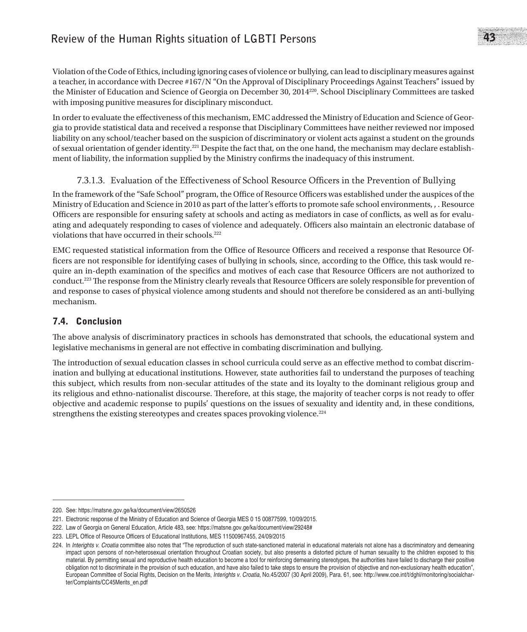Violation of the Code of Ethics, including ignoring cases of violence or bullying, can lead to disciplinary measures against a teacher, in accordance with Decree #167/N "On the Approval of Disciplinary Proceedings Against Teachers" issued by the Minister of Education and Science of Georgia on December 30, 2014220. School Disciplinary Committees are tasked with imposing punitive measures for disciplinary misconduct.

In order to evaluate the effectiveness of this mechanism, EMC addressed the Ministry of Education and Science of Georgia to provide statistical data and received a response that Disciplinary Committees have neither reviewed nor imposed liability on any school/teacher based on the suspicion of discriminatory or violent acts against a student on the grounds of sexual orientation of gender identity.221 Despite the fact that, on the one hand, the mechanism may declare establishment of liability, the information supplied by the Ministry confirms the inadequacy of this instrument.

## 7.3.1.3. Evaluation of the Effectiveness of School Resource Officers in the Prevention of Bullying

In the framework of the "Safe School" program, the Office of Resource Officers was established under the auspices of the Ministry of Education and Science in 2010 as part of the latter's efforts to promote safe school environments, , . Resource Officers are responsible for ensuring safety at schools and acting as mediators in case of conflicts, as well as for evaluating and adequately responding to cases of violence and adequately. Officers also maintain an electronic database of violations that have occurred in their schools.<sup>222</sup>

EMC requested statistical information from the Office of Resource Officers and received a response that Resource Officers are not responsible for identifying cases of bullying in schools, since, according to the Office, this task would require an in-depth examination of the specifics and motives of each case that Resource Officers are not authorized to conduct.223 The response from the Ministry clearly reveals that Resource Officers are solely responsible for prevention of and response to cases of physical violence among students and should not therefore be considered as an anti-bullying mechanism.

## 7.4. Conclusion

The above analysis of discriminatory practices in schools has demonstrated that schools, the educational system and legislative mechanisms in general are not effective in combating discrimination and bullying.

The introduction of sexual education classes in school curricula could serve as an effective method to combat discrimination and bullying at educational institutions. However, state authorities fail to understand the purposes of teaching this subject, which results from non-secular attitudes of the state and its loyalty to the dominant religious group and its religious and ethno-nationalist discourse. Therefore, at this stage, the majority of teacher corps is not ready to offer objective and academic response to pupils' questions on the issues of sexuality and identity and, in these conditions, strengthens the existing stereotypes and creates spaces provoking violence.<sup>224</sup>

<sup>220.</sup> See: https://matsne.gov.ge/ka/document/view/2650526

<sup>221.</sup> Electronic response of the Ministry of Education and Science of Georgia MES 0 15 00877599, 10/09/2015.

<sup>222.</sup> Law of Georgia on General Education, Article 483, see: https://matsne.gov.ge/ka/document/view/29248#

<sup>223.</sup> LEPL Office of Resource Officers of Educational Institutions, MES 11500967455, 24/09/2015

<sup>224.</sup> In *Interights v. Croatia* committee also notes that "The reproduction of such state-sanctioned material in educational materials not alone has a discriminatory and demeaning impact upon persons of non-heterosexual orientation throughout Croatian society, but also presents a distorted picture of human sexuality to the children exposed to this material. By permitting sexual and reproductive health education to become a tool for reinforcing demeaning stereotypes, the authorities have failed to discharge their positive obligation not to discriminate in the provision of such education, and have also failed to take steps to ensure the provision of objective and non-exclusionary health education", European Committee of Social Rights, Decision on the Merits, *Interights v. Croatia*, No.45/2007 (30 April 2009), Para. 61, see: http://www.coe.int/t/dghl/monitoring/socialcharter/Complaints/CC45Merits\_en.pdf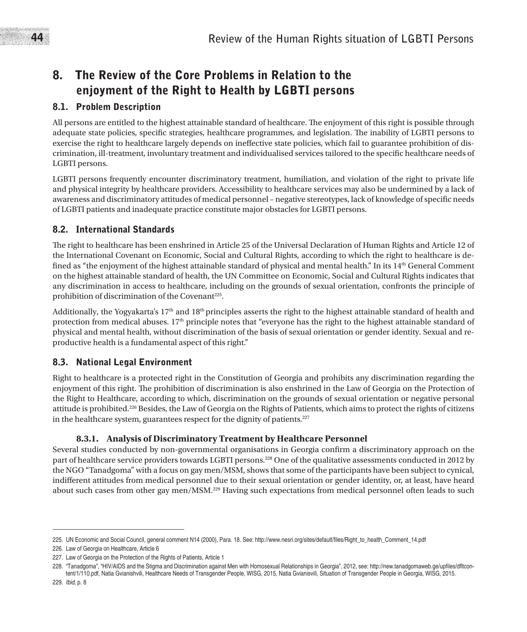## 8. The Review of the Core Problems in Relation to the enjoyment of the Right to Health by LGBTI persons

## 8.1. Problem Description

All persons are entitled to the highest attainable standard of healthcare. The enjoyment of this right is possible through adequate state policies, specific strategies, healthcare programmes, and legislation. The inability of LGBTI persons to exercise the right to healthcare largely depends on ineffective state policies, which fail to guarantee prohibition of discrimination, ill-treatment, involuntary treatment and individualised services tailored to the specific healthcare needs of LGBTI persons.

LGBTI persons frequently encounter discriminatory treatment, humiliation, and violation of the right to private life and physical integrity by healthcare providers. Accessibility to healthcare services may also be undermined by a lack of awareness and discriminatory attitudes of medical personnel – negative stereotypes, lack of knowledge of specific needs of LGBTI patients and inadequate practice constitute major obstacles for LGBTI persons.

## 8.2. International Standards

The right to healthcare has been enshrined in Article 25 of the Universal Declaration of Human Rights and Article 12 of the International Covenant on Economic, Social and Cultural Rights, according to which the right to healthcare is defined as "the enjoyment of the highest attainable standard of physical and mental health." In its 14<sup>th</sup> General Comment on the highest attainable standard of health, the UN Committee on Economic, Social and Cultural Rights indicates that any discrimination in access to healthcare, including on the grounds of sexual orientation, confronts the principle of prohibition of discrimination of the Covenant<sup>225</sup>.

Additionally, the Yogyakarta's  $17<sup>th</sup>$  and  $18<sup>th</sup>$  principles asserts the right to the highest attainable standard of health and protection from medical abuses.  $17<sup>th</sup>$  principle notes that "everyone has the right to the highest attainable standard of physical and mental health, without discrimination of the basis of sexual orientation or gender identity. Sexual and reproductive health is a fundamental aspect of this right."

## 8.3. National Legal Environment

Right to healthcare is a protected right in the Constitution of Georgia and prohibits any discrimination regarding the enjoyment of this right. The prohibition of discrimination is also enshrined in the Law of Georgia on the Protection of the Right to Healthcare, according to which, discrimination on the grounds of sexual orientation or negative personal attitude is prohibited.226 Besides, the Law of Georgia on the Rights of Patients, which aims to protect the rights of citizens in the healthcare system, guarantees respect for the dignity of patients. $227$ 

## **8.3.1. Analysis of Discriminatory Treatment by Healthcare Personnel**

Several studies conducted by non-governmental organisations in Georgia confirm a discriminatory approach on the part of healthcare service providers towards LGBTI persons.228 One of the qualitative assessments conducted in 2012 by the NGO "Tanadgoma" with a focus on gay men/MSM, shows that some of the participants have been subject to cynical, indifferent attitudes from medical personnel due to their sexual orientation or gender identity, or, at least, have heard about such cases from other gay men/MSM.229 Having such expectations from medical personnel often leads to such

<sup>225.</sup> UN Economic and Social Council, general comment N14 (2000), Para. 18. See: http://www.nesri.org/sites/default/files/Right\_to\_health\_Comment\_14.pdf

<sup>226.</sup> Law of Georgia on Healthcare, Article 6

<sup>227.</sup> Law of Georgia on the Protection of the Rights of Patients, Article 1

<sup>228.</sup> "Tanadgoma", "HIV/AIDS and the Stigma and Discrimination against Men with Homosexual Relationships in Georgia", 2012, see: http://new.tanadgomaweb.ge/upfiles/dfltcontent/1/110.pdf, Natia Gvianishvili, Healthcare Needs of Transgender People, WISG, 2015, Natia Gvianisvili, Situation of Transgender People in Georgia, WISG, 2015.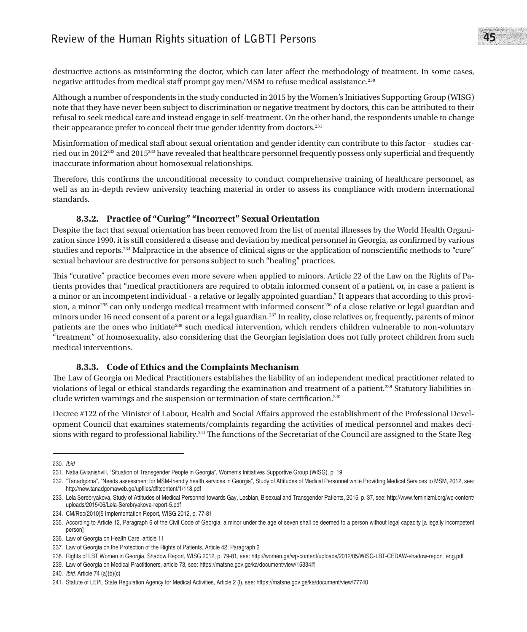## **Review of the Human Rights situation of LGBTI Persons** 45

destructive actions as misinforming the doctor, which can later affect the methodology of treatment. In some cases, negative attitudes from medical staff prompt gay men/MSM to refuse medical assistance.230

Although a number of respondents in the study conducted in 2015 by the Women's Initiatives Supporting Group (WISG) note that they have never been subject to discrimination or negative treatment by doctors, this can be attributed to their refusal to seek medical care and instead engage in self-treatment. On the other hand, the respondents unable to change their appearance prefer to conceal their true gender identity from doctors.231

Misinformation of medical staff about sexual orientation and gender identity can contribute to this factor – studies carried out in 2012232 and 2015233 have revealed that healthcare personnel frequently possess only superficial and frequently inaccurate information about homosexual relationships.

Therefore, this confirms the unconditional necessity to conduct comprehensive training of healthcare personnel, as well as an in-depth review university teaching material in order to assess its compliance with modern international standards.

### **8.3.2. Practice of "Curing" "Incorrect" Sexual Orientation**

Despite the fact that sexual orientation has been removed from the list of mental illnesses by the World Health Organization since 1990, it is still considered a disease and deviation by medical personnel in Georgia, as confirmed by various studies and reports.234 Malpractice in the absence of clinical signs or the application of nonscientific methods to "cure" sexual behaviour are destructive for persons subject to such "healing" practices.

This "curative" practice becomes even more severe when applied to minors. Article 22 of the Law on the Rights of Patients provides that "medical practitioners are required to obtain informed consent of a patient, or, in case a patient is a minor or an incompetent individual - a relative or legally appointed guardian." It appears that according to this provision, a minor<sup>235</sup> can only undergo medical treatment with informed consent<sup>236</sup> of a close relative or legal guardian and minors under 16 need consent of a parent or a legal guardian.<sup>237</sup> In reality, close relatives or, frequently, parents of minor patients are the ones who initiate<sup>238</sup> such medical intervention, which renders children vulnerable to non-voluntary "treatment" of homosexuality, also considering that the Georgian legislation does not fully protect children from such medical interventions.

#### **8.3.3. Code of Ethics and the Complaints Mechanism**

The Law of Georgia on Medical Practitioners establishes the liability of an independent medical practitioner related to violations of legal or ethical standards regarding the examination and treatment of a patient.239 Statutory liabilities include written warnings and the suspension or termination of state certification.240

Decree #122 of the Minister of Labour, Health and Social Affairs approved the establishment of the Professional Development Council that examines statements/complaints regarding the activities of medical personnel and makes decisions with regard to professional liability.<sup>241</sup> The functions of the Secretariat of the Council are assigned to the State Reg-

239. Law of Georgia on Medical Practitioners, article 73, see: https://matsne.gov.ge/ka/document/view/15334#!

<sup>230.</sup> *Ibid*

<sup>231.</sup> Natia Gvianishvili, "Situation of Transgender People in Georgia", Women's Initiatives Supportive Group (WISG), p. 19

<sup>232.</sup> "Tanadgoma", "Needs assessment for MSM-friendly health services in Georgia", Study of Attitudes of Medical Personnel while Providing Medical Services to MSM, 2012, see: http://new.tanadgomaweb.ge/upfiles/dfltcontent/1/118.pdf

<sup>233.</sup> Lela Serebryakova, Study of Attitudes of Medical Personnel towards Gay, Lesbian, Bisexual and Transgender Patients, 2015, p. 37, see: http://www.feminizmi.org/wp-content/ uploads/2015/06/Lela-Serebryakova-report-5.pdf

<sup>234.</sup> CM/Rec(2010)5 Implementation Report, WISG 2012, p. 77-81

<sup>235.</sup> According to Article 12, Paragraph 6 of the Civil Code of Georgia, a minor under the age of seven shall be deemed to a person without legal capacity [a legally incompetent person]

<sup>236.</sup> Law of Georgia on Health Care, article 11

<sup>237.</sup> Law of Georgia on the Protection of the Rights of Patients, Article 42, Paragraph 2

<sup>238.</sup> Rights of LBT Women in Georgia, Shadow Report, WISG 2012, p. 79-81, see: http://women.ge/wp-content/uploads/2012/05/WISG-LBT-CEDAW-shadow-report\_eng.pdf

<sup>240.</sup> *Ibid*, Article 74 (a)(b)(c)

<sup>241.</sup> Statute of LEPL State Regulation Agency for Medical Activities, Article 2 (l), see: https://matsne.gov.ge/ka/document/view/77740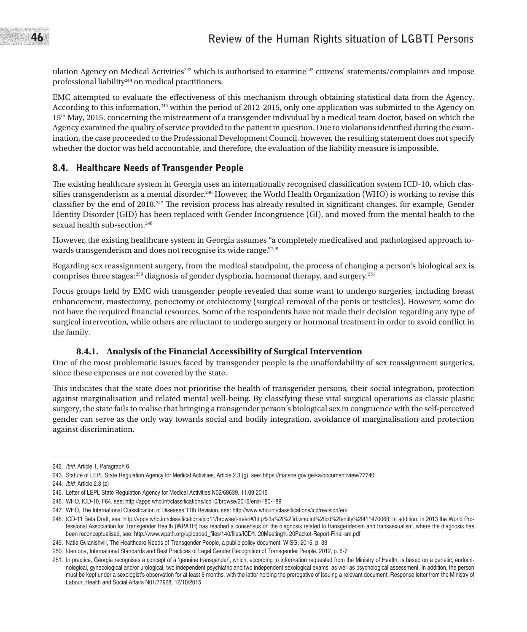ulation Agency on Medical Activities<sup>242</sup> which is authorised to examine<sup>243</sup> citizens' statements/complaints and impose professional liability244 on medical practitioners.

EMC attempted to evaluate the effectiveness of this mechanism through obtaining statistical data from the Agency. According to this information,245 within the period of 2012-2015, only one application was submitted to the Agency on 15th May, 2015, concerning the mistreatment of a transgender individual by a medical team doctor, based on which the Agency examined the quality of service provided to the patient in question. Due to violations identified during the examination, the case proceeded to the Professional Development Council, however, the resulting statement does not specify whether the doctor was held accountable, and therefore, the evaluation of the liability measure is impossible.

### 8.4. Healthcare Needs of Transgender People

The existing healthcare system in Georgia uses an internationally recognised classification system ICD-10, which classifies transgenderism as a mental disorder.<sup>246</sup> However, the World Health Organization (WHO) is working to revise this classifier by the end of 2018.247 The revision process has already resulted in significant changes, for example, Gender Identity Disorder (GID) has been replaced with Gender Incongruence (GI), and moved from the mental health to the sexual health sub-section.<sup>248</sup>

However, the existing healthcare system in Georgia assumes "a completely medicalised and pathologised approach towards transgenderism and does not recognise its wide range."249

Regarding sex reassignment surgery, from the medical standpoint, the process of changing a person's biological sex is comprises three stages:250 diagnosis of gender dysphoria, hormonal therapy, and surgery.251

Focus groups held by EMC with transgender people revealed that some want to undergo surgeries, including breast enhancement, mastectomy, penectomy or orchiectomy (surgical removal of the penis or testicles). However, some do not have the required financial resources. Some of the respondents have not made their decision regarding any type of surgical intervention, while others are reluctant to undergo surgery or hormonal treatment in order to avoid conflict in the family.

#### **8.4.1. Analysis of the Financial Accessibility of Surgical Intervention**

One of the most problematic issues faced by transgender people is the unaffordability of sex reassignment surgeries, since these expenses are not covered by the state.

This indicates that the state does not prioritise the health of transgender persons, their social integration, protection against marginalisation and related mental well-being. By classifying these vital surgical operations as classic plastic surgery, the state fails to realise that bringing a transgender person's biological sex in congruence with the self-perceived gender can serve as the only way towards social and bodily integration, avoidance of marginalisation and protection against discrimination.

<sup>242.</sup> *Ibid*, Article 1, Paragraph 6

<sup>243.</sup> Statute of LEPL State Regulation Agency for Medical Activities, Article 2.3 (g), see: https://matsne.gov.ge/ka/document/view/77740

<sup>244.</sup> *Ibid*, Article 2.3 (z)

<sup>245.</sup> Letter of LEPL State Regulation Agency for Medical Activities,N02/68639, 11.09.2015

<sup>246.</sup> WHO, ICD-10, F64. see: http://apps.who.int/classifications/icd10/browse/2016/en#/F80-F89

<sup>247.</sup> WHO, The International Classification of Diseases 11th Revision, see: http://www.who.int/classifications/icd/revision/en/

<sup>248.</sup> ICD-11 Beta Draft, see: http://apps.who.int/classifications/icd11/browse/l-m/en#/http%3a%2f%2fid.who.int%2ficd%2fentity%2f411470068; In addition, in 2013 the World Professional Association for Transgender Health (WPATH) has reached a consensus on the diagnosis related to transgenderism and transsexualism, where the diagnosis has been reconceptualised, see: http://www.wpath.org/uploaded\_files/140/files/ICD% 20Meeting% 20Packet-Report-Final-sm.pdf

<sup>249.</sup> Natia Gvianishvili, The Healthcare Needs of Transgender People, a public policy document, WISG, 2015, p. 33

<sup>250.</sup> Identoba, International Standards and Best Practices of Legal Gender Recognition of Transgender People, 2012, p. 6-7

<sup>251.</sup> In practice, Georgia recognises a concept of a 'genuine transgender', which, according to information requested from the Ministry of Health, is based on a genetic, endocrinological, gynecological and/or urological, two independent psychiatric and two independent sexological exams, as well as psychological assessment. In addition, the person must be kept under a sexologist's observation for at least 6 months, with the latter holding the prerogative of issuing a relevant document. Response letter from the Ministry of Labour, Health and Social Affairs N01/77928, 12/10/2015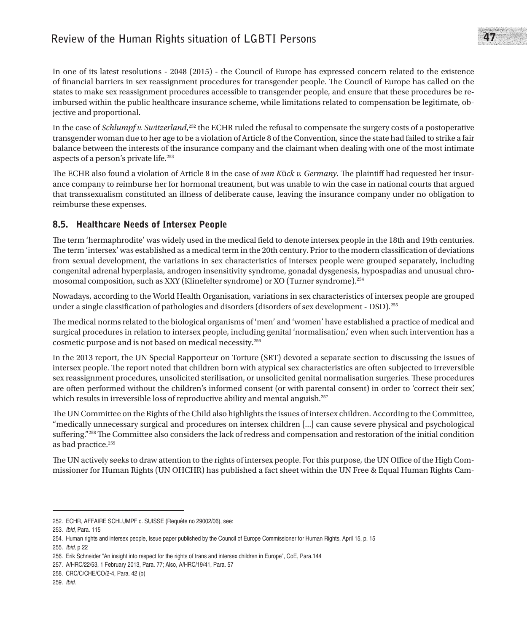## **Review of the Human Rights situation of LGBTI Persons** 47

In one of its latest resolutions - 2048 (2015) - the Council of Europe has expressed concern related to the existence of financial barriers in sex reassignment procedures for transgender people. The Council of Europe has called on the states to make sex reassignment procedures accessible to transgender people, and ensure that these procedures be reimbursed within the public healthcare insurance scheme, while limitations related to compensation be legitimate, objective and proportional.

In the case of *Schlumpf v. Switzerland*, 252 the ECHR ruled the refusal to compensate the surgery costs of a postoperative transgender woman due to her age to be a violation of Article 8 of the Convention, since the state had failed to strike a fair balance between the interests of the insurance company and the claimant when dealing with one of the most intimate aspects of a person's private life.253

The ECHR also found a violation of Article 8 in the case of *van K*ü*ck v. Germany*. The plaintiff had requested her insurance company to reimburse her for hormonal treatment, but was unable to win the case in national courts that argued that transsexualism constituted an illness of deliberate cause, leaving the insurance company under no obligation to reimburse these expenses.

## 8.5. Healthcare Needs of Intersex People

The term 'hermaphrodite' was widely used in the medical field to denote intersex people in the 18th and 19th centuries. The term 'intersex' was established as a medical term in the 20th century. Prior to the modern classification of deviations from sexual development, the variations in sex characteristics of intersex people were grouped separately, including congenital adrenal hyperplasia, androgen insensitivity syndrome, gonadal dysgenesis, hypospadias and unusual chromosomal composition, such as XXY (Klinefelter syndrome) or XO (Turner syndrome).254

Nowadays, according to the World Health Organisation, variations in sex characteristics of intersex people are grouped under a single classification of pathologies and disorders (disorders of sex development - DSD).255

The medical norms related to the biological organisms of 'men' and 'women' have established a practice of medical and surgical procedures in relation to intersex people, including genital 'normalisation,' even when such intervention has a cosmetic purpose and is not based on medical necessity.256

In the 2013 report, the UN Special Rapporteur on Torture (SRT) devoted a separate section to discussing the issues of intersex people. The report noted that children born with atypical sex characteristics are often subjected to irreversible sex reassignment procedures, unsolicited sterilisation, or unsolicited genital normalisation surgeries. These procedures are often performed without the children's informed consent (or with parental consent) in order to 'correct their sex', which results in irreversible loss of reproductive ability and mental anguish.<sup>257</sup>

The UN Committee on the Rights of the Child also highlights the issues of intersex children. According to the Committee, "medically unnecessary surgical and procedures on intersex children [...] can cause severe physical and psychological suffering."258 The Committee also considers the lack of redress and compensation and restoration of the initial condition as bad practice.259

The UN actively seeks to draw attention to the rights of intersex people. For this purpose, the UN Office of the High Commissioner for Human Rights (UN OHCHR) has published a fact sheet within the UN Free & Equal Human Rights Cam-

<sup>252.</sup> ECHR, AFFAIRE SCHLUMPF c. SUISSE (Requête no 29002/06), see:

<sup>253.</sup> *Ibid*, Para. 115

<sup>254.</sup> Human rights and intersex people, Issue paper published by the Council of Europe Commissioner for Human Rights, April 15, p. 15

<sup>255.</sup> *Ibid*, p 22

<sup>256.</sup> Erik Schneider "An insight into respect for the rights of trans and intersex children in Europe", CoE, Para.144

<sup>257.</sup> A/HRC/22/53, 1 February 2013, Para. 77; Also, A/HRC/19/41, Para. 57

<sup>258.</sup> CRC/C/CHE/CO/2-4, Para. 42 (b)

<sup>259.</sup> *Ibid*.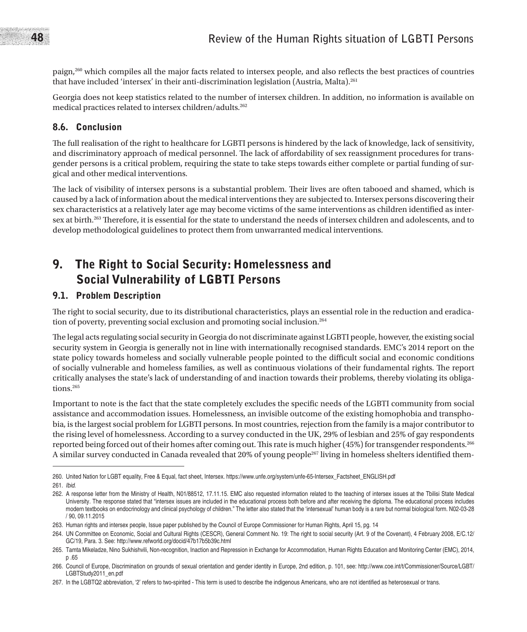paign,260 which compiles all the major facts related to intersex people, and also reflects the best practices of countries that have included 'intersex' in their anti-discrimination legislation (Austria, Malta).261

Georgia does not keep statistics related to the number of intersex children. In addition, no information is available on medical practices related to intersex children/adults.262

### 8.6. Conclusion

The full realisation of the right to healthcare for LGBTI persons is hindered by the lack of knowledge, lack of sensitivity, and discriminatory approach of medical personnel. The lack of affordability of sex reassignment procedures for transgender persons is a critical problem, requiring the state to take steps towards either complete or partial funding of surgical and other medical interventions.

The lack of visibility of intersex persons is a substantial problem. Their lives are often tabooed and shamed, which is caused by a lack of information about the medical interventions they are subjected to. Intersex persons discovering their sex characteristics at a relatively later age may become victims of the same interventions as children identified as intersex at birth.263 Therefore, it is essential for the state to understand the needs of intersex children and adolescents, and to develop methodological guidelines to protect them from unwarranted medical interventions.

## 9. The Right to Social Security: Homelessness and Social Vulnerability of LGBTI Persons

### 9.1. Problem Description

The right to social security, due to its distributional characteristics, plays an essential role in the reduction and eradication of poverty, preventing social exclusion and promoting social inclusion.264

The legal acts regulating social security in Georgia do not discriminate against LGBTI people, however, the existing social security system in Georgia is generally not in line with internationally recognised standards. EMC's 2014 report on the state policy towards homeless and socially vulnerable people pointed to the difficult social and economic conditions of socially vulnerable and homeless families, as well as continuous violations of their fundamental rights. The report critically analyses the state's lack of understanding of and inaction towards their problems, thereby violating its obligations.265

Important to note is the fact that the state completely excludes the specific needs of the LGBTI community from social assistance and accommodation issues. Homelessness, an invisible outcome of the existing homophobia and transphobia, is the largest social problem for LGBTI persons. In most countries, rejection from the family is a major contributor to the rising level of homelessness. According to a survey conducted in the UK, 29% of lesbian and 25% of gay respondents reported being forced out of their homes after coming out. This rate is much higher (45%) for transgender respondents.266 A similar survey conducted in Canada revealed that 20% of young people267 living in homeless shelters identified them-

<sup>260.</sup> United Nation for LGBT equality, Free & Equal, fact sheet, Intersex. https://www.unfe.org/system/unfe-65-Intersex\_Factsheet\_ENGLISH.pdf

<sup>261.</sup> *Ibid*.

<sup>262.</sup> A response letter from the Ministry of Health, N01/88512, 17.11.15. EMC also requested information related to the teaching of intersex issues at the Tbilisi State Medical University. The response stated that "intersex issues are included in the educational process both before and after receiving the diploma. The educational process includes modern textbooks on endocrinology and clinical psychology of children." The letter also stated that the 'intersexual' human body is a rare but normal biological form. N02-03-28 / 90, 09.11.2015

<sup>263.</sup> Human rights and intersex people, Issue paper published by the Council of Europe Commissioner for Human Rights, April 15, pg. 14

<sup>264.</sup> UN Committee on Economic, Social and Cultural Rights (CESCR), General Comment No. 19: The right to social security (Art. 9 of the Covenant), 4 February 2008, E/C.12/ GC/19, Para. 3. See: http://www.refworld.org/docid/47b17b5b39c.html

<sup>265.</sup> Tamta Mikeladze, Nino Sukhishvili, Non-recognition, Inaction and Repression in Exchange for Accommodation, Human Rights Education and Monitoring Center (EMC), 2014, p .65

<sup>266.</sup> Council of Europe, Discrimination on grounds of sexual orientation and gender identity in Europe, 2nd edition, p. 101, see: http://www.coe.int/t/Commissioner/Source/LGBT/ LGBTStudy2011\_en.pdf

<sup>267.</sup> In the LGBTQ2 abbreviation, '2' refers to two-spirited - This term is used to describe the indigenous Americans, who are not identified as heterosexual or trans.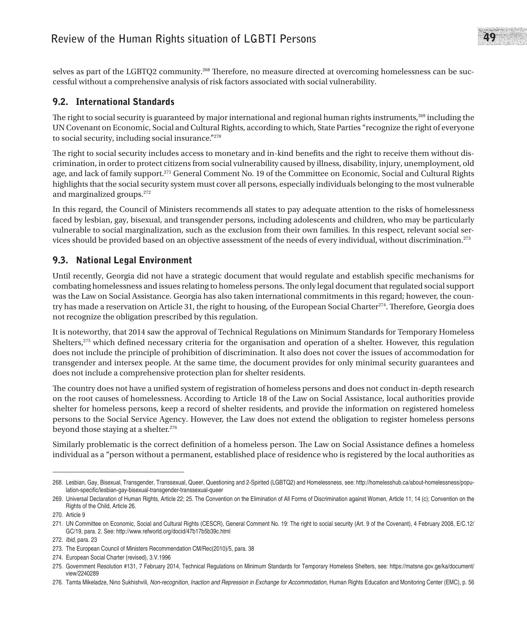## **Review of the Human Rights situation of LGBTI Persons** 49

selves as part of the LGBTQ2 community.268 Therefore, no measure directed at overcoming homelessness can be successful without a comprehensive analysis of risk factors associated with social vulnerability.

### 9.2. International Standards

The right to social security is guaranteed by major international and regional human rights instruments,<sup>269</sup> including the UN Covenant on Economic, Social and Cultural Rights, according to which, State Parties "recognize the right of everyone to social security, including social insurance."270

The right to social security includes access to monetary and in-kind benefits and the right to receive them without discrimination, in order to protect citizens from social vulnerability caused by illness, disability, injury, unemployment, old age, and lack of family support.<sup>271</sup> General Comment No. 19 of the Committee on Economic, Social and Cultural Rights highlights that the social security system must cover all persons, especially individuals belonging to the most vulnerable and marginalized groups.272

In this regard, the Council of Ministers recommends all states to pay adequate attention to the risks of homelessness faced by lesbian, gay, bisexual, and transgender persons, including adolescents and children, who may be particularly vulnerable to social marginalization, such as the exclusion from their own families. In this respect, relevant social services should be provided based on an objective assessment of the needs of every individual, without discrimination.273

### 9.3. National Legal Environment

Until recently, Georgia did not have a strategic document that would regulate and establish specific mechanisms for combating homelessness and issues relating to homeless persons. The only legal document that regulated social support was the Law on Social Assistance. Georgia has also taken international commitments in this regard; however, the country has made a reservation on Article 31, the right to housing, of the European Social Charter<sup>274</sup>. Therefore, Georgia does not recognize the obligation prescribed by this regulation.

It is noteworthy, that 2014 saw the approval of Technical Regulations on Minimum Standards for Temporary Homeless Shelters,<sup>275</sup> which defined necessary criteria for the organisation and operation of a shelter. However, this regulation does not include the principle of prohibition of discrimination. It also does not cover the issues of accommodation for transgender and intersex people. At the same time, the document provides for only minimal security guarantees and does not include a comprehensive protection plan for shelter residents.

The country does not have a unified system of registration of homeless persons and does not conduct in-depth research on the root causes of homelessness. According to Article 18 of the Law on Social Assistance, local authorities provide shelter for homeless persons, keep a record of shelter residents, and provide the information on registered homeless persons to the Social Service Agency. However, the Law does not extend the obligation to register homeless persons beyond those staying at a shelter.<sup>276</sup>

Similarly problematic is the correct definition of a homeless person. The Law on Social Assistance defines a homeless individual as a "person without a permanent, established place of residence who is registered by the local authorities as

<sup>268.</sup> Lesbian, Gay, Bisexual, Transgender, Transsexual, Queer, Questioning and 2-Spirited (LGBTQ2) and Homelessness, see: http://homelesshub.ca/about-homelessness/population-specific/lesbian-gay-bisexual-transgender-transsexual-queer

<sup>269.</sup> Universal Declaration of Human Rights, Article 22; 25. The Convention on the Elimination of All Forms of Discrimination against Women, Article 11; 14 (c); Convention on the Rights of the Child, Article 26.

<sup>270.</sup> Article 9

<sup>271.</sup> UN Committee on Economic, Social and Cultural Rights (CESCR), General Comment No. 19: The right to social security (Art. 9 of the Covenant), 4 February 2008, E/C.12/ GC/19, para. 2. See: http://www.refworld.org/docid/47b17b5b39c.html

<sup>272.</sup> *Ibid*, para. 23

<sup>273.</sup> The European Council of Ministers Recommendation CM/Rec(2010)/5, para. 38

<sup>274.</sup> European Social Charter (revised), 3.V.1996

<sup>275.</sup> Government Resolution #131, 7 February 2014, Technical Regulations on Minimum Standards for Temporary Homeless Shelters, see: https://matsne.gov.ge/ka/document/ view/2240289

<sup>276.</sup> Tamta Mikeladze, Nino Sukhishvili, Non-recognition, Inaction and Repression in Exchange for Accommodation, Human Rights Education and Monitoring Center (EMC), p. 56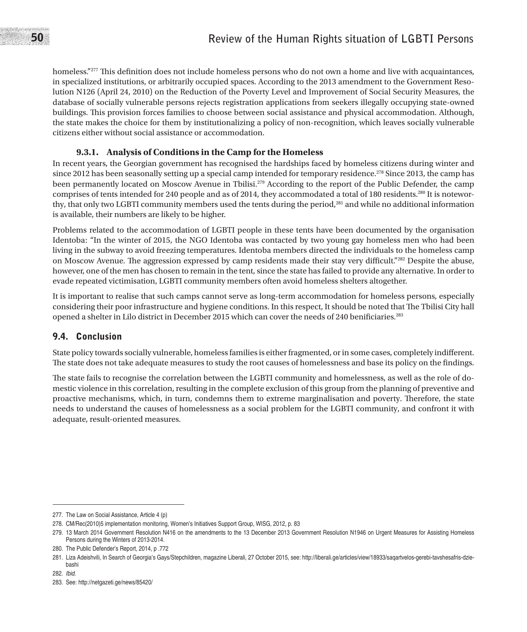homeless."<sup>277</sup> This definition does not include homeless persons who do not own a home and live with acquaintances, in specialized institutions, or arbitrarily occupied spaces. According to the 2013 amendment to the Government Resolution N126 (April 24, 2010) on the Reduction of the Poverty Level and Improvement of Social Security Measures, the database of socially vulnerable persons rejects registration applications from seekers illegally occupying state-owned buildings. This provision forces families to choose between social assistance and physical accommodation. Although, the state makes the choice for them by institutionalizing a policy of non-recognition, which leaves socially vulnerable citizens either without social assistance or accommodation.

### **9.3.1. Analysis of Conditions in the Camp for the Homeless**

In recent years, the Georgian government has recognised the hardships faced by homeless citizens during winter and since 2012 has been seasonally setting up a special camp intended for temporary residence.<sup>278</sup> Since 2013, the camp has been permanently located on Moscow Avenue in Tbilisi.<sup>279</sup> According to the report of the Public Defender, the camp comprises of tents intended for 240 people and as of 2014, they accommodated a total of 180 residents.280 It is noteworthy, that only two LGBTI community members used the tents during the period,<sup>281</sup> and while no additional information is available, their numbers are likely to be higher.

Problems related to the accommodation of LGBTI people in these tents have been documented by the organisation Identoba: "In the winter of 2015, the NGO Identoba was contacted by two young gay homeless men who had been living in the subway to avoid freezing temperatures. Identoba members directed the individuals to the homeless camp on Moscow Avenue. The aggression expressed by camp residents made their stay very difficult."282 Despite the abuse, however, one of the men has chosen to remain in the tent, since the state has failed to provide any alternative. In order to evade repeated victimisation, LGBTI community members often avoid homeless shelters altogether.

It is important to realise that such camps cannot serve as long-term accommodation for homeless persons, especially considering their poor infrastructure and hygiene conditions. In this respect, It should be noted that The Tbilisi City hall opened a shelter in Lilo district in December 2015 which can cover the needs of 240 benificiaries.283

### 9.4. Conclusion

State policy towards socially vulnerable, homeless families is either fragmented, or in some cases, completely indifferent. The state does not take adequate measures to study the root causes of homelessness and base its policy on the findings.

The state fails to recognise the correlation between the LGBTI community and homelessness, as well as the role of domestic violence in this correlation, resulting in the complete exclusion of this group from the planning of preventive and proactive mechanisms, which, in turn, condemns them to extreme marginalisation and poverty. Therefore, the state needs to understand the causes of homelessness as a social problem for the LGBTI community, and confront it with adequate, result-oriented measures.

<sup>277.</sup> The Law on Social Assistance, Article 4 (p)

<sup>278.</sup> CM/Rec(2010)5 implementation monitoring, Women's Initiatives Support Group, WISG, 2012, p. 83

<sup>279.</sup> 13 March 2014 Government Resolution N416 on the amendments to the 13 December 2013 Government Resolution N1946 on Urgent Measures for Assisting Homeless Persons during the Winters of 2013-2014.

<sup>280.</sup> The Public Defender's Report, 2014, p .772

<sup>281.</sup> Liza Adeishvili, In Search of Georgia's Gays/Stepchildren, magazine Liberali, 27 October 2015, see: http://liberali.ge/articles/view/18933/saqartvelos-gerebi-tavshesafris-dziebashi

<sup>282.</sup> *Ibid*.

<sup>283.</sup> See: http://netgazeti.ge/news/85420/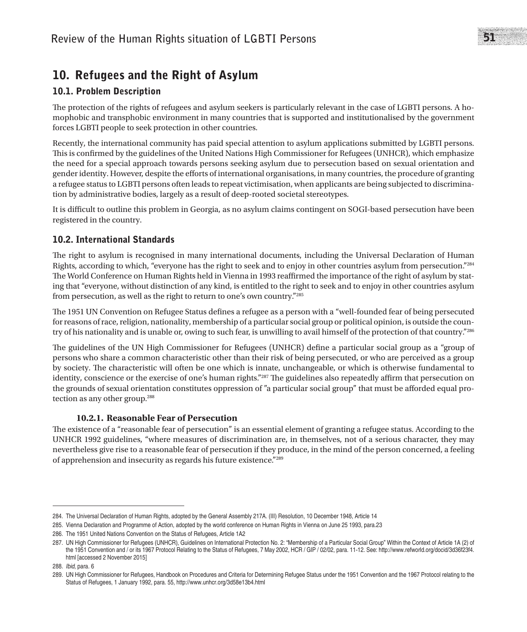## 10. Refugees and the Right of Asylum

## 10.1. Problem Description

The protection of the rights of refugees and asylum seekers is particularly relevant in the case of LGBTI persons. A homophobic and transphobic environment in many countries that is supported and institutionalised by the government forces LGBTI people to seek protection in other countries.

Recently, the international community has paid special attention to asylum applications submitted by LGBTI persons. This is confirmed by the guidelines of the United Nations High Commissioner for Refugees (UNHCR), which emphasize the need for a special approach towards persons seeking asylum due to persecution based on sexual orientation and gender identity. However, despite the efforts of international organisations, in many countries, the procedure of granting a refugee status to LGBTI persons often leads to repeat victimisation, when applicants are being subjected to discrimination by administrative bodies, largely as a result of deep-rooted societal stereotypes.

It is difficult to outline this problem in Georgia, as no asylum claims contingent on SOGI-based persecution have been registered in the country.

## 10.2. International Standards

The right to asylum is recognised in many international documents, including the Universal Declaration of Human Rights, according to which, "everyone has the right to seek and to enjoy in other countries asylum from persecution."284 The World Conference on Human Rights held in Vienna in 1993 reaffirmed the importance of the right of asylum by stating that "everyone, without distinction of any kind, is entitled to the right to seek and to enjoy in other countries asylum from persecution, as well as the right to return to one's own country."285

The 1951 UN Convention on Refugee Status defines a refugee as a person with a "well-founded fear of being persecuted for reasons of race, religion, nationality, membership of a particular social group or political opinion, is outside the country of his nationality and is unable or, owing to such fear, is unwilling to avail himself of the protection of that country."286

The guidelines of the UN High Commissioner for Refugees (UNHCR) define a particular social group as a "group of persons who share a common characteristic other than their risk of being persecuted, or who are perceived as a group by society. The characteristic will often be one which is innate, unchangeable, or which is otherwise fundamental to identity, conscience or the exercise of one's human rights."<sup>287</sup> The guidelines also repeatedly affirm that persecution on the grounds of sexual orientation constitutes oppression of "a particular social group" that must be afforded equal protection as any other group.288

#### **10.2.1. Reasonable Fear of Persecution**

The existence of a "reasonable fear of persecution" is an essential element of granting a refugee status. According to the UNHCR 1992 guidelines, "where measures of discrimination are, in themselves, not of a serious character, they may nevertheless give rise to a reasonable fear of persecution if they produce, in the mind of the person concerned, a feeling of apprehension and insecurity as regards his future existence."289

<sup>284.</sup> The Universal Declaration of Human Rights, adopted by the General Assembly 217A. (III) Resolution, 10 December 1948, Article 14

<sup>285.</sup> Vienna Declaration and Programme of Action, adopted by the world conference on Human Rights in Vienna on June 25 1993, para.23

<sup>286.</sup> The 1951 United Nations Convention on the Status of Refugees, Article 1A2

<sup>287.</sup> UN High Commissioner for Refugees (UNHCR), Guidelines on International Protection No. 2: "Membership of a Particular Social Group" Within the Context of Article 1A (2) of the 1951 Convention and / or its 1967 Protocol Relating to the Status of Refugees, 7 May 2002, HCR / GIP / 02/02, para. 11-12. See: http://www.refworld.org/docid/3d36f23f4. html [accessed 2 November 2015]

<sup>288.</sup> *Ibid*, para. 6

<sup>289.</sup> UN High Commissioner for Refugees, Handbook on Procedures and Criteria for Determining Refugee Status under the 1951 Convention and the 1967 Protocol relating to the Status of Refugees, 1 January 1992, para. 55, http://www.unhcr.org/3d58e13b4.html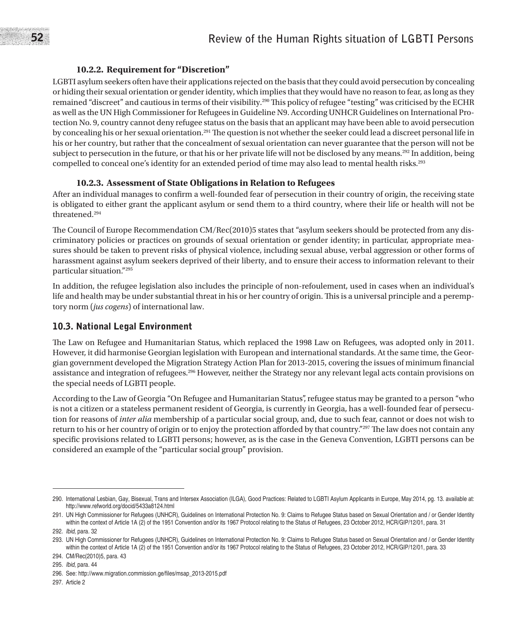#### **10.2.2. Requirement for "Discretion"**

LGBTI asylum seekers often have their applications rejected on the basis that they could avoid persecution by concealing or hiding their sexual orientation or gender identity, which implies that they would have no reason to fear, as long as they remained "discreet" and cautious in terms of their visibility.290 This policy of refugee "testing" was criticised by the ECHR as well as the UN High Commissioner for Refugees in Guideline N9. According UNHCR Guidelines on International Protection No. 9, country cannot deny refugee status on the basis that an applicant may have been able to avoid persecution by concealing his or her sexual orientation.291 The question is not whether the seeker could lead a discreet personal life in his or her country, but rather that the concealment of sexual orientation can never guarantee that the person will not be subject to persecution in the future, or that his or her private life will not be disclosed by any means.<sup>292</sup> In addition, being compelled to conceal one's identity for an extended period of time may also lead to mental health risks.<sup>293</sup>

#### **10.2.3. Assessment of State Obligations in Relation to Refugees**

After an individual manages to confirm a well-founded fear of persecution in their country of origin, the receiving state is obligated to either grant the applicant asylum or send them to a third country, where their life or health will not be threatened.294

The Council of Europe Recommendation CM/Rec(2010)5 states that "asylum seekers should be protected from any discriminatory policies or practices on grounds of sexual orientation or gender identity; in particular, appropriate measures should be taken to prevent risks of physical violence, including sexual abuse, verbal aggression or other forms of harassment against asylum seekers deprived of their liberty, and to ensure their access to information relevant to their particular situation."295

In addition, the refugee legislation also includes the principle of non-refoulement, used in cases when an individual's life and health may be under substantial threat in his or her country of origin. This is a universal principle and a peremptory norm (*jus cogens*) of international law.

#### 10.3. National Legal Environment

The Law on Refugee and Humanitarian Status, which replaced the 1998 Law on Refugees, was adopted only in 2011. However, it did harmonise Georgian legislation with European and international standards. At the same time, the Georgian government developed the Migration Strategy Action Plan for 2013-2015, covering the issues of minimum financial assistance and integration of refugees.296 However, neither the Strategy nor any relevant legal acts contain provisions on the special needs of LGBTI people.

According to the Law of Georgia "On Refugee and Humanitarian Status", refugee status may be granted to a person "who is not a citizen or a stateless permanent resident of Georgia, is currently in Georgia, has a well-founded fear of persecution for reasons of *inter alia* membership of a particular social group, and, due to such fear, cannot or does not wish to return to his or her country of origin or to enjoy the protection afforded by that country."<sup>297</sup> The law does not contain any specific provisions related to LGBTI persons; however, as is the case in the Geneva Convention, LGBTI persons can be considered an example of the "particular social group" provision.

<sup>290.</sup> International Lesbian, Gay, Bisexual, Trans and Intersex Association (ILGA), Good Practices: Related to LGBTI Asylum Applicants in Europe, May 2014, pg. 13. available at: http://www.refworld.org/docid/5433a8124.html

<sup>291.</sup> UN High Commissioner for Refugees (UNHCR), Guidelines on International Protection No. 9: Claims to Refugee Status based on Sexual Orientation and / or Gender Identity within the context of Article 1A (2) of the 1951 Convention and/or its 1967 Protocol relating to the Status of Refugees, 23 October 2012, HCR/GIP/12/01, para. 31

<sup>292.</sup> *Ibid*, para. 32

<sup>293.</sup> UN High Commissioner for Refugees (UNHCR), Guidelines on International Protection No. 9: Claims to Refugee Status based on Sexual Orientation and / or Gender Identity within the context of Article 1A (2) of the 1951 Convention and/or its 1967 Protocol relating to the Status of Refugees, 23 October 2012, HCR/GIP/12/01, para. 33

<sup>294.</sup> CM/Rec(2010)5, para. 43

<sup>295.</sup> *Ibid*, para. 44

<sup>296.</sup> See: http://www.migration.commission.ge/files/msap\_2013-2015.pdf

<sup>297.</sup> Article 2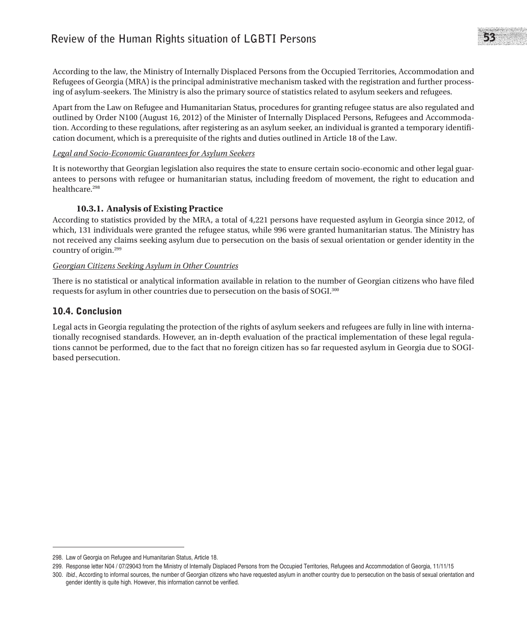## **Review of the Human Rights situation of LGBTI Persons** 53

According to the law, the Ministry of Internally Displaced Persons from the Occupied Territories, Accommodation and Refugees of Georgia (MRA) is the principal administrative mechanism tasked with the registration and further processing of asylum-seekers. The Ministry is also the primary source of statistics related to asylum seekers and refugees.

Apart from the Law on Refugee and Humanitarian Status, procedures for granting refugee status are also regulated and outlined by Order N100 (August 16, 2012) of the Minister of Internally Displaced Persons, Refugees and Accommodation. According to these regulations, after registering as an asylum seeker, an individual is granted a temporary identification document, which is a prerequisite of the rights and duties outlined in Article 18 of the Law.

#### *Legal and Socio-Economic Guarantees for Asylum Seekers*

It is noteworthy that Georgian legislation also requires the state to ensure certain socio-economic and other legal guarantees to persons with refugee or humanitarian status, including freedom of movement, the right to education and healthcare.<sup>298</sup>

#### **10.3.1. Analysis of Existing Practice**

According to statistics provided by the MRA, a total of 4,221 persons have requested asylum in Georgia since 2012, of which, 131 individuals were granted the refugee status, while 996 were granted humanitarian status. The Ministry has not received any claims seeking asylum due to persecution on the basis of sexual orientation or gender identity in the country of origin.299

#### *Georgian Citizens Seeking Asylum in Other Countries*

There is no statistical or analytical information available in relation to the number of Georgian citizens who have filed requests for asylum in other countries due to persecution on the basis of SOGI.300

### 10.4. Conclusion

Legal acts in Georgia regulating the protection of the rights of asylum seekers and refugees are fully in line with internationally recognised standards. However, an in-depth evaluation of the practical implementation of these legal regulations cannot be performed, due to the fact that no foreign citizen has so far requested asylum in Georgia due to SOGIbased persecution.

<sup>298.</sup> Law of Georgia on Refugee and Humanitarian Status, Article 18.

<sup>299.</sup> Response letter N04 / 07/29043 from the Ministry of Internally Displaced Persons from the Occupied Territories, Refugees and Accommodation of Georgia, 11/11/15

<sup>300.</sup> *Ibid*., According to informal sources, the number of Georgian citizens who have requested asylum in another country due to persecution on the basis of sexual orientation and gender identity is quite high. However, this information cannot be verified.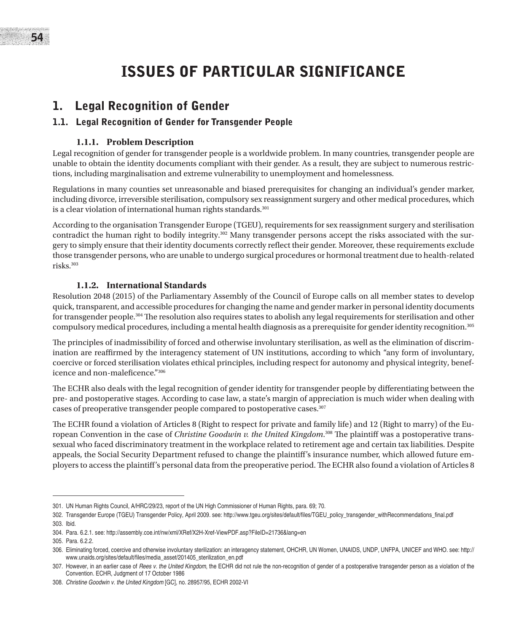# ISSUES OF PARTICULAR SIGNIFICANCE

## 1. Legal Recognition of Gender

## 1.1. Legal Recognition of Gender for Transgender People

### **1.1.1. Problem Description**

Legal recognition of gender for transgender people is a worldwide problem. In many countries, transgender people are unable to obtain the identity documents compliant with their gender. As a result, they are subject to numerous restrictions, including marginalisation and extreme vulnerability to unemployment and homelessness.

Regulations in many counties set unreasonable and biased prerequisites for changing an individual's gender marker, including divorce, irreversible sterilisation, compulsory sex reassignment surgery and other medical procedures, which is a clear violation of international human rights standards.<sup>301</sup>

According to the organisation Transgender Europe (TGEU), requirements for sex reassignment surgery and sterilisation contradict the human right to bodily integrity.302 Many transgender persons accept the risks associated with the surgery to simply ensure that their identity documents correctly reflect their gender. Moreover, these requirements exclude those transgender persons, who are unable to undergo surgical procedures or hormonal treatment due to health-related risks.303

### **1.1.2. International Standards**

Resolution 2048 (2015) of the Parliamentary Assembly of the Council of Europe calls on all member states to develop quick, transparent, and accessible procedures for changing the name and gender marker in personal identity documents for transgender people.304 The resolution also requires states to abolish any legal requirements for sterilisation and other compulsory medical procedures, including a mental health diagnosis as a prerequisite for gender identity recognition.305

The principles of inadmissibility of forced and otherwise involuntary sterilisation, as well as the elimination of discrimination are reaffirmed by the interagency statement of UN institutions, according to which "any form of involuntary, coercive or forced sterilisation violates ethical principles, including respect for autonomy and physical integrity, beneficence and non-maleficence."306

The ECHR also deals with the legal recognition of gender identity for transgender people by differentiating between the pre- and postoperative stages. According to case law, a state's margin of appreciation is much wider when dealing with cases of preoperative transgender people compared to postoperative cases.<sup>307</sup>

The ECHR found a violation of Articles 8 (Right to respect for private and family life) and 12 (Right to marry) of the European Convention in the case of *Christine Goodwin v. the United Kingdom*. 308 The plaintiff was a postoperative transsexual who faced discriminatory treatment in the workplace related to retirement age and certain tax liabilities. Despite appeals, the Social Security Department refused to change the plaintiff's insurance number, which allowed future employers to access the plaintiff's personal data from the preoperative period. The ECHR also found a violation of Articles 8

<sup>301.</sup> UN Human Rights Council, A/HRC/29/23, report of the UN High Commissioner of Human Rights, para. 69; 70.

<sup>302.</sup> Transgender Europe (TGEU) Transgender Policy, April 2009. see: http://www.tgeu.org/sites/default/files/TGEU\_policy\_transgender\_withRecommendations\_final.pdf 303. Ibid.

<sup>304.</sup> Para. 6.2.1. see: http://assembly.coe.int/nw/xml/XRef/X2H-Xref-ViewPDF.asp?FileID=21736&lang=en

<sup>305.</sup> Para. 6.2.2.

<sup>306.</sup> Eliminating forced, coercive and otherwise involuntary sterilization: an interagency statement, OHCHR, UN Women, UNAIDS, UNDP, UNFPA, UNICEF and WHO. see: http:// www.unaids.org/sites/default/files/media\_asset/201405\_sterilization\_en.pdf

<sup>307.</sup> However, in an earlier case of *Rees v. the United Kingdom*, the ECHR did not rule the non-recognition of gender of a postoperative transgender person as a violation of the Convention. ECHR, Judgment of 17 October 1986

<sup>308.</sup> *Christine Goodwin v. the United Kingdom* [GC], no. 28957/95, ECHR 2002-VI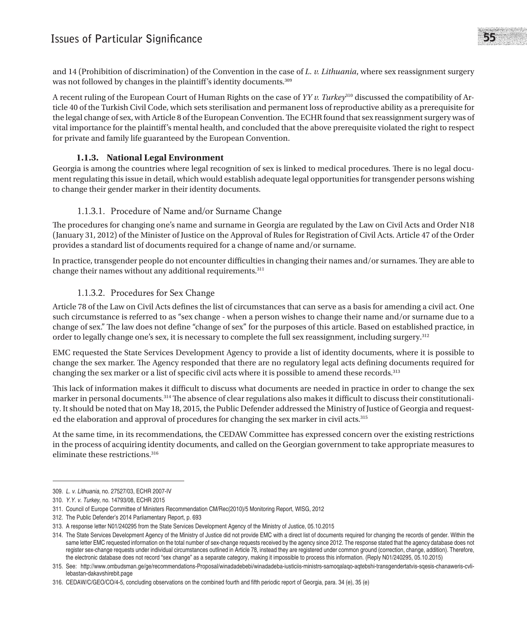## **Issues of Particular Significance** 55

and 14 (Prohibition of discrimination) of the Convention in the case of *L. v. Lithuania*, where sex reassignment surgery was not followed by changes in the plaintiff's identity documents.<sup>309</sup>

A recent ruling of the European Court of Human Rights on the case of *YY v. Turkey*310 discussed the compatibility of Article 40 of the Turkish Civil Code, which sets sterilisation and permanent loss of reproductive ability as a prerequisite for the legal change of sex, with Article 8 of the European Convention. The ECHR found that sex reassignment surgery was of vital importance for the plaintiff's mental health, and concluded that the above prerequisite violated the right to respect for private and family life guaranteed by the European Convention.

#### **1.1.3. National Legal Environment**

Georgia is among the countries where legal recognition of sex is linked to medical procedures. There is no legal document regulating this issue in detail, which would establish adequate legal opportunities for transgender persons wishing to change their gender marker in their identity documents.

#### 1.1.3.1. Procedure of Name and/or Surname Change

The procedures for changing one's name and surname in Georgia are regulated by the Law on Civil Acts and Order N18 (January 31, 2012) of the Minister of Justice on the Approval of Rules for Registration of Civil Acts. Article 47 of the Order provides a standard list of documents required for a change of name and/or surname.

In practice, transgender people do not encounter difficulties in changing their names and/or surnames. They are able to change their names without any additional requirements.311

#### 1.1.3.2. Procedures for Sex Change

Article 78 of the Law on Civil Acts defines the list of circumstances that can serve as a basis for amending a civil act. One such circumstance is referred to as "sex change - when a person wishes to change their name and/or surname due to a change of sex." The law does not define "change of sex" for the purposes of this article. Based on established practice, in order to legally change one's sex, it is necessary to complete the full sex reassignment, including surgery.312

EMC requested the State Services Development Agency to provide a list of identity documents, where it is possible to change the sex marker. The Agency responded that there are no regulatory legal acts defining documents required for changing the sex marker or a list of specific civil acts where it is possible to amend these records.<sup>313</sup>

This lack of information makes it difficult to discuss what documents are needed in practice in order to change the sex marker in personal documents.314 The absence of clear regulations also makes it difficult to discuss their constitutionality. It should be noted that on May 18, 2015, the Public Defender addressed the Ministry of Justice of Georgia and requested the elaboration and approval of procedures for changing the sex marker in civil acts.315

At the same time, in its recommendations, the CEDAW Committee has expressed concern over the existing restrictions in the process of acquiring identity documents, and called on the Georgian government to take appropriate measures to eliminate these restrictions.<sup>316</sup>

<sup>309.</sup> *L. v. Lithuania*, no. 27527/03, ECHR 2007-IV

<sup>310.</sup> *Y.Y. v. Turkey*, no. 14793/08, ECHR 2015

<sup>311.</sup> Council of Europe Committee of Ministers Recommendation CM/Rec(2010)/5 Monitoring Report, WISG, 2012

<sup>312.</sup> The Public Defender's 2014 Parliamentary Report, p. 693

<sup>313.</sup> A response letter N01/240295 from the State Services Development Agency of the Ministry of Justice, 05.10.2015

<sup>314.</sup> The State Services Development Agency of the Ministry of Justice did not provide EMC with a direct list of documents required for changing the records of gender. Within the same letter EMC requested information on the total number of sex-change requests received by the agency since 2012. The response stated that the agency database does not register sex-change requests under individual circumstances outlined in Article 78, instead they are registered under common ground (correction, change, addition). Therefore, the electronic database does not record "sex change" as a separate category, making it impossible to process this information. (Reply N01/240295, 05.10.2015)

<sup>315.</sup> See: http://www.ombudsman.ge/ge/recommendations-Proposal/winadadebebi/winadadeba-iusticiis-ministrs-samoqalaqo-aqtebshi-transgendertatvis-sqesis-chanaweris-cvlilebastan-dakavshirebit.page

<sup>316.</sup> CEDAW/C/GEO/CO/4-5, concluding observations on the combined fourth and fifth periodic report of Georgia, para. 34 (e), 35 (e)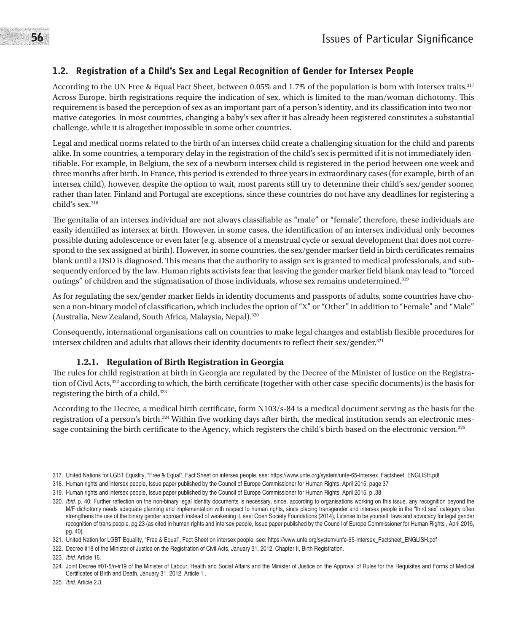## 1.2. Registration of a Child's Sex and Legal Recognition of Gender for Intersex People

According to the UN Free & Equal Fact Sheet, between 0.05% and 1.7% of the population is born with intersex traits.317 Across Europe, birth registrations require the indication of sex, which is limited to the man/woman dichotomy. This requirement is based the perception of sex as an important part of a person's identity, and its classification into two normative categories. In most countries, changing a baby's sex after it has already been registered constitutes a substantial challenge, while it is altogether impossible in some other countries.

Legal and medical norms related to the birth of an intersex child create a challenging situation for the child and parents alike. In some countries, a temporary delay in the registration of the child's sex is permitted if it is not immediately identifiable. For example, in Belgium, the sex of a newborn intersex child is registered in the period between one week and three months after birth. In France, this period is extended to three years in extraordinary cases (for example, birth of an intersex child), however, despite the option to wait, most parents still try to determine their child's sex/gender sooner, rather than later. Finland and Portugal are exceptions, since these countries do not have any deadlines for registering a child's sex.<sup>318</sup>

The genitalia of an intersex individual are not always classifiable as "male" or "female", therefore, these individuals are easily identified as intersex at birth. However, in some cases, the identification of an intersex individual only becomes possible during adolescence or even later (e.g. absence of a menstrual cycle or sexual development that does not correspond to the sex assigned at birth). However, in some countries, the sex/gender marker field in birth certificates remains blank until a DSD is diagnosed. This means that the authority to assign sex is granted to medical professionals, and subsequently enforced by the law. Human rights activists fear that leaving the gender marker field blank may lead to "forced outings" of children and the stigmatisation of those individuals, whose sex remains undetermined.<sup>319</sup>

As for regulating the sex/gender marker fields in identity documents and passports of adults, some countries have chosen a non-binary model of classification, which includes the option of "X" or "Other" in addition to "Female" and "Male" (Australia, New Zealand, South Africa, Malaysia, Nepal).320

Consequently, international organisations call on countries to make legal changes and establish flexible procedures for intersex children and adults that allows their identity documents to reflect their sex/gender.<sup>321</sup>

### **1.2.1. Regulation of Birth Registration in Georgia**

The rules for child registration at birth in Georgia are regulated by the Decree of the Minister of Justice on the Registration of Civil Acts,<sup>322</sup> according to which, the birth certificate (together with other case-specific documents) is the basis for registering the birth of a child.323

According to the Decree, a medical birth certificate, form N103/s-84 is a medical document serving as the basis for the registration of a person's birth.324 Within five working days after birth, the medical institution sends an electronic message containing the birth certificate to the Agency, which registers the child's birth based on the electronic version.<sup>325</sup>

<sup>317.</sup> United Nations for LGBT Equality, "Free & Equal", Fact Sheet on intersex people. see: https://www.unfe.org/system/unfe-65-Intersex\_Factsheet\_ENGLISH.pdf

<sup>318.</sup> Human rights and intersex people, Issue paper published by the Council of Europe Commissioner for Human Rights, April 2015, page 37

<sup>319.</sup> Human rights and intersex people, Issue paper published by the Council of Europe Commissioner for Human Rights, April 2015, p .38

<sup>320.</sup> *Ibid*, p. 40; Further reflection on the non-binary legal identity documents is necessary, since, according to organisations working on this issue, any recognition beyond the M/F dichotomy needs adequate planning and implementation with respect to human rights, since placing transgender and intersex people in the "third sex" category often strengthens the use of the binary gender approach instead of weakening it. see: Open Society Foundations (2014), License to be yourself: laws and advocacy for legal gender recognition of trans people, pg.23 (as cited in human rights and intersex people, Issue paper published by the Council of Europe Commissioner for Human Rights , April 2015, pg. 40).

<sup>321.</sup> United Nation for LGBT Equality, "Free & Equal", Fact Sheet on intersex people. see: https://www.unfe.org/system/unfe-65-Intersex\_Factsheet\_ENGLISH.pdf

<sup>322.</sup> Decree #18 of the Minister of Justice on the Registration of Civil Acts, January 31, 2012, Chapter II, Birth Registration.

<sup>323.</sup> *Ibid*, Article 16.

<sup>324.</sup> Joint Decree #01-5/n-#19 of the Minister of Labour, Health and Social Affairs and the Minister of Justice on the Approval of Rules for the Requisites and Forms of Medical Certificates of Birth and Death, January 31, 2012, Article 1 .

<sup>325.</sup> *Ibid*, Article 2.3.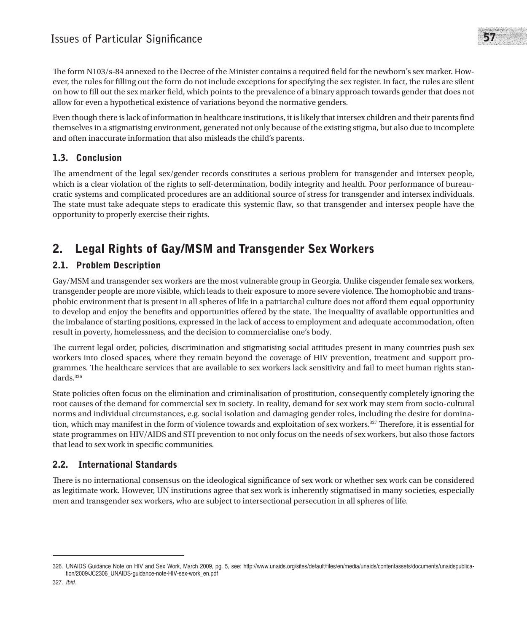The form N103/s-84 annexed to the Decree of the Minister contains a required field for the newborn's sex marker. However, the rules for filling out the form do not include exceptions for specifying the sex register. In fact, the rules are silent on how to fill out the sex marker field, which points to the prevalence of a binary approach towards gender that does not allow for even a hypothetical existence of variations beyond the normative genders.

Even though there is lack of information in healthcare institutions, it is likely that intersex children and their parents find themselves in a stigmatising environment, generated not only because of the existing stigma, but also due to incomplete and often inaccurate information that also misleads the child's parents.

## 1.3. Conclusion

The amendment of the legal sex/gender records constitutes a serious problem for transgender and intersex people, which is a clear violation of the rights to self-determination, bodily integrity and health. Poor performance of bureaucratic systems and complicated procedures are an additional source of stress for transgender and intersex individuals. The state must take adequate steps to eradicate this systemic flaw, so that transgender and intersex people have the opportunity to properly exercise their rights.

## 2. Legal Rights of Gay/MSM and Transgender Sex Workers

## 2.1. Problem Description

Gay/MSM and transgender sex workers are the most vulnerable group in Georgia. Unlike cisgender female sex workers, transgender people are more visible, which leads to their exposure to more severe violence. The homophobic and transphobic environment that is present in all spheres of life in a patriarchal culture does not afford them equal opportunity to develop and enjoy the benefits and opportunities offered by the state. The inequality of available opportunities and the imbalance of starting positions, expressed in the lack of access to employment and adequate accommodation, often result in poverty, homelessness, and the decision to commercialise one's body.

The current legal order, policies, discrimination and stigmatising social attitudes present in many countries push sex workers into closed spaces, where they remain beyond the coverage of HIV prevention, treatment and support programmes. The healthcare services that are available to sex workers lack sensitivity and fail to meet human rights standards.326

State policies often focus on the elimination and criminalisation of prostitution, consequently completely ignoring the root causes of the demand for commercial sex in society. In reality, demand for sex work may stem from socio-cultural norms and individual circumstances, e.g. social isolation and damaging gender roles, including the desire for domination, which may manifest in the form of violence towards and exploitation of sex workers.<sup>327</sup> Therefore, it is essential for state programmes on HIV/AIDS and STI prevention to not only focus on the needs of sex workers, but also those factors that lead to sex work in specific communities.

## 2.2. International Standards

There is no international consensus on the ideological significance of sex work or whether sex work can be considered as legitimate work. However, UN institutions agree that sex work is inherently stigmatised in many societies, especially men and transgender sex workers, who are subject to intersectional persecution in all spheres of life.

<sup>326.</sup> UNAIDS Guidance Note on HIV and Sex Work, March 2009, pg. 5, see: http://www.unaids.org/sites/default/files/en/media/unaids/contentassets/documents/unaidspublication/2009/JC2306\_UNAIDS-guidance-note-HIV-sex-work\_en.pdf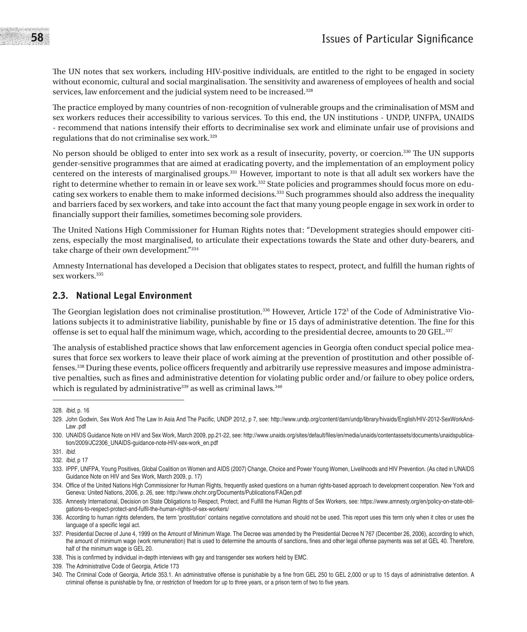The UN notes that sex workers, including HIV-positive individuals, are entitled to the right to be engaged in society without economic, cultural and social marginalisation. The sensitivity and awareness of employees of health and social services, law enforcement and the judicial system need to be increased.<sup>328</sup>

The practice employed by many countries of non-recognition of vulnerable groups and the criminalisation of MSM and sex workers reduces their accessibility to various services. To this end, the UN institutions - UNDP, UNFPA, UNAIDS - recommend that nations intensify their efforts to decriminalise sex work and eliminate unfair use of provisions and regulations that do not criminalise sex work.329

No person should be obliged to enter into sex work as a result of insecurity, poverty, or coercion.330 The UN supports gender-sensitive programmes that are aimed at eradicating poverty, and the implementation of an employment policy centered on the interests of marginalised groups.331 However, important to note is that all adult sex workers have the right to determine whether to remain in or leave sex work.332 State policies and programmes should focus more on educating sex workers to enable them to make informed decisions.<sup>333</sup> Such programmes should also address the inequality and barriers faced by sex workers, and take into account the fact that many young people engage in sex work in order to financially support their families, sometimes becoming sole providers.

The United Nations High Commissioner for Human Rights notes that: "Development strategies should empower citizens, especially the most marginalised, to articulate their expectations towards the State and other duty-bearers, and take charge of their own development."334

Amnesty International has developed a Decision that obligates states to respect, protect, and fulfill the human rights of sex workers.<sup>335</sup>

### 2.3. National Legal Environment

The Georgian legislation does not criminalise prostitution. $^{336}$  However, Article 172 $^3$  of the Code of Administrative Violations subjects it to administrative liability, punishable by fine or 15 days of administrative detention. The fine for this offense is set to equal half the minimum wage, which, according to the presidential decree, amounts to 20 GEL.337

The analysis of established practice shows that law enforcement agencies in Georgia often conduct special police measures that force sex workers to leave their place of work aiming at the prevention of prostitution and other possible offenses.338 During these events, police officers frequently and arbitrarily use repressive measures and impose administrative penalties, such as fines and administrative detention for violating public order and/or failure to obey police orders, which is regulated by administrative<sup>339</sup> as well as criminal laws.<sup>340</sup>

<sup>328.</sup> *Ibid*, p. 16

<sup>329.</sup> John Godwin, Sex Work And The Law In Asia And The Pacific, UNDP 2012, p 7, see: http://www.undp.org/content/dam/undp/library/hivaids/English/HIV-2012-SexWorkAnd-Law .pdf

<sup>330.</sup> UNAIDS Guidance Note on HIV and Sex Work, March 2009, pp.21-22, see: http://www.unaids.org/sites/default/files/en/media/unaids/contentassets/documents/unaidspublication/2009/JC2306\_UNAIDS-guidance-note-HIV-sex-work\_en.pdf

<sup>331.</sup> *Ibid*.

<sup>332.</sup> *Ibid*, p 17

<sup>333.</sup> IPPF, UNFPA, Young Positives, Global Coalition on Women and AIDS (2007) Change, Choice and Power Young Women, Livelihoods and HIV Prevention. (As cited in UNAIDS Guidance Note on HIV and Sex Work, March 2009, p. 17)

<sup>334.</sup> Office of the United Nations High Commissioner for Human Rights, frequently asked questions on a human rights-based approach to development cooperation. New York and Geneva: United Nations, 2006, p. 26, see: http://www.ohchr.org/Documents/Publications/FAQen.pdf

<sup>335.</sup> Amnesty International, Decision on State Obligations to Respect, Protect, and Fulfill the Human Rights of Sex Workers, see: https://www.amnesty.org/en/policy-on-state-obligations-to-respect-protect-and-fulfil-the-human-rights-of-sex-workers/

<sup>336.</sup> According to human rights defenders, the term 'prostitution' contains negative connotations and should not be used. This report uses this term only when it cites or uses the language of a specific legal act.

<sup>337.</sup> Presidential Decree of June 4, 1999 on the Amount of Minimum Wage. The Decree was amended by the Presidential Decree N 767 (December 26, 2006), according to which, the amount of minimum wage (work remuneration) that is used to determine the amounts of sanctions, fines and other legal offense payments was set at GEL 40. Therefore, half of the minimum wage is GEL 20.

<sup>338.</sup> This is confirmed by individual in-depth interviews with gay and transgender sex workers held by EMC.

<sup>339.</sup> The Administrative Code of Georgia, Article 173

<sup>340.</sup> The Criminal Code of Georgia, Article 353.1. An administrative offense is punishable by a fine from GEL 250 to GEL 2,000 or up to 15 days of administrative detention. A criminal offense is punishable by fine, or restriction of freedom for up to three years, or a prison term of two to five years.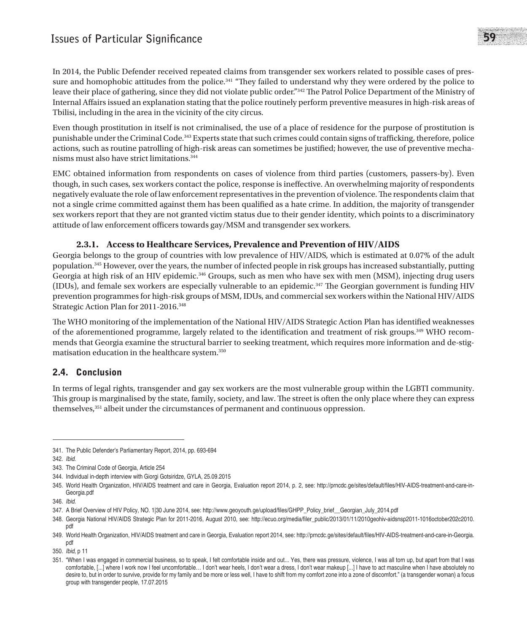## **Issues of Particular Significance** 59

In 2014, the Public Defender received repeated claims from transgender sex workers related to possible cases of pressure and homophobic attitudes from the police.<sup>341</sup> "They failed to understand why they were ordered by the police to leave their place of gathering, since they did not violate public order."342 The Patrol Police Department of the Ministry of Internal Affairs issued an explanation stating that the police routinely perform preventive measures in high-risk areas of Tbilisi, including in the area in the vicinity of the city circus.

Even though prostitution in itself is not criminalised, the use of a place of residence for the purpose of prostitution is punishable under the Criminal Code.343 Experts state that such crimes could contain signs of trafficking, therefore, police actions, such as routine patrolling of high-risk areas can sometimes be justified; however, the use of preventive mechanisms must also have strict limitations.344

EMC obtained information from respondents on cases of violence from third parties (customers, passers-by). Even though, in such cases, sex workers contact the police, response is ineffective. An overwhelming majority of respondents negatively evaluate the role of law enforcement representatives in the prevention of violence. The respondents claim that not a single crime committed against them has been qualified as a hate crime. In addition, the majority of transgender sex workers report that they are not granted victim status due to their gender identity, which points to a discriminatory attitude of law enforcement officers towards gay/MSM and transgender sex workers.

#### **2.3.1. Access to Healthcare Services, Prevalence and Prevention of HIV/AIDS**

Georgia belongs to the group of countries with low prevalence of HIV/AIDS, which is estimated at 0.07% of the adult population.345 However, over the years, the number of infected people in risk groups has increased substantially, putting Georgia at high risk of an HIV epidemic.346 Groups, such as men who have sex with men (MSM), injecting drug users (IDUs), and female sex workers are especially vulnerable to an epidemic.347 The Georgian government is funding HIV prevention programmes for high-risk groups of MSM, IDUs, and commercial sex workers within the National HIV/AIDS Strategic Action Plan for 2011-2016.348

The WHO monitoring of the implementation of the National HIV/AIDS Strategic Action Plan has identified weaknesses of the aforementioned programme, largely related to the identification and treatment of risk groups.349 WHO recommends that Georgia examine the structural barrier to seeking treatment, which requires more information and de-stigmatisation education in the healthcare system.350

### 2.4. Conclusion

In terms of legal rights, transgender and gay sex workers are the most vulnerable group within the LGBTI community. This group is marginalised by the state, family, society, and law. The street is often the only place where they can express themselves,351 albeit under the circumstances of permanent and continuous oppression.

<sup>341.</sup> The Public Defender's Parliamentary Report, 2014, pp. 693-694

<sup>342.</sup> *Ibid*.

<sup>343.</sup> The Criminal Code of Georgia, Article 254

<sup>344.</sup> Individual in-depth interview with Giorgi Gotsiridze, GYLA, 25.09.2015

<sup>345.</sup> World Health Organization, HIV/AIDS treatment and care in Georgia, Evaluation report 2014, p. 2, see: http://prncdc.ge/sites/default/files/HIV-AIDS-treatment-and-care-in-Georgia.pdf

<sup>346.</sup> *Ibid*.

<sup>347.</sup> A Brief Overview of HIV Policy, NO. 1|30 June 2014, see: http://www.geovouth.ge/upload/files/GHPP\_Policy\_brief\_\_Georgian\_July\_2014.pdf

<sup>348.</sup> Georgia National HIV/AIDS Strategic Plan for 2011-2016, August 2010, see: http://ecuo.org/media/filer\_public/2013/01/11/2010geohiv-aidsnsp2011-1016october202c2010. pdf

<sup>349.</sup> World Health Organization, HIV/AIDS treatment and care in Georgia, Evaluation report 2014, see: http://prncdc.ge/sites/default/files/HIV-AIDS-treatment-and-care-in-Georgia. pdf

<sup>350.</sup> *Ibid*, p 11

<sup>351. &</sup>quot;When I was engaged in commercial business, so to speak, I felt comfortable inside and out... Yes, there was pressure, violence, I was all torn up, but apart from that I was comfortable, [...] where I work now I feel uncomfortable… I don't wear heels, I don't wear a dress, I don't wear makeup [...] I have to act masculine when I have absolutely no desire to, but in order to survive, provide for my family and be more or less well, I have to shift from my comfort zone into a zone of discomfort." (a transgender woman) a focus group with transgender people, 17.07.2015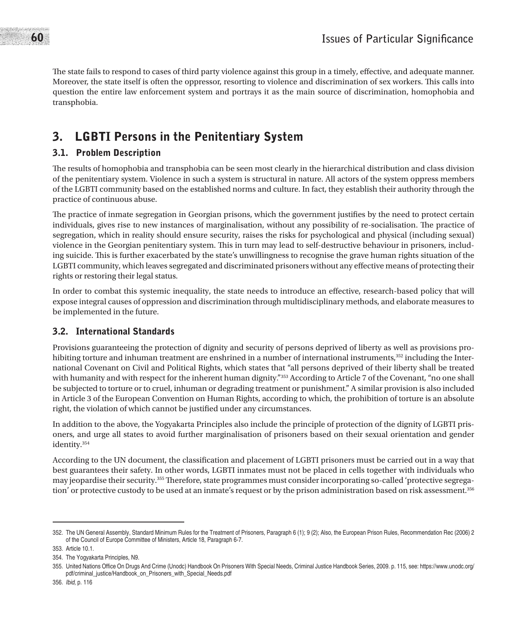The state fails to respond to cases of third party violence against this group in a timely, effective, and adequate manner. Moreover, the state itself is often the oppressor, resorting to violence and discrimination of sex workers. This calls into question the entire law enforcement system and portrays it as the main source of discrimination, homophobia and transphobia.

## 3. LGBTI Persons in the Penitentiary System

## 3.1. Problem Description

The results of homophobia and transphobia can be seen most clearly in the hierarchical distribution and class division of the penitentiary system. Violence in such a system is structural in nature. All actors of the system oppress members of the LGBTI community based on the established norms and culture. In fact, they establish their authority through the practice of continuous abuse.

The practice of inmate segregation in Georgian prisons, which the government justifies by the need to protect certain individuals, gives rise to new instances of marginalisation, without any possibility of re-socialisation. The practice of segregation, which in reality should ensure security, raises the risks for psychological and physical (including sexual) violence in the Georgian penitentiary system. This in turn may lead to self-destructive behaviour in prisoners, including suicide. This is further exacerbated by the state's unwillingness to recognise the grave human rights situation of the LGBTI community, which leaves segregated and discriminated prisoners without any effective means of protecting their rights or restoring their legal status.

In order to combat this systemic inequality, the state needs to introduce an effective, research-based policy that will expose integral causes of oppression and discrimination through multidisciplinary methods, and elaborate measures to be implemented in the future.

## 3.2. International Standards

Provisions guaranteeing the protection of dignity and security of persons deprived of liberty as well as provisions prohibiting torture and inhuman treatment are enshrined in a number of international instruments,<sup>352</sup> including the International Covenant on Civil and Political Rights, which states that "all persons deprived of their liberty shall be treated with humanity and with respect for the inherent human dignity."<sup>353</sup> According to Article 7 of the Covenant, "no one shall be subjected to torture or to cruel, inhuman or degrading treatment or punishment." A similar provision is also included in Article 3 of the European Convention on Human Rights, according to which, the prohibition of torture is an absolute right, the violation of which cannot be justified under any circumstances.

In addition to the above, the Yogyakarta Principles also include the principle of protection of the dignity of LGBTI prisoners, and urge all states to avoid further marginalisation of prisoners based on their sexual orientation and gender identity.354

According to the UN document, the classification and placement of LGBTI prisoners must be carried out in a way that best guarantees their safety. In other words, LGBTI inmates must not be placed in cells together with individuals who may jeopardise their security.355 Therefore, state programmes must consider incorporating so-called 'protective segregation' or protective custody to be used at an inmate's request or by the prison administration based on risk assessment.356

<sup>352.</sup> The UN General Assembly, Standard Minimum Rules for the Treatment of Prisoners, Paragraph 6 (1); 9 (2); Also, the European Prison Rules, Recommendation Rec (2006) 2 of the Council of Europe Committee of Ministers, Article 18, Paragraph 6-7.

<sup>353.</sup> Article 10.1.

<sup>354.</sup> The Yogyakarta Principles, N9.

<sup>355.</sup> United Nations Office On Drugs And Crime (Unodc) Handbook On Prisoners With Special Needs, Criminal Justice Handbook Series, 2009. p. 115, see: https://www.unodc.org/ pdf/criminal\_justice/Handbook\_on\_Prisoners\_with\_Special\_Needs.pdf

<sup>356.</sup> *Ibid*, p. 116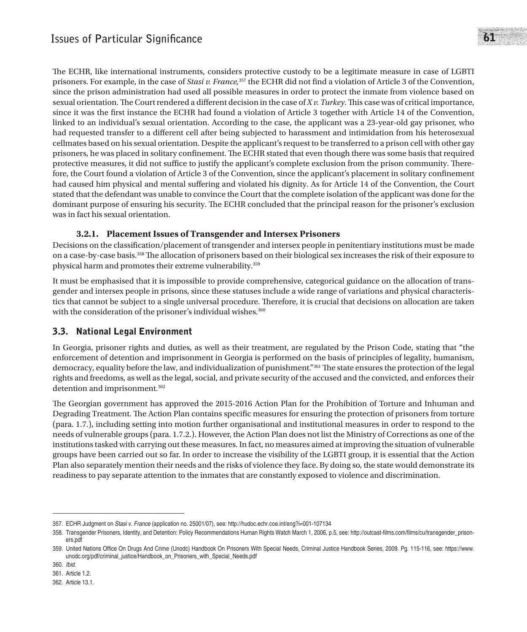The ECHR, like international instruments, considers protective custody to be a legitimate measure in case of LGBTI prisoners. For example, in the case of *Stasi v. France,*357 the ECHR did not find a violation of Article 3 of the Convention, since the prison administration had used all possible measures in order to protect the inmate from violence based on sexual orientation. The Court rendered a different decision in the case of *X v. Turkey*. This case was of critical importance, since it was the first instance the ECHR had found a violation of Article 3 together with Article 14 of the Convention, linked to an individual's sexual orientation. According to the case, the applicant was a 23-year-old gay prisoner, who had requested transfer to a different cell after being subjected to harassment and intimidation from his heterosexual cellmates based on his sexual orientation. Despite the applicant's request to be transferred to a prison cell with other gay prisoners, he was placed in solitary confinement. The ECHR stated that even though there was some basis that required protective measures, it did not suffice to justify the applicant's complete exclusion from the prison community. Therefore, the Court found a violation of Article 3 of the Convention, since the applicant's placement in solitary confinement had caused him physical and mental suffering and violated his dignity. As for Article 14 of the Convention, the Court stated that the defendant was unable to convince the Court that the complete isolation of the applicant was done for the dominant purpose of ensuring his security. The ECHR concluded that the principal reason for the prisoner's exclusion was in fact his sexual orientation.

#### **3.2.1. Placement Issues of Transgender and Intersex Prisoners**

Decisions on the classification/placement of transgender and intersex people in penitentiary institutions must be made on a case-by-case basis.358 The allocation of prisoners based on their biological sex increases the risk of their exposure to physical harm and promotes their extreme vulnerability.359

It must be emphasised that it is impossible to provide comprehensive, categorical guidance on the allocation of transgender and intersex people in prisons, since these statuses include a wide range of variations and physical characteristics that cannot be subject to a single universal procedure. Therefore, it is crucial that decisions on allocation are taken with the consideration of the prisoner's individual wishes.<sup>360</sup>

## 3.3. National Legal Environment

In Georgia, prisoner rights and duties, as well as their treatment, are regulated by the Prison Code, stating that "the enforcement of detention and imprisonment in Georgia is performed on the basis of principles of legality, humanism, democracy, equality before the law, and individualization of punishment."361 The state ensures the protection of the legal rights and freedoms, as well as the legal, social, and private security of the accused and the convicted, and enforces their detention and imprisonment.<sup>362</sup>

The Georgian government has approved the 2015-2016 Action Plan for the Prohibition of Torture and Inhuman and Degrading Treatment. The Action Plan contains specific measures for ensuring the protection of prisoners from torture (para. 1.7.), including setting into motion further organisational and institutional measures in order to respond to the needs of vulnerable groups (para. 1.7.2.). However, the Action Plan does not list the Ministry of Corrections as one of the institutions tasked with carrying out these measures. In fact, no measures aimed at improving the situation of vulnerable groups have been carried out so far. In order to increase the visibility of the LGBTI group, it is essential that the Action Plan also separately mention their needs and the risks of violence they face. By doing so, the state would demonstrate its readiness to pay separate attention to the inmates that are constantly exposed to violence and discrimination.

<sup>357.</sup> ECHR Judgment on *Stasi v. France* (application no. 25001/07), see: http://hudoc.echr.coe.int/eng?i=001-107134

<sup>358.</sup> Transgender Prisoners, Identity, and Detention: Policy Recommendations Human Rights Watch March 1, 2006, p.5, see: http://outcast-films.com/films/cu/transgender\_prisoners.pdf

<sup>359.</sup> United Nations Office On Drugs And Crime (Unodc) Handbook On Prisoners With Special Needs, Criminal Justice Handbook Series, 2009. Pg. 115-116, see: https://www. unodc.org/pdf/criminal\_justice/Handbook\_on\_Prisoners\_with\_Special\_Needs.pdf

<sup>360.</sup> *Ibid*.

<sup>361.</sup> Article 1.2.

<sup>362.</sup> Article 13.1.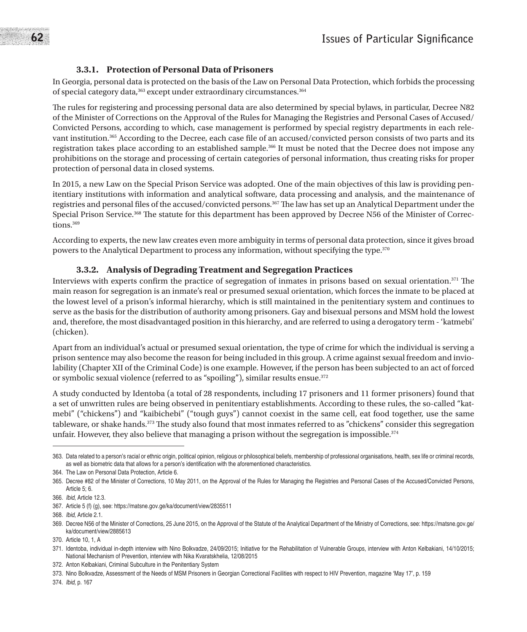#### **3.3.1. Protection of Personal Data of Prisoners**

In Georgia, personal data is protected on the basis of the Law on Personal Data Protection, which forbids the processing of special category data,<sup>363</sup> except under extraordinary circumstances.<sup>364</sup>

The rules for registering and processing personal data are also determined by special bylaws, in particular, Decree N82 of the Minister of Corrections on the Approval of the Rules for Managing the Registries and Personal Cases of Accused/ Convicted Persons, according to which, case management is performed by special registry departments in each relevant institution.365 According to the Decree, each case file of an accused/convicted person consists of two parts and its registration takes place according to an established sample.366 It must be noted that the Decree does not impose any prohibitions on the storage and processing of certain categories of personal information, thus creating risks for proper protection of personal data in closed systems.

In 2015, a new Law on the Special Prison Service was adopted. One of the main objectives of this law is providing penitentiary institutions with information and analytical software, data processing and analysis, and the maintenance of registries and personal files of the accused/convicted persons.367 The law has set up an Analytical Department under the Special Prison Service.368 The statute for this department has been approved by Decree N56 of the Minister of Corrections<sup>369</sup>

According to experts, the new law creates even more ambiguity in terms of personal data protection, since it gives broad powers to the Analytical Department to process any information, without specifying the type.370

#### **3.3.2. Analysis of Degrading Treatment and Segregation Practices**

Interviews with experts confirm the practice of segregation of inmates in prisons based on sexual orientation.<sup>371</sup> The main reason for segregation is an inmate's real or presumed sexual orientation, which forces the inmate to be placed at the lowest level of a prison's informal hierarchy, which is still maintained in the penitentiary system and continues to serve as the basis for the distribution of authority among prisoners. Gay and bisexual persons and MSM hold the lowest and, therefore, the most disadvantaged position in this hierarchy, and are referred to using a derogatory term - 'katmebi' (chicken).

Apart from an individual's actual or presumed sexual orientation, the type of crime for which the individual is serving a prison sentence may also become the reason for being included in this group. A crime against sexual freedom and inviolability (Chapter XII of the Criminal Code) is one example. However, if the person has been subjected to an act of forced or symbolic sexual violence (referred to as "spoiling"), similar results ensue.<sup>372</sup>

A study conducted by Identoba (a total of 28 respondents, including 17 prisoners and 11 former prisoners) found that a set of unwritten rules are being observed in penitentiary establishments. According to these rules, the so-called "katmebi" ("chickens") and "kaibichebi" ("tough guys") cannot coexist in the same cell, eat food together, use the same tableware, or shake hands.<sup>373</sup> The study also found that most inmates referred to as "chickens" consider this segregation unfair. However, they also believe that managing a prison without the segregation is impossible. $374$ 

<sup>363.</sup> Data related to a person's racial or ethnic origin, political opinion, religious or philosophical beliefs, membership of professional organisations, health, sex life or criminal records, as well as biometric data that allows for a person's identification with the aforementioned characteristics.

<sup>364.</sup> The Law on Personal Data Protection, Article 6.

<sup>365.</sup> Decree #82 of the Minister of Corrections, 10 May 2011, on the Approval of the Rules for Managing the Registries and Personal Cases of the Accused/Convicted Persons, Article 5; 6.

<sup>366.</sup> *Ibid*, Article 12.3.

<sup>367.</sup> Article 5 (f) (g), see: https://matsne.gov.ge/ka/document/view/2835511

<sup>368.</sup> *Ibid*, Article 2.1.

<sup>369.</sup> Decree N56 of the Minister of Corrections, 25 June 2015, on the Approval of the Statute of the Analytical Department of the Ministry of Corrections, see: https://matsne.gov.ge/ ka/document/view/2885613

<sup>370.</sup> Article 10, 1, A

<sup>371.</sup> Identoba, individual in-depth interview with Nino Bolkvadze, 24/09/2015; Initiative for the Rehabilitation of Vulnerable Groups, interview with Anton Kelbakiani, 14/10/2015; National Mechanism of Prevention, interview with Nika Kvaratskhelia, 12/08/2015

<sup>372.</sup> Anton Kelbakiani, Criminal Subculture in the Penitentiary System

<sup>373.</sup> Nino Bolkvadze, Assessment of the Needs of MSM Prisoners in Georgian Correctional Facilities with respect to HIV Prevention, magazine 'May 17', p. 159

<sup>374.</sup> *Ibid*, p. 167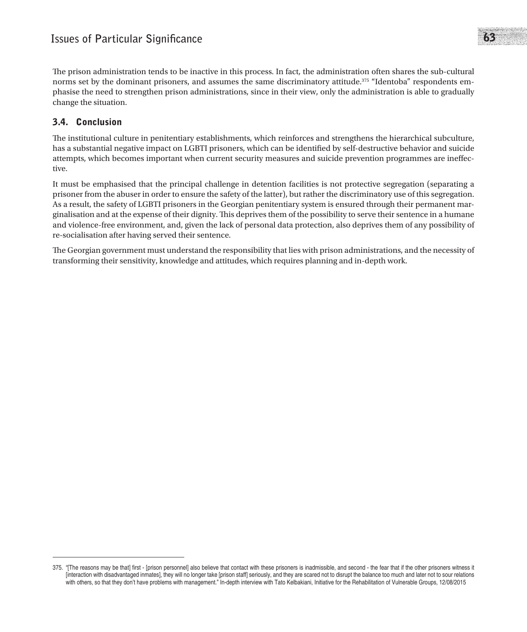The prison administration tends to be inactive in this process. In fact, the administration often shares the sub-cultural norms set by the dominant prisoners, and assumes the same discriminatory attitude.<sup>375</sup> "Identoba" respondents emphasise the need to strengthen prison administrations, since in their view, only the administration is able to gradually change the situation.

## 3.4. Conclusion

The institutional culture in penitentiary establishments, which reinforces and strengthens the hierarchical subculture, has a substantial negative impact on LGBTI prisoners, which can be identified by self-destructive behavior and suicide attempts, which becomes important when current security measures and suicide prevention programmes are ineffective.

It must be emphasised that the principal challenge in detention facilities is not protective segregation (separating a prisoner from the abuser in order to ensure the safety of the latter), but rather the discriminatory use of this segregation. As a result, the safety of LGBTI prisoners in the Georgian penitentiary system is ensured through their permanent marginalisation and at the expense of their dignity. This deprives them of the possibility to serve their sentence in a humane and violence-free environment, and, given the lack of personal data protection, also deprives them of any possibility of re-socialisation after having served their sentence.

The Georgian government must understand the responsibility that lies with prison administrations, and the necessity of transforming their sensitivity, knowledge and attitudes, which requires planning and in-depth work.

<sup>375. &</sup>quot;[The reasons may be that] first - [prison personnel] also believe that contact with these prisoners is inadmissible, and second - the fear that if the other prisoners witness it [interaction with disadvantaged inmates], they will no longer take [prison staff] seriously, and they are scared not to disrupt the balance too much and later not to sour relations with others, so that they don't have problems with management." In-depth interview with Tato Kelbakiani, Initiative for the Rehabilitation of Vulnerable Groups, 12/08/2015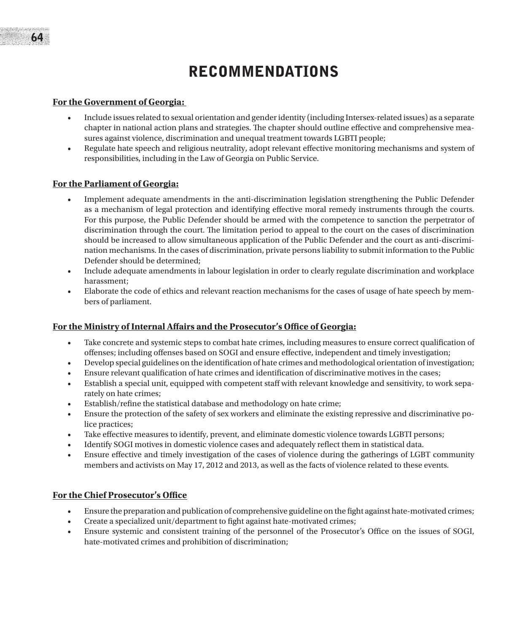# RECOMMENDATIONS

#### **For the Government of Georgia:**

- Include issues related to sexual orientation and gender identity (including Intersex-related issues) as a separate chapter in national action plans and strategies. The chapter should outline effective and comprehensive measures against violence, discrimination and unequal treatment towards LGBTI people;
- Regulate hate speech and religious neutrality, adopt relevant effective monitoring mechanisms and system of responsibilities, including in the Law of Georgia on Public Service.

#### **For the Parliament of Georgia:**

- Implement adequate amendments in the anti-discrimination legislation strengthening the Public Defender as a mechanism of legal protection and identifying effective moral remedy instruments through the courts. For this purpose, the Public Defender should be armed with the competence to sanction the perpetrator of discrimination through the court. The limitation period to appeal to the court on the cases of discrimination should be increased to allow simultaneous application of the Public Defender and the court as anti-discrimination mechanisms. In the cases of discrimination, private persons liability to submit information to the Public Defender should be determined;
- Include adequate amendments in labour legislation in order to clearly regulate discrimination and workplace harassment;
- Elaborate the code of ethics and relevant reaction mechanisms for the cases of usage of hate speech by members of parliament.

#### **For the Ministry of Internal Affairs and the Prosecutor's Office of Georgia:**

- • Take concrete and systemic steps to combat hate crimes, including measures to ensure correct qualification of offenses; including offenses based on SOGI and ensure effective, independent and timely investigation;
- Develop special guidelines on the identification of hate crimes and methodological orientation of investigation;
- Ensure relevant qualification of hate crimes and identification of discriminative motives in the cases;
- Establish a special unit, equipped with competent staff with relevant knowledge and sensitivity, to work separately on hate crimes;
- Establish/refine the statistical database and methodology on hate crime;
- Ensure the protection of the safety of sex workers and eliminate the existing repressive and discriminative police practices;
- Take effective measures to identify, prevent, and eliminate domestic violence towards LGBTI persons;
- Identify SOGI motives in domestic violence cases and adequately reflect them in statistical data.
- Ensure effective and timely investigation of the cases of violence during the gatherings of LGBT community members and activists on May 17, 2012 and 2013, as well as the facts of violence related to these events.

#### **For the Chief Prosecutor's Office**

- Ensure the preparation and publication of comprehensive guideline on the fight against hate-motivated crimes;
- Create a specialized unit/department to fight against hate-motivated crimes;
- Ensure systemic and consistent training of the personnel of the Prosecutor's Office on the issues of SOGI, hate-motivated crimes and prohibition of discrimination;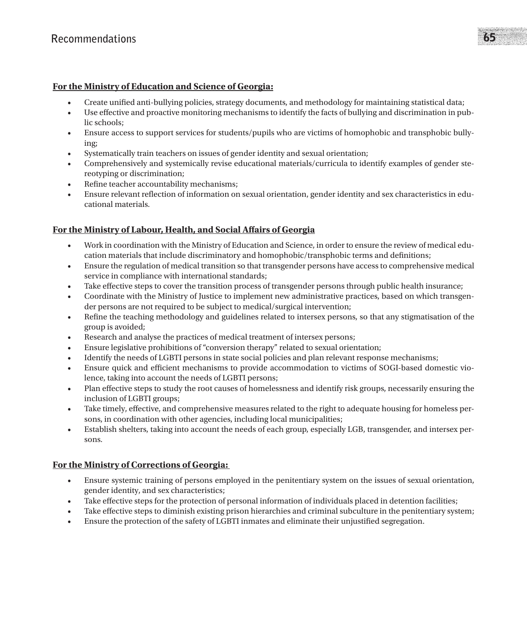#### **For the Ministry of Education and Science of Georgia:**

- Create unified anti-bullying policies, strategy documents, and methodology for maintaining statistical data;
- • Use effective and proactive monitoring mechanisms to identify the facts of bullying and discrimination in public schools;
- Ensure access to support services for students/pupils who are victims of homophobic and transphobic bullying;
- Systematically train teachers on issues of gender identity and sexual orientation;
- Comprehensively and systemically revise educational materials/curricula to identify examples of gender stereotyping or discrimination;
- Refine teacher accountability mechanisms;
- Ensure relevant reflection of information on sexual orientation, gender identity and sex characteristics in educational materials.

#### **For the Ministry of Labour, Health, and Social Affairs of Georgia**

- • Work in coordination with the Ministry of Education and Science, in order to ensure the review of medical education materials that include discriminatory and homophobic/transphobic terms and definitions;
- • Ensure the regulation of medical transition so that transgender persons have access to comprehensive medical service in compliance with international standards;
- Take effective steps to cover the transition process of transgender persons through public health insurance;
- Coordinate with the Ministry of Justice to implement new administrative practices, based on which transgender persons are not required to be subject to medical/surgical intervention;
- Refine the teaching methodology and guidelines related to intersex persons, so that any stigmatisation of the group is avoided;
- Research and analyse the practices of medical treatment of intersex persons;
- Ensure legislative prohibitions of "conversion therapy" related to sexual orientation;
- Identify the needs of LGBTI persons in state social policies and plan relevant response mechanisms;
- Ensure quick and efficient mechanisms to provide accommodation to victims of SOGI-based domestic violence, taking into account the needs of LGBTI persons;
- Plan effective steps to study the root causes of homelessness and identify risk groups, necessarily ensuring the inclusion of LGBTI groups;
- Take timely, effective, and comprehensive measures related to the right to adequate housing for homeless persons, in coordination with other agencies, including local municipalities;
- Establish shelters, taking into account the needs of each group, especially LGB, transgender, and intersex persons.

#### **For the Ministry of Corrections of Georgia:**

- Ensure systemic training of persons employed in the penitentiary system on the issues of sexual orientation, gender identity, and sex characteristics;
- Take effective steps for the protection of personal information of individuals placed in detention facilities;
- Take effective steps to diminish existing prison hierarchies and criminal subculture in the penitentiary system;
- Ensure the protection of the safety of LGBTI inmates and eliminate their unjustified segregation.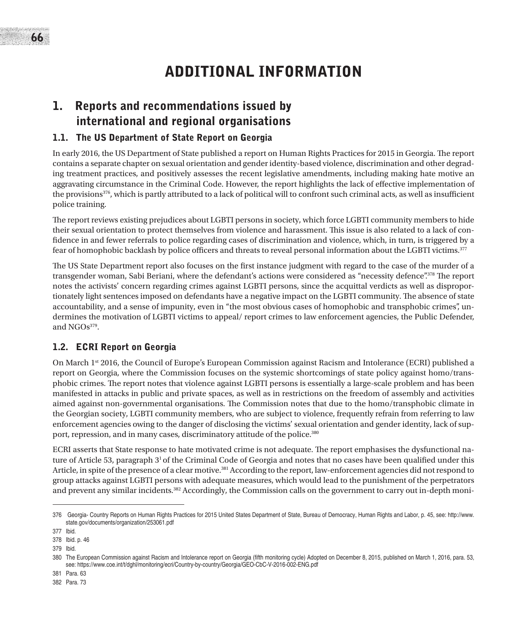# ADDITIONAL INFORMATION

## 1. Reports and recommendations issued by international and regional organisations

### 1.1. The US Department of State Report on Georgia

In early 2016, the US Department of State published a report on Human Rights Practices for 2015 in Georgia. The report contains a separate chapter on sexual orientation and gender identity-based violence, discrimination and other degrading treatment practices, and positively assesses the recent legislative amendments, including making hate motive an aggravating circumstance in the Criminal Code. However, the report highlights the lack of effective implementation of the provisions<sup>376</sup>, which is partly attributed to a lack of political will to confront such criminal acts, as well as insufficient police training.

The report reviews existing prejudices about LGBTI persons in society, which force LGBTI community members to hide their sexual orientation to protect themselves from violence and harassment. This issue is also related to a lack of confidence in and fewer referrals to police regarding cases of discrimination and violence, which, in turn, is triggered by a fear of homophobic backlash by police officers and threats to reveal personal information about the LGBTI victims.377

The US State Department report also focuses on the first instance judgment with regard to the case of the murder of a transgender woman, Sabi Beriani, where the defendant's actions were considered as "necessity defence".378 The report notes the activists' concern regarding crimes against LGBTI persons, since the acquittal verdicts as well as disproportionately light sentences imposed on defendants have a negative impact on the LGBTI community. The absence of state accountability, and a sense of impunity, even in "the most obvious cases of homophobic and transphobic crimes", undermines the motivation of LGBTI victims to appeal/ report crimes to law enforcement agencies, the Public Defender, and NGOs379.

### 1.2. ECRI Report on Georgia

On March 1st 2016, the Council of Europe's European Commission against Racism and Intolerance (ECRI) published a report on Georgia, where the Commission focuses on the systemic shortcomings of state policy against homo/transphobic crimes. The report notes that violence against LGBTI persons is essentially a large-scale problem and has been manifested in attacks in public and private spaces, as well as in restrictions on the freedom of assembly and activities aimed against non-governmental organisations. The Commission notes that due to the homo/transphobic climate in the Georgian society, LGBTI community members, who are subject to violence, frequently refrain from referring to law enforcement agencies owing to the danger of disclosing the victims' sexual orientation and gender identity, lack of support, repression, and in many cases, discriminatory attitude of the police.<sup>380</sup>

ECRI asserts that State response to hate motivated crime is not adequate. The report emphasises the dysfunctional nature of Article 53, paragraph  $3<sup>1</sup>$  of the Criminal Code of Georgia and notes that no cases have been qualified under this Article, in spite of the presence of a clear motive.381 According to the report, law-enforcement agencies did not respond to group attacks against LGBTI persons with adequate measures, which would lead to the punishment of the perpetrators and prevent any similar incidents.382 Accordingly, the Commission calls on the government to carry out in-depth moni-

382 Para. 73

<sup>376</sup> Georgia- Country Reports on Human Rights Practices for 2015 United States Department of State, Bureau of Democracy, Human Rights and Labor, p. 45, see: http://www. state.gov/documents/organization/253061.pdf

<sup>377</sup> Ibid.

<sup>378</sup> Ibid. p. 46 379 Ibid.

<sup>380</sup> The European Commission against Racism and Intolerance report on Georgia (fifth monitoring cycle) Adopted on December 8, 2015, published on March 1, 2016, para. 53, see: https://www.coe.int/t/dghl/monitoring/ecri/Country-by-country/Georgia/GEO-CbC-V-2016-002-ENG.pdf

<sup>381</sup> Para. 63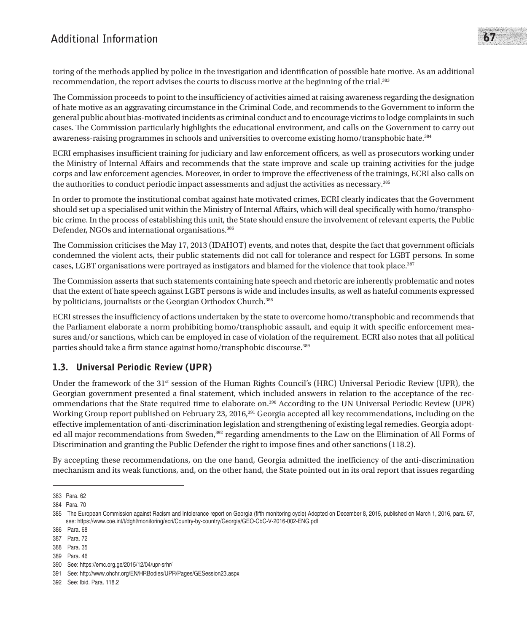## **Additional Information** 67

toring of the methods applied by police in the investigation and identification of possible hate motive. As an additional recommendation, the report advises the courts to discuss motive at the beginning of the trial.<sup>383</sup>

The Commission proceeds to point to the insufficiency of activities aimed at raising awareness regarding the designation of hate motive as an aggravating circumstance in the Criminal Code, and recommends to the Government to inform the general public about bias-motivated incidents as criminal conduct and to encourage victims to lodge complaints in such cases. The Commission particularly highlights the educational environment, and calls on the Government to carry out awareness-raising programmes in schools and universities to overcome existing homo/transphobic hate.<sup>384</sup>

ECRI emphasises insufficient training for judiciary and law enforcement officers, as well as prosecutors working under the Ministry of Internal Affairs and recommends that the state improve and scale up training activities for the judge corps and law enforcement agencies. Moreover, in order to improve the effectiveness of the trainings, ECRI also calls on the authorities to conduct periodic impact assessments and adjust the activities as necessary.<sup>385</sup>

In order to promote the institutional combat against hate motivated crimes, ECRI clearly indicates that the Government should set up a specialised unit within the Ministry of Internal Affairs, which will deal specifically with homo/transphobic crime. In the process of establishing this unit, the State should ensure the involvement of relevant experts, the Public Defender, NGOs and international organisations.386

The Commission criticises the May 17, 2013 (IDAHOT) events, and notes that, despite the fact that government officials condemned the violent acts, their public statements did not call for tolerance and respect for LGBT persons. In some cases, LGBT organisations were portrayed as instigators and blamed for the violence that took place.<sup>387</sup>

The Commission asserts that such statements containing hate speech and rhetoric are inherently problematic and notes that the extent of hate speech against LGBT persons is wide and includes insults, as well as hateful comments expressed by politicians, journalists or the Georgian Orthodox Church.<sup>388</sup>

ECRI stresses the insufficiency of actions undertaken by the state to overcome homo/transphobic and recommends that the Parliament elaborate a norm prohibiting homo/transphobic assault, and equip it with specific enforcement measures and/or sanctions, which can be employed in case of violation of the requirement. ECRI also notes that all political parties should take a firm stance against homo/transphobic discourse.389

## 1.3. Universal Periodic Review (UPR)

Under the framework of the 31<sup>st</sup> session of the Human Rights Council's (HRC) Universal Periodic Review (UPR), the Georgian government presented a final statement, which included answers in relation to the acceptance of the recommendations that the State required time to elaborate on.390 According to the UN Universal Periodic Review (UPR) Working Group report published on February 23, 2016,<sup>391</sup> Georgia accepted all key recommendations, including on the effective implementation of anti-discrimination legislation and strengthening of existing legal remedies. Georgia adopted all major recommendations from Sweden,<sup>392</sup> regarding amendments to the Law on the Elimination of All Forms of Discrimination and granting the Public Defender the right to impose fines and other sanctions (118.2).

By accepting these recommendations, on the one hand, Georgia admitted the inefficiency of the anti-discrimination mechanism and its weak functions, and, on the other hand, the State pointed out in its oral report that issues regarding

389 Para. 46

<sup>383</sup> Para. 62

<sup>384</sup> Para. 70

<sup>385</sup> The European Commission against Racism and Intolerance report on Georgia (fifth monitoring cycle) Adopted on December 8, 2015, published on March 1, 2016, para. 67, see: https://www.coe.int/t/dghl/monitoring/ecri/Country-by-country/Georgia/GEO-CbC-V-2016-002-ENG.pdf

<sup>386</sup> Para. 68

<sup>387</sup> Para. 72

<sup>388</sup> Para. 35

<sup>390</sup> See: https://emc.org.ge/2015/12/04/upr-srhr/

<sup>391</sup> See: http://www.ohchr.org/EN/HRBodies/UPR/Pages/GESession23.aspx

<sup>392</sup> See: Ibid. Para. 118.2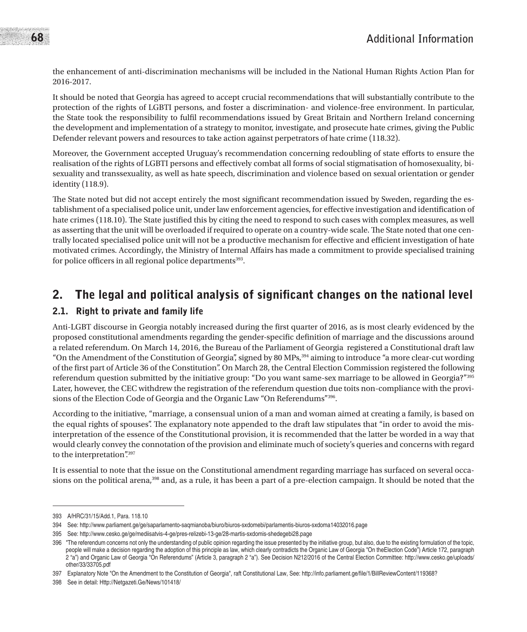the enhancement of anti-discrimination mechanisms will be included in the National Human Rights Action Plan for 2016-2017.

It should be noted that Georgia has agreed to accept crucial recommendations that will substantially contribute to the protection of the rights of LGBTI persons, and foster a discrimination- and violence-free environment. In particular, the State took the responsibility to fulfil recommendations issued by Great Britain and Northern Ireland concerning the development and implementation of a strategy to monitor, investigate, and prosecute hate crimes, giving the Public Defender relevant powers and resources to take action against perpetrators of hate crime (118.32).

Moreover, the Government accepted Uruguay's recommendation concerning redoubling of state efforts to ensure the realisation of the rights of LGBTI persons and effectively combat all forms of social stigmatisation of homosexuality, bisexuality and transsexuality, as well as hate speech, discrimination and violence based on sexual orientation or gender identity (118.9).

The State noted but did not accept entirely the most significant recommendation issued by Sweden, regarding the establishment of a specialised police unit, under law enforcement agencies, for effective investigation and identification of hate crimes (118.10). The State justified this by citing the need to respond to such cases with complex measures, as well as asserting that the unit will be overloaded if required to operate on a country-wide scale. The State noted that one centrally located specialised police unit will not be a productive mechanism for effective and efficient investigation of hate motivated crimes. Accordingly, the Ministry of Internal Affairs has made a commitment to provide specialised training for police officers in all regional police departments<sup>393</sup>.

## 2. The legal and political analysis of significant changes on the national level

## 2.1. Right to private and family life

Anti-LGBT discourse in Georgia notably increased during the first quarter of 2016, as is most clearly evidenced by the proposed constitutional amendments regarding the gender-specific definition of marriage and the discussions around a related referendum. On March 14, 2016, the Bureau of the Parliament of Georgia registered a Constitutional draft law "On the Amendment of the Constitution of Georgia", signed by 80 MPs,394 aiming to introduce "a more clear-cut wording of the first part of Article 36 of the Constitution". On March 28, the Central Election Commission registered the following referendum question submitted by the initiative group: "Do you want same-sex marriage to be allowed in Georgia?"395 Later, however, the CEC withdrew the registration of the referendum question due toits non-compliance with the provisions of the Election Code of Georgia and the Organic Law "On Referendums"396.

According to the initiative, "marriage, a consensual union of a man and woman aimed at creating a family, is based on the equal rights of spouses". The explanatory note appended to the draft law stipulates that "in order to avoid the misinterpretation of the essence of the Constitutional provision, it is recommended that the latter be worded in a way that would clearly convey the connotation of the provision and eliminate much of society's queries and concerns with regard to the interpretation".397

It is essential to note that the issue on the Constitutional amendment regarding marriage has surfaced on several occasions on the political arena,<sup>398</sup> and, as a rule, it has been a part of a pre-election campaign. It should be noted that the

<sup>393</sup> A/HRC/31/15/Add.1, Para. 118.10

<sup>394</sup> See: http://www.parliament.ge/ge/saparlamento-saqmianoba/biuro/biuros-sxdomebi/parlamentis-biuros-sxdoma14032016.page

<sup>395</sup> See: http://www.cesko.ge/ge/mediisatvis-4-ge/pres-relizebi-13-ge/28-martis-sxdomis-shedegebi28.page

<sup>396 &</sup>quot;The referendum concerns not only the understanding of public opinion regarding the issue presented by the initiative group, but also, due to the existing formulation of the topic, people will make a decision regarding the adoption of this principle as law, which clearly contradicts the Organic Law of Georgia "On the Election Code") Article 172, paragraph 2 "a") and Organic Law of Georgia "On Referendums" (Article 3, paragraph 2 "a"). See Decision N212/2016 of the Central Election Committee: http://www.cesko.ge/uploads/ other/33/33705.pdf

<sup>397</sup> Explanatory Note "On the Amendment to the Constitution of Georgia", raft Constitutional Law, See: http://info.parliament.ge/file/1/BillReviewContent/119368?

<sup>398</sup> See in detail: Http://Netgazeti.Ge/News/101418/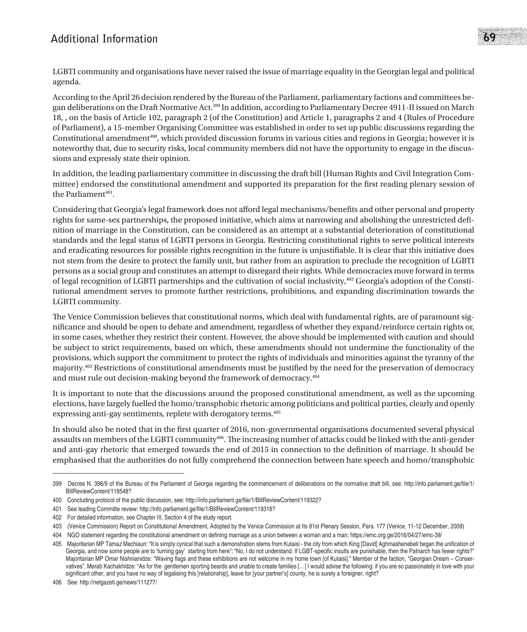## **Additional Information** 69

LGBTI community and organisations have never raised the issue of marriage equality in the Georgian legal and political agenda.

According to the April 26 decision rendered by the Bureau of the Parliament, parliamentary factions and committees began deliberations on the Draft Normative Act.399 In addition, according to Parliamentary Decree 4911-II issued on March 18, , on the basis of Article 102, paragraph 2 (of the Constitution) and Article 1, paragraphs 2 and 4 (Rules of Procedure of Parliament), a 15-member Organising Committee was established in order to set up public discussions regarding the Constitutional amendment<sup>400</sup>, which provided discussion forums in various cities and regions in Georgia; however it is noteworthy that, due to security risks, local community members did not have the opportunity to engage in the discussions and expressly state their opinion.

In addition, the leading parliamentary committee in discussing the draft bill (Human Rights and Civil Integration Committee) endorsed the constitutional amendment and supported its preparation for the first reading plenary session of the Parliament<sup>401</sup>.

Considering that Georgia's legal framework does not afford legal mechanisms/benefits and other personal and property rights for same-sex partnerships, the proposed initiative, which aims at narrowing and abolishing the unrestricted definition of marriage in the Constitution, can be considered as an attempt at a substantial deterioration of constitutional standards and the legal status of LGBTI persons in Georgia. Restricting constitutional rights to serve political interests and eradicating resources for possible rights recognition in the future is unjustifiable. It is clear that this initiative does not stem from the desire to protect the family unit, but rather from an aspiration to preclude the recognition of LGBTI persons as a social group and constitutes an attempt to disregard their rights. While democracies move forward in terms of legal recognition of LGBTI partnerships and the cultivation of social inclusivity,402 Georgia's adoption of the Constitutional amendment serves to promote further restrictions, prohibitions, and expanding discrimination towards the LGBTI community.

The Venice Commission believes that constitutional norms, which deal with fundamental rights, are of paramount significance and should be open to debate and amendment, regardless of whether they expand/reinforce certain rights or, in some cases, whether they restrict their content. However, the above should be implemented with caution and should be subject to strict requirements, based on which, these amendments should not undermine the functionality of the provisions, which support the commitment to protect the rights of individuals and minorities against the tyranny of the majority.<sup>403</sup> Restrictions of constitutional amendments must be justified by the need for the preservation of democracy and must rule out decision-making beyond the framework of democracy.<sup>404</sup>

It is important to note that the discussions around the proposed constitutional amendment, as well as the upcoming elections, have largely fuelled the homo/transphobic rhetoric among politicians and political parties, clearly and openly expressing anti-gay sentiments, replete with derogatory terms.405

In should also be noted that in the first quarter of 2016, non-governmental organisations documented several physical assaults on members of the LGBTI community406. The increasing number of attacks could be linked with the anti-gender and anti-gay rhetoric that emerged towards the end of 2015 in connection to the definition of marriage. It should be emphasised that the authorities do not fully comprehend the connection between hate speech and homo/transphobic

406 See: http://netgazeti.ge/news/111277/

<sup>399</sup> Decree N. 396/9 of the Bureau of the Parliament of Georgia regarding the commencement of deliberations on the normative draft bill, see: http://info.parliament.ge/file/1/ BillReviewContent/118548?

<sup>400</sup> Concluding protocol of the public discussion, see: http://info.parliament.ge/file/1/BillReviewContent/119322?

<sup>401</sup> See leading Committe review: http://info.parliament.ge/file/1/BillReviewContent/119318?

<sup>402</sup> For detailed information, see Chapter III, Section 4 of the study report.

<sup>403 (</sup>Venice Commission) Report on Constitutional Amendment, Adopted by the Venice Commission at Its 81st Plenary Session, Para. 177 (Venice, 11-12 December, 2009)

<sup>404</sup> NGO statement regarding the constitutional amendment on defining marriage as a union between a woman and a man: https://emc.org.ge/2016/04/27/emc-39/

<sup>405</sup> Majoritarian MP Tamaz Mechiauri: "It is simply cynical that such a demonstration stems from Kutaisi - the city from which King [David] Aghmashenebeli began the unification of Georgia, and now some people are to 'turning gay' starting from here"; "No, I do not understand. If LGBT-specific insults are punishable, then the Patriarch has fewer rights?" Majoritarian MP Omar Nishnianidze: "Waving flags and these exhibitions are not welcome in my home town [of Kutaisi]." Member of the faction, "Georgian Dream – Conservatives", Merab Kachakhidze: "As for the gentlemen sporting beards and unable to create families [...] I would advise the following: if you are so passionately in love with your significant other, and you have no way of legalising this [relationship], leave for [your partner's] county, he is surely a foreigner, right?